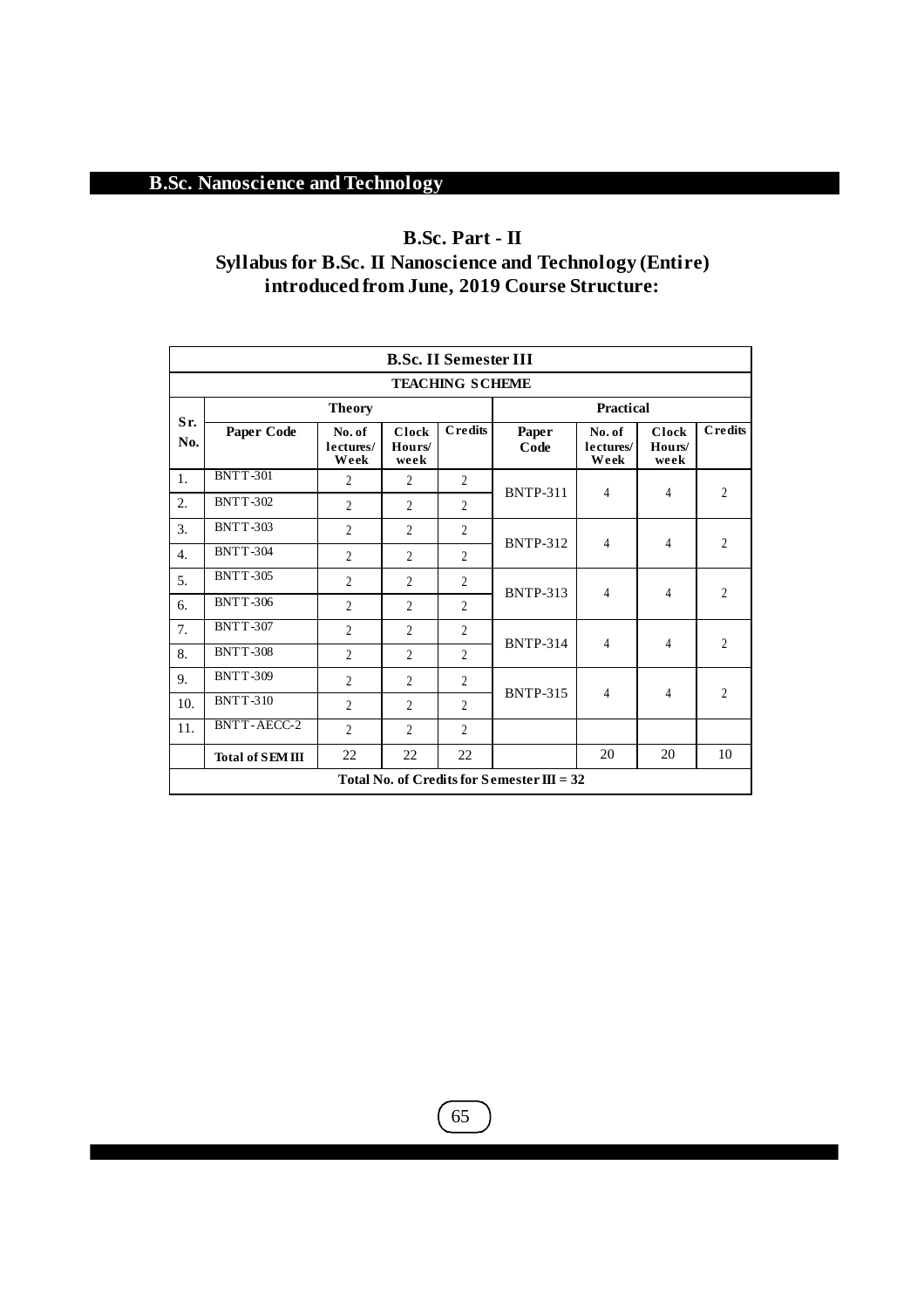## **B.Sc. Part - II**

## **Syllabus for B.Sc. II Nanoscience and Technology (Entire) introduced from June, 2019 Course Structure:**

|                                                | <b>B.Sc. II Semester III</b> |                             |                                |                |                                              |                             |                         |                |  |  |  |  |
|------------------------------------------------|------------------------------|-----------------------------|--------------------------------|----------------|----------------------------------------------|-----------------------------|-------------------------|----------------|--|--|--|--|
|                                                | <b>TEACHING SCHEME</b>       |                             |                                |                |                                              |                             |                         |                |  |  |  |  |
|                                                |                              |                             | Practical                      |                |                                              |                             |                         |                |  |  |  |  |
| Sr.<br>No.                                     | Paper Code                   | No. of<br>lectures/<br>Week | <b>Clock</b><br>Hours/<br>week | <b>Credits</b> | Paper<br>Code                                | No. of<br>lectures/<br>Week | Clock<br>Hours/<br>week | <b>Credits</b> |  |  |  |  |
| $\mathbf{1}$ .                                 | <b>BNTT-301</b>              | $\overline{2}$              | $\overline{2}$                 | $\overline{c}$ |                                              | 4                           | 4                       | $\overline{c}$ |  |  |  |  |
| 2.                                             | <b>BNTT-302</b>              | $\mathfrak{D}$              | $\mathfrak{D}$                 | $\mathfrak{D}$ | <b>BNTP-311</b>                              |                             |                         |                |  |  |  |  |
| 3.                                             | <b>BNTT-303</b>              | $\overline{\mathcal{L}}$    | $\mathfrak{D}$                 | $\overline{c}$ |                                              | 4                           | 4                       | $\overline{c}$ |  |  |  |  |
| $\overline{4}$ .                               | <b>BNTT-304</b>              | $\overline{2}$              | $\overline{2}$                 | $\overline{c}$ | <b>BNTP-312</b>                              |                             |                         |                |  |  |  |  |
| 5.                                             | <b>BNTT-305</b>              | $\overline{2}$              | $\overline{2}$                 | $\overline{c}$ |                                              | 4                           | 4                       | $\overline{2}$ |  |  |  |  |
| 6.                                             | <b>BNTT-306</b>              | $\overline{2}$              | $\overline{2}$                 | $\overline{c}$ | <b>BNTP-313</b>                              |                             |                         |                |  |  |  |  |
| 7.                                             | <b>BNTT-307</b>              | $\overline{2}$              | $\overline{2}$                 | 2              |                                              |                             | 4                       |                |  |  |  |  |
| 8.                                             | <b>BNTT-308</b>              | $\overline{2}$              | $\mathfrak{D}$                 | $\overline{c}$ | <b>BNTP-314</b>                              | 4                           |                         | $\overline{2}$ |  |  |  |  |
| 9.                                             | <b>BNTT-309</b>              | $\overline{2}$              | $\mathfrak{D}$                 | $\overline{c}$ |                                              | 4                           | 4                       |                |  |  |  |  |
| 10.                                            | <b>BNTT-310</b>              | $\overline{2}$              | $\overline{2}$                 | $\overline{c}$ | <b>BNTP-315</b>                              |                             |                         | $\overline{c}$ |  |  |  |  |
| 11.                                            | <b>BNTT-AECC-2</b>           | $\overline{2}$              | $\overline{2}$                 | $\overline{c}$ |                                              |                             |                         |                |  |  |  |  |
| 20<br>22<br>22<br>22<br><b>Total of SEMIII</b> |                              |                             |                                |                |                                              |                             | 20                      | 10             |  |  |  |  |
|                                                |                              |                             |                                |                | Total No. of Credits for Semester $III = 32$ |                             |                         |                |  |  |  |  |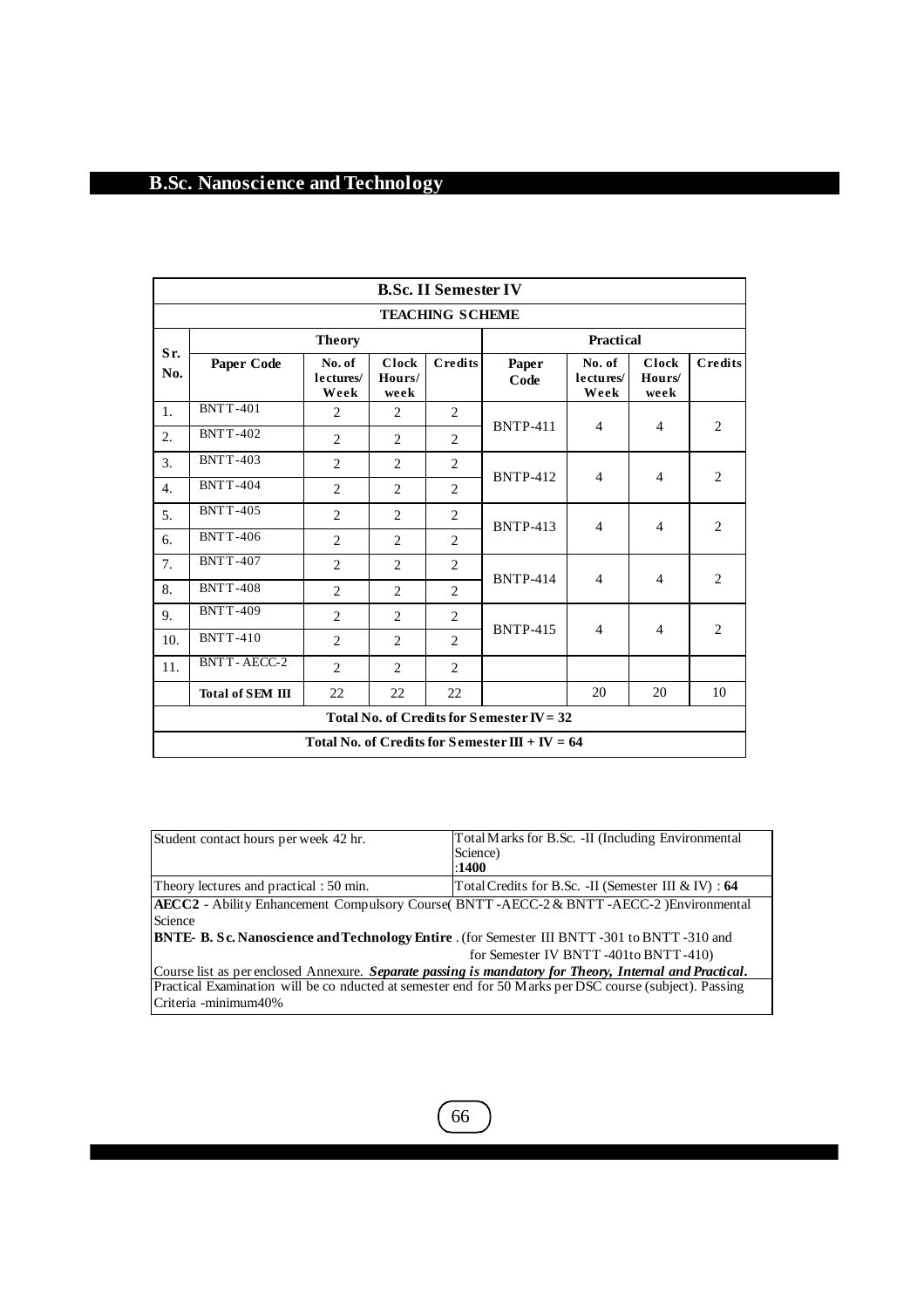| <b>B.Sc. II Semester IV</b>                    |                    |                             |                         |                |                                                   |                             |                                |                |  |  |  |
|------------------------------------------------|--------------------|-----------------------------|-------------------------|----------------|---------------------------------------------------|-----------------------------|--------------------------------|----------------|--|--|--|
| <b>TEACHING SCHEME</b>                         |                    |                             |                         |                |                                                   |                             |                                |                |  |  |  |
|                                                |                    | Practical                   |                         |                |                                                   |                             |                                |                |  |  |  |
| Sr.<br>No.                                     | Paper Code         | No. of<br>lectures/<br>Week | Clock<br>Hours/<br>week | <b>Credits</b> | Paper<br>Code                                     | No. of<br>lectures/<br>Week | <b>Clock</b><br>Hours/<br>week | Credits        |  |  |  |
| 1.                                             | <b>BNTT-401</b>    | $\overline{2}$              | $\overline{c}$          | 2              |                                                   |                             | $\overline{4}$                 |                |  |  |  |
| 2.                                             | <b>BNTT-402</b>    | $\overline{c}$              | 2                       | $\overline{2}$ | <b>BNTP-411</b>                                   | $\overline{4}$              |                                | 2              |  |  |  |
| 3.                                             | <b>BNTT-403</b>    | $\overline{c}$              | 2                       | $\overline{c}$ | <b>BNTP-412</b>                                   |                             | $\overline{4}$                 | 2              |  |  |  |
| $\overline{4}$ .                               | <b>BNTT-404</b>    | $\overline{c}$              | 2                       | 2              |                                                   | $\overline{4}$              |                                |                |  |  |  |
| 5.                                             | <b>BNTT-405</b>    | $\overline{2}$              | $\mathfrak{D}$          | $\overline{2}$ | <b>BNTP-413</b>                                   | $\overline{4}$              | $\overline{4}$                 | 2              |  |  |  |
| 6.                                             | <b>BNTT-406</b>    | $\overline{c}$              | $\overline{2}$          | $\overline{2}$ |                                                   |                             |                                |                |  |  |  |
| 7.                                             | <b>BNTT-407</b>    | $\overline{c}$              | $\overline{2}$          | $\overline{2}$ |                                                   |                             | $\overline{4}$                 |                |  |  |  |
| 8.                                             | <b>BNTT-408</b>    | $\overline{\mathcal{L}}$    | $\mathfrak{D}$          | $\overline{2}$ | <b>BNTP-414</b>                                   | $\overline{4}$              |                                | $\overline{2}$ |  |  |  |
| 9.                                             | <b>BNTT-409</b>    | $\overline{2}$              | $\overline{2}$          | 2              |                                                   |                             |                                |                |  |  |  |
| 10.                                            | <b>BNTT-410</b>    | $\overline{c}$              | 2                       | 2              | <b>BNTP-415</b>                                   | $\overline{4}$              | $\overline{4}$                 | $\overline{c}$ |  |  |  |
| 11.                                            | <b>BNTT-AECC-2</b> | $\mathcal{L}$               | $\mathcal{L}$           | 2              |                                                   |                             |                                |                |  |  |  |
| 20<br>20<br>22<br>22<br>22<br>Total of SEM III |                    |                             |                         |                |                                                   |                             |                                |                |  |  |  |
|                                                |                    |                             |                         |                | Total No. of Credits for Semester IV = $32$       |                             |                                |                |  |  |  |
|                                                |                    |                             |                         |                | Total No. of Credits for Semester $III + IV = 64$ |                             |                                |                |  |  |  |

| Student contact hours per week 42 hr.                                                                                                                                                                       | Total Marks for B.Sc. - II (Including Environmental<br>Science)<br>:1400 |  |  |  |  |  |  |
|-------------------------------------------------------------------------------------------------------------------------------------------------------------------------------------------------------------|--------------------------------------------------------------------------|--|--|--|--|--|--|
| Theory lectures and practical : 50 min.                                                                                                                                                                     | Total Credits for B.Sc. - II (Semester III & IV) : 64                    |  |  |  |  |  |  |
| AECC2 - Ability Enhancement Compulsory Course(BNTT -AECC-2 & BNTT -AECC-2) Environmental<br>Science<br><b>BNTE- B. Sc. Nanoscience and Technology Entire</b> . (for Semester III BNTT -301 to BNTT -310 and |                                                                          |  |  |  |  |  |  |
|                                                                                                                                                                                                             | for Semester IV BNTT-401to BNTT-410)                                     |  |  |  |  |  |  |
| Course list as per enclosed Annexure. Separate passing is mandatory for Theory, Internal and Practical.                                                                                                     |                                                                          |  |  |  |  |  |  |
| Practical Examination will be conducted at semester end for 50 M arks per DSC course (subject). Passing<br>Criteria -minimum40%                                                                             |                                                                          |  |  |  |  |  |  |

 $\boxed{66}$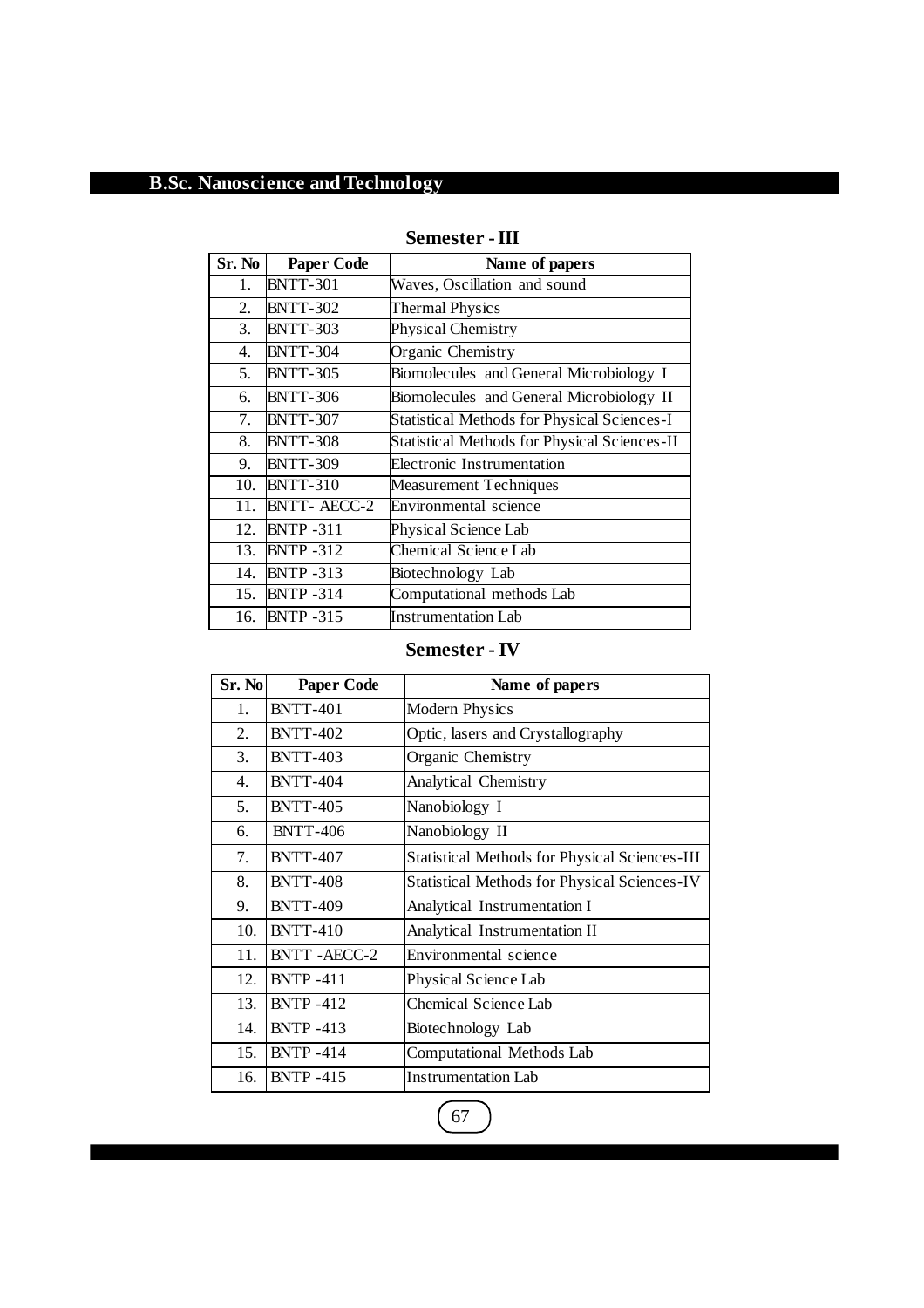| Sr. No | <b>Paper Code</b>  | Name of papers                                      |
|--------|--------------------|-----------------------------------------------------|
| 1.     | <b>BNTT-301</b>    | Waves, Oscillation and sound                        |
| 2.     | <b>BNTT-302</b>    | <b>Thermal Physics</b>                              |
| 3.     | <b>BNTT-303</b>    | Physical Chemistry                                  |
| 4.     | <b>BNTT-304</b>    | Organic Chemistry                                   |
| 5.     | <b>BNTT-305</b>    | Biomolecules and General Microbiology I             |
| 6.     | <b>BNTT-306</b>    | Biomolecules and General Microbiology II            |
| 7.     | <b>BNTT-307</b>    | <b>Statistical Methods for Physical Sciences-I</b>  |
| 8.     | <b>BNTT-308</b>    | <b>Statistical Methods for Physical Sciences-II</b> |
| 9.     | <b>BNTT-309</b>    | Electronic Instrumentation                          |
| 10.    | <b>BNTT-310</b>    | <b>Measurement Techniques</b>                       |
| 11.    | <b>BNTT-AECC-2</b> | Environmental science                               |
| 12.    | <b>BNTP-311</b>    | Physical Science Lab                                |
| 13.    | <b>BNTP -312</b>   | Chemical Science Lab                                |
| 14.    | <b>BNTP-313</b>    | Biotechnology Lab                                   |
|        | 15. BNTP -314      | Computational methods Lab                           |
| 16.    | <b>BNTP -315</b>   | Instrumentation Lab                                 |

## **Semester -III**

### **Semester - IV**

| Sr. No           | <b>Paper Code</b>  | Name of papers                                       |
|------------------|--------------------|------------------------------------------------------|
| 1.               | <b>BNTT-401</b>    | <b>Modern Physics</b>                                |
| 2.               | <b>BNTT-402</b>    | Optic, lasers and Crystallography                    |
| 3.               | <b>BNTT-403</b>    | Organic Chemistry                                    |
| $\overline{4}$ . | <b>BNTT-404</b>    | Analytical Chemistry                                 |
| 5.               | <b>BNTT-405</b>    | Nanobiology I                                        |
| 6.               | <b>BNTT-406</b>    | Nanobiology II                                       |
| 7.               | <b>BNTT-407</b>    | <b>Statistical Methods for Physical Sciences-III</b> |
| 8.               | <b>BNTT-408</b>    | <b>Statistical Methods for Physical Sciences-IV</b>  |
| 9.               | <b>BNTT-409</b>    | Analytical Instrumentation I                         |
| 10.              | <b>BNTT-410</b>    | Analytical Instrumentation II                        |
| 11.              | <b>BNTT-AECC-2</b> | Environmental science                                |
| 12.              | <b>BNTP -411</b>   | Physical Science Lab                                 |
| 13.              | <b>BNTP-412</b>    | Chemical Science Lab                                 |
| 14.              | <b>BNTP -413</b>   | Biotechnology Lab                                    |
| 15.              | <b>BNTP-414</b>    | Computational Methods Lab                            |
| 16.              | <b>BNTP-415</b>    | <b>Instrumentation Lab</b>                           |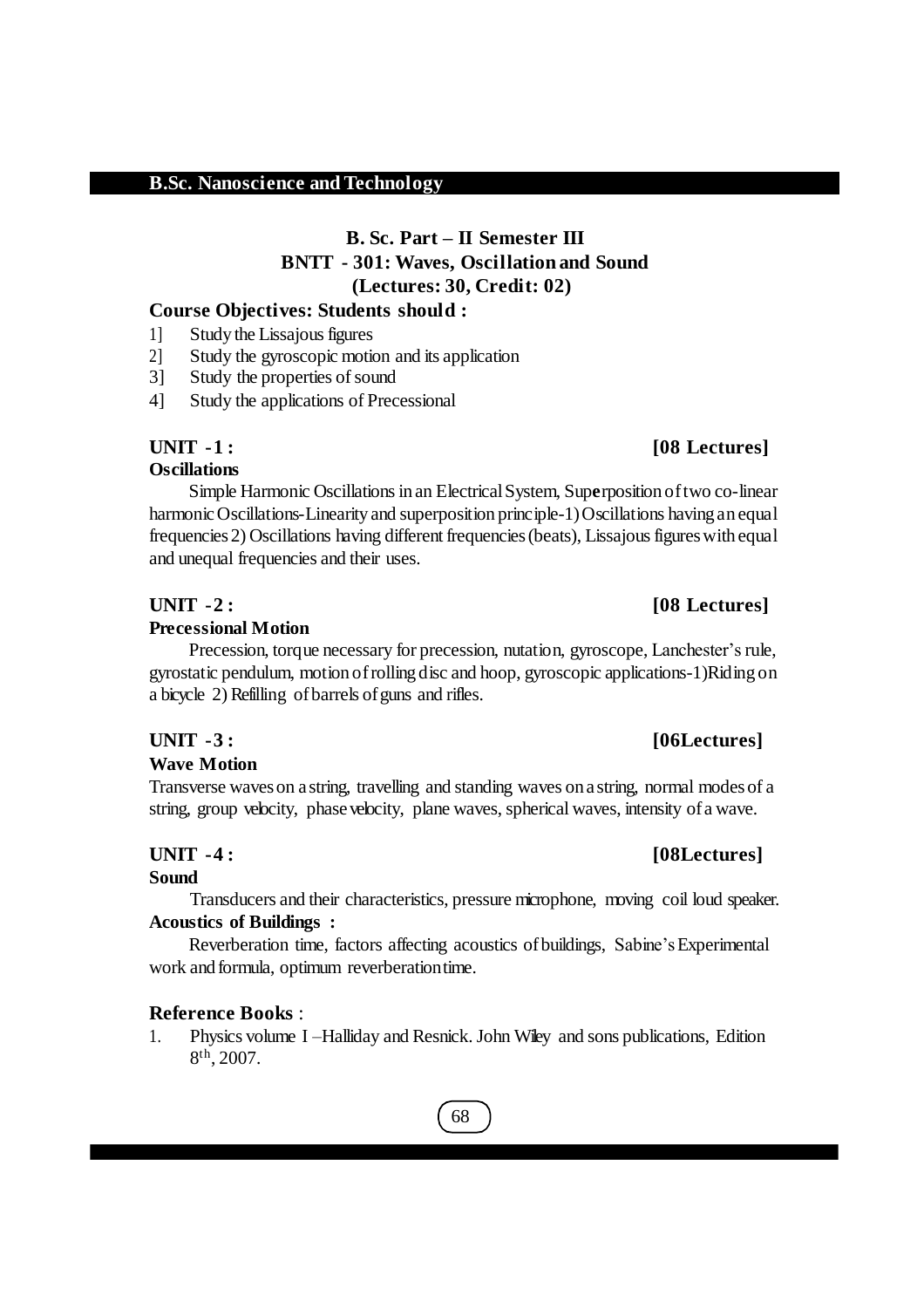## **B. Sc. Part – II Semester III BNTT - 301: Waves, Oscillation and Sound (Lectures: 30, Credit: 02)**

### **Course Objectives: Students should :**

- 1] Study the Lissajous figures
- 2] Study the gyroscopic motion and its application
- 3] Study the properties of sound
- 4] Study the applications of Precessional

## **UNIT -1 : [08 Lectures]**

## **Oscillations**

Simple Harmonic Oscillationsinan ElectricalSystem, Sup**e**rposition oftwo co-linear harmonic Oscillations-Linearity and superposition principle-1) Oscillations having an equal frequencies 2) Oscillations having different frequencies (beats), Lissajous figures with equal and unequal frequencies and their uses.

#### **UNIT -2 : [08 Lectures]**

#### **Precessional Motion**

Precession, torque necessary for precession, nutation, gyroscope, Lanchester's rule, gyrostatic pendulum, motion ofrolling disc and hoop, gyroscopic applications-1)Riding on a bicycle 2) Refilling of barrels of guns and rifles.

#### **Wave Motion**

Transverse waveson a string, travelling and standing waves on a string, normal modesof a string, group velocity, phase velocity, plane waves, spherical waves, intensity of a wave.

#### **UNIT -4 : [08Lectures]**

#### **Sound**

Transducers and their characteristics, pressure microphone, moving coil loud speaker. **Acoustics of Buildings :**

Reverberation time, factors affecting acoustics of buildings, Sabine's Experimental work and formula, optimum reverberationtime.

#### **Reference Books** :

1. Physics volume I –Halliday and Resnick.John Wiley and sons publications, Edition 8 th , 2007.

## **UNIT -3 : [06Lectures]**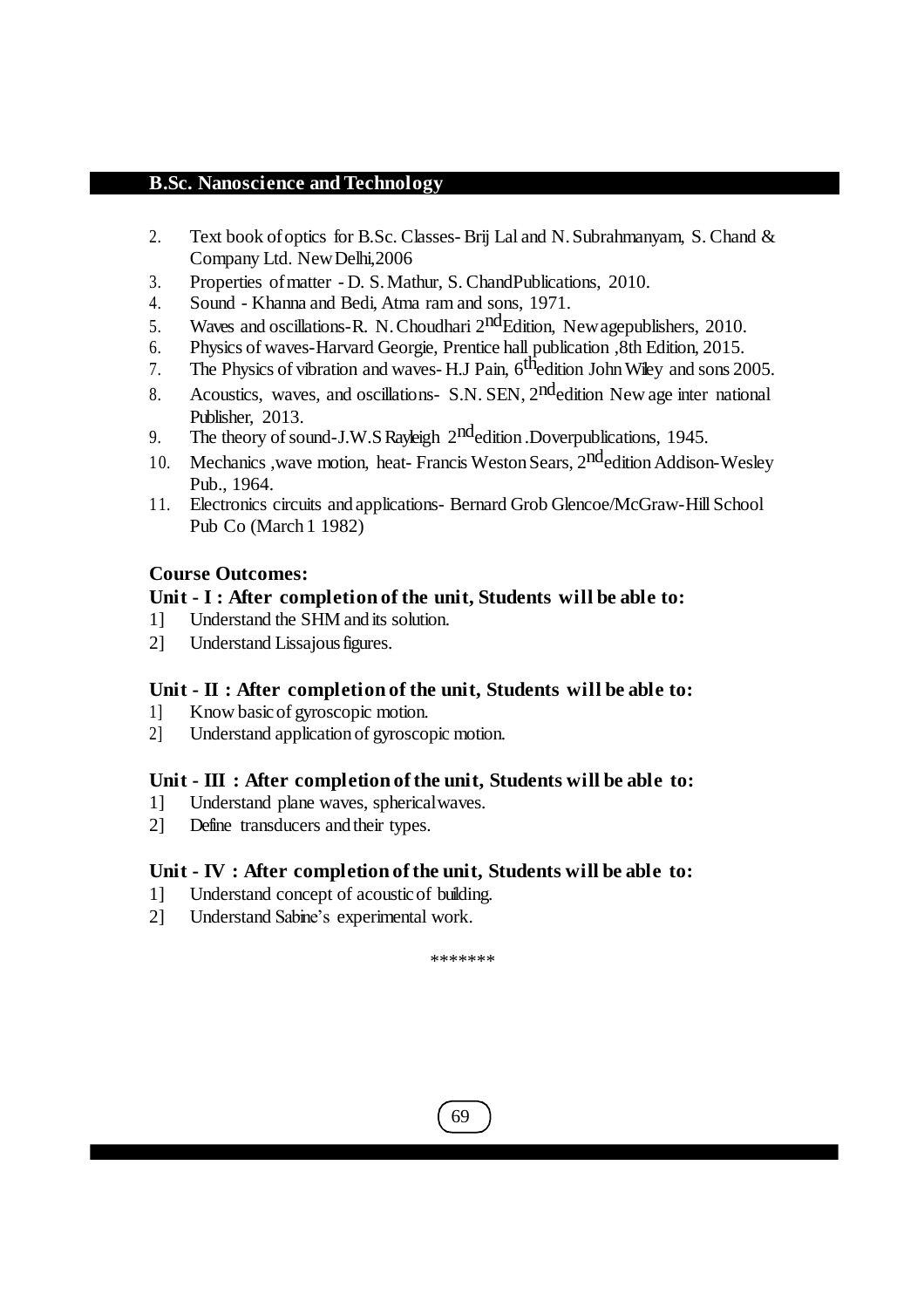- 2. Text book ofoptics for B.Sc. Classes- Brij Lal and N.Subrahmanyam, S. Chand & Company Ltd. NewDelhi,2006
- 3. Properties ofmatter D. S.Mathur, S. ChandPublications, 2010.
- 4. Sound Khanna and Bedi, Atma ram and sons, 1971.
- 5. Waves and oscillations-R. N. Choudhari 2<sup>nd</sup>Edition, New agepublishers, 2010.
- 6. Physics of waves-Harvard Georgie, Prentice hall publication ,8th Edition, 2015.
- 7. The Physics of vibration and waves- H.J Pain, 6<sup>th</sup>edition John Wiley and sons 2005.
- 8. Acoustics, waves, and oscillations- S.N. SEN, 2<sup>nd</sup>edition New age inter national Publisher, 2013.
- 9. The theory of sound-J.W.S Rayleigh 2<sup>nd</sup>edition .Doverpublications, 1945.
- 10. Mechanics , wave motion, heat- Francis Weston Sears, 2<sup>nd</sup>edition Addison-Wesley Pub., 1964.
- 11. Electronics circuits and applications- Bernard Grob Glencoe/McGraw-Hill School Pub Co (March 1 1982)

#### **Course Outcomes:**

#### **Unit - I : After completion of the unit, Students will be able to:**

- 1] Understand the SHM and its solution.
- 2] Understand Lissajous figures.

### **Unit - II : After completion of the unit, Students will be able to:**

- 1] Know basicof gyroscopic motion.
- 2] Understand application of gyroscopic motion.

#### **Unit - III : After completion of the unit, Students will be able to:**

- 1] Understand plane waves, sphericalwaves.
- 2] Define transducers and their types.

### **Unit - IV : After completion of the unit, Students will be able to:**

- 1] Understand concept of acoustic of building.
- 2] Understand Sabine's experimental work.

\*\*\*\*\*\*\*

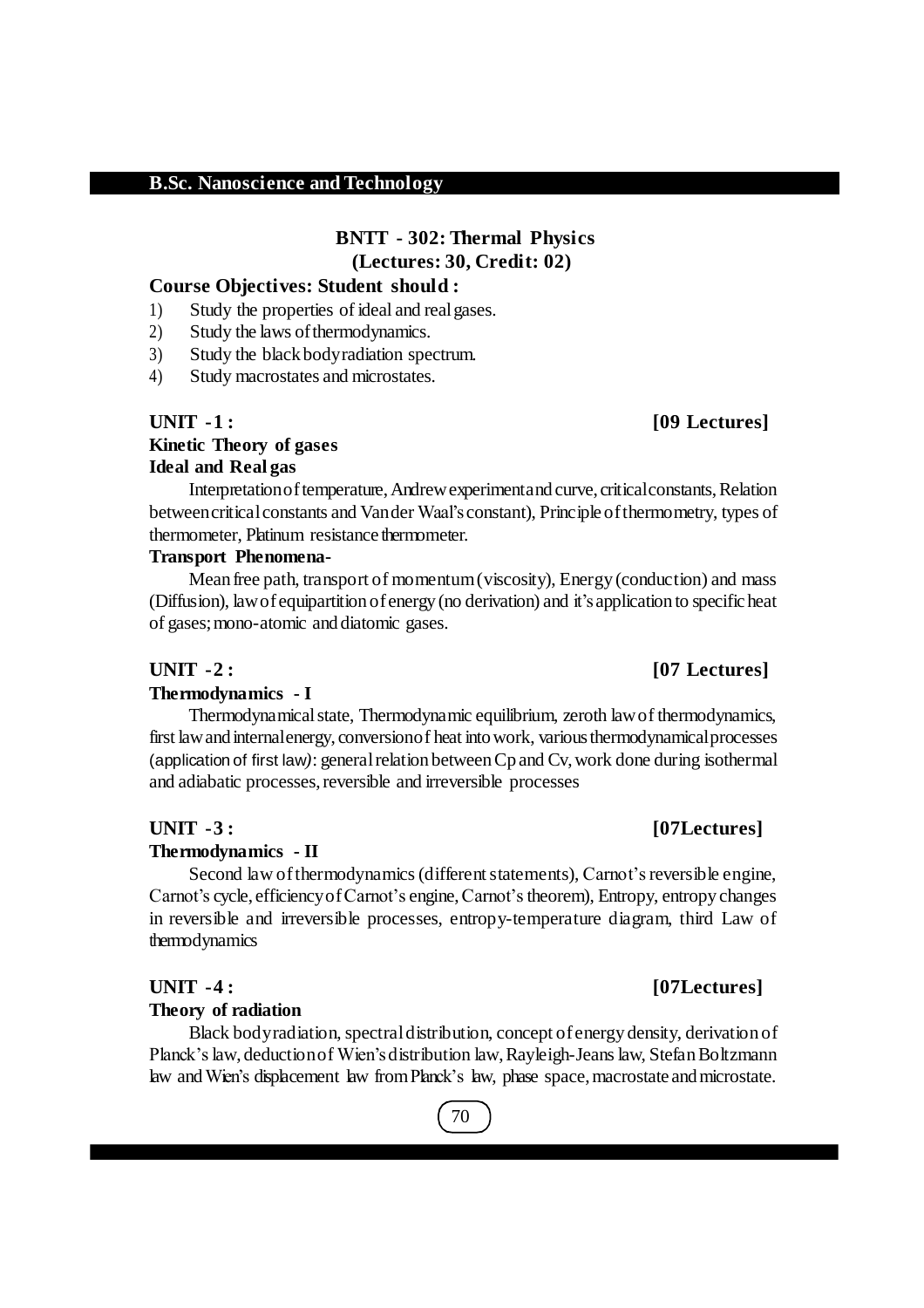## **BNTT - 302: Thermal Physics (Lectures: 30, Credit: 02)**

#### **Course Objectives: Student should :**

- 1) Study the properties of ideal and realgases.
- 2) Study the laws of thermodynamics.
- 3) Study the black bodyradiation spectrum.
- 4) Study macrostates and microstates.

### **UNIT -1 : [09 Lectures] Kinetic Theory of gases Ideal and Real gas**

Interpretation of temperature, Andrew experiment and curve, critical constants, Relation betweencriticalconstants and Vander Waal's constant), Principle ofthermometry, types of thermometer, Platinum resistance thermometer.

#### **Transport Phenomena-**

Mean free path, transport of momentum(viscosity), Energy (conduction) and mass (Diffusion), lawofequipartition ofenergy (no derivation) and it's application to specificheat of gases;mono-atomic and diatomic gases.

#### **UNIT -2 : [07 Lectures]**

#### **Thermodynamics - I**

Thermodynamicalstate, Thermodynamic equilibrium, zeroth lawof thermodynamics, first lawand internalenergy, conversionof heat intowork, variousthermodynamicalprocesses (application of first law): general relation between Cp and Cv, work done during isothermal and adiabatic processes, reversible and irreversible processes

#### **UNIT -3 : [07Lectures]**

#### **Thermodynamics - II**

Second law of thermodynamics (different statements), Carnot's reversible engine, Carnot's cycle, efficiency of Carnot's engine, Carnot's theorem), Entropy, entropy changes in reversible and irreversible processes, entropy-temperature diagram, third Law of thermodynamics

#### **Theory of radiation**

Black bodyradiation, spectraldistribution, concept ofenergy density, derivation of Planck'slaw, deductionof Wien'sdistribution law,Rayleigh-Jeanslaw, StefanBoltzmann law andWien's displacement law fromPlanck's law, phase space,macrostate andmicrostate.

## **UNIT -4 : [07Lectures]**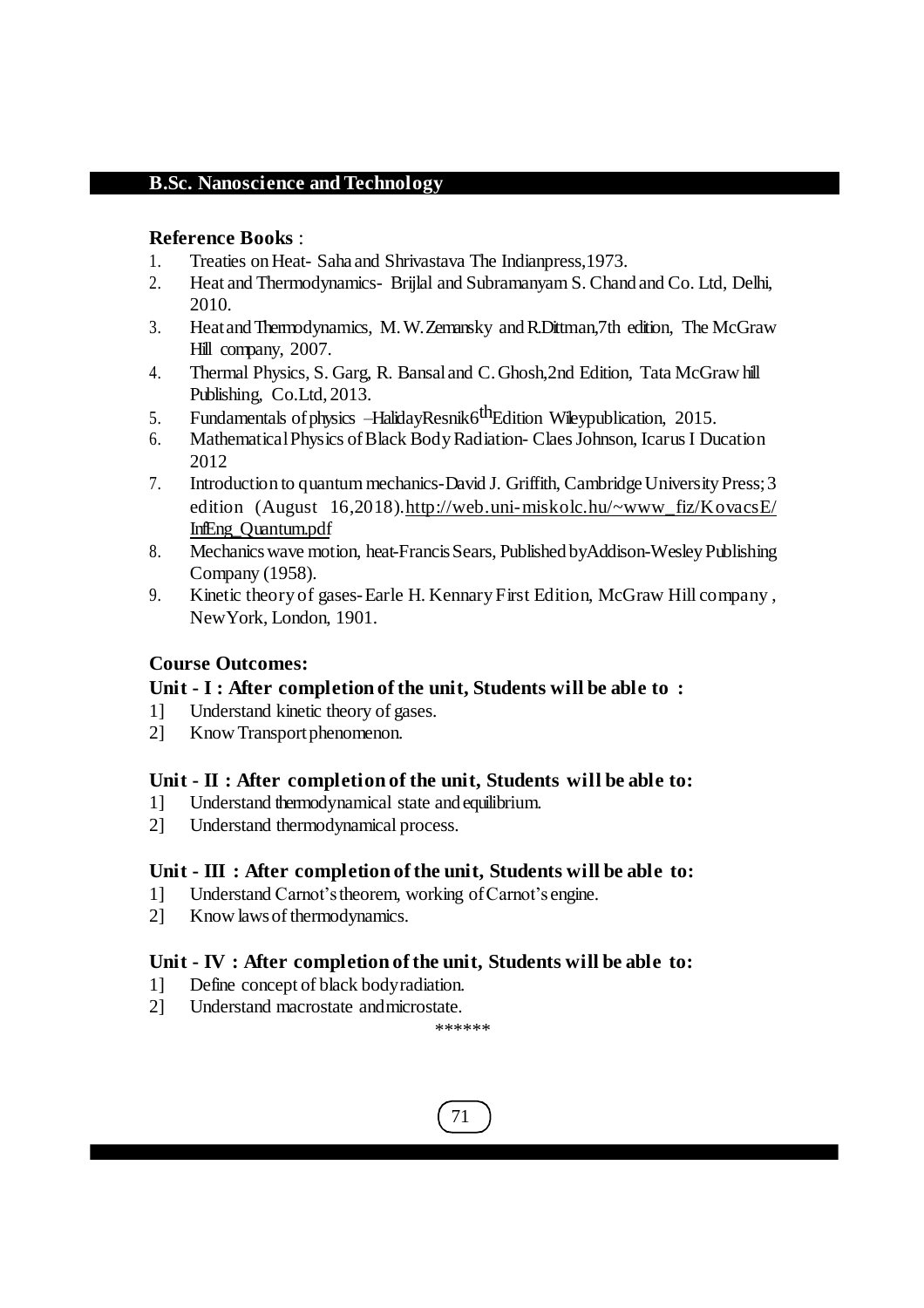#### **Reference Books** :

- 1. Treaties on Heat-Saha and Shrivastava The Indian press, 1973.
- 2. Heat and Thermodynamics- Brijlal and Subramanyam S. Chand and Co. Ltd, Delhi, 2010.
- 3. HeatandThermodynamics, M.W.Zemansky andR.Dittman,7th edition, The McGraw Hill company, 2007.
- 4. Thermal Physics, S. Garg, R. Bansaland C.Ghosh,2nd Edition, Tata McGraw hill Publishing, Co.Ltd, 2013.
- 5. Fundamentals of physics  $-HalidavResnik6<sup>th</sup>Edition. Wei>the evolution. 2015.$
- 6. MathematicalPhysics ofBlack BodyRadiation- ClaesJohnson, IcarusI Ducation 2012
- 7. Introduction to quantum mechanics-David J. Griffith, Cambridge University Press; 3 edition (August 16,2018)[.http://web.uni-miskolc.hu/~www\\_fiz/KovacsE/](http://web.uni-miskolc.hu/~www_fiz/KovacsE/) InfEng\_Quantum.pdf
- 8. Mechanics wave motion, heat-Francis Sears, Published byAddison-Wesley Publishing Company (1958).
- 9. Kinetic theory of gases-Earle H. KennaryFirst Edition, McGraw Hill company , NewYork, London, 1901.

### **Course Outcomes:**

### **Unit - I : After completion of the unit, Students will be able to :**

- 1] Understand kinetic theory of gases.
- 2] Know Transport phenomenon.

### **Unit - II : After completion of the unit, Students will be able to:**

- 1] Understand thermodynamical state and equilibrium.
- 2] Understand thermodynamical process.

### **Unit - III : After completion of the unit, Students will be able to:**

- 1] Understand Carnot'stheorem, working ofCarnot's engine.
- 2] Know laws of thermodynamics.

### **Unit - IV : After completion of the unit, Students will be able to:**

- 1] Define concept of black bodyradiation.
- 2] Understand macrostate andmicrostate.

\*\*\*\*\*\*

71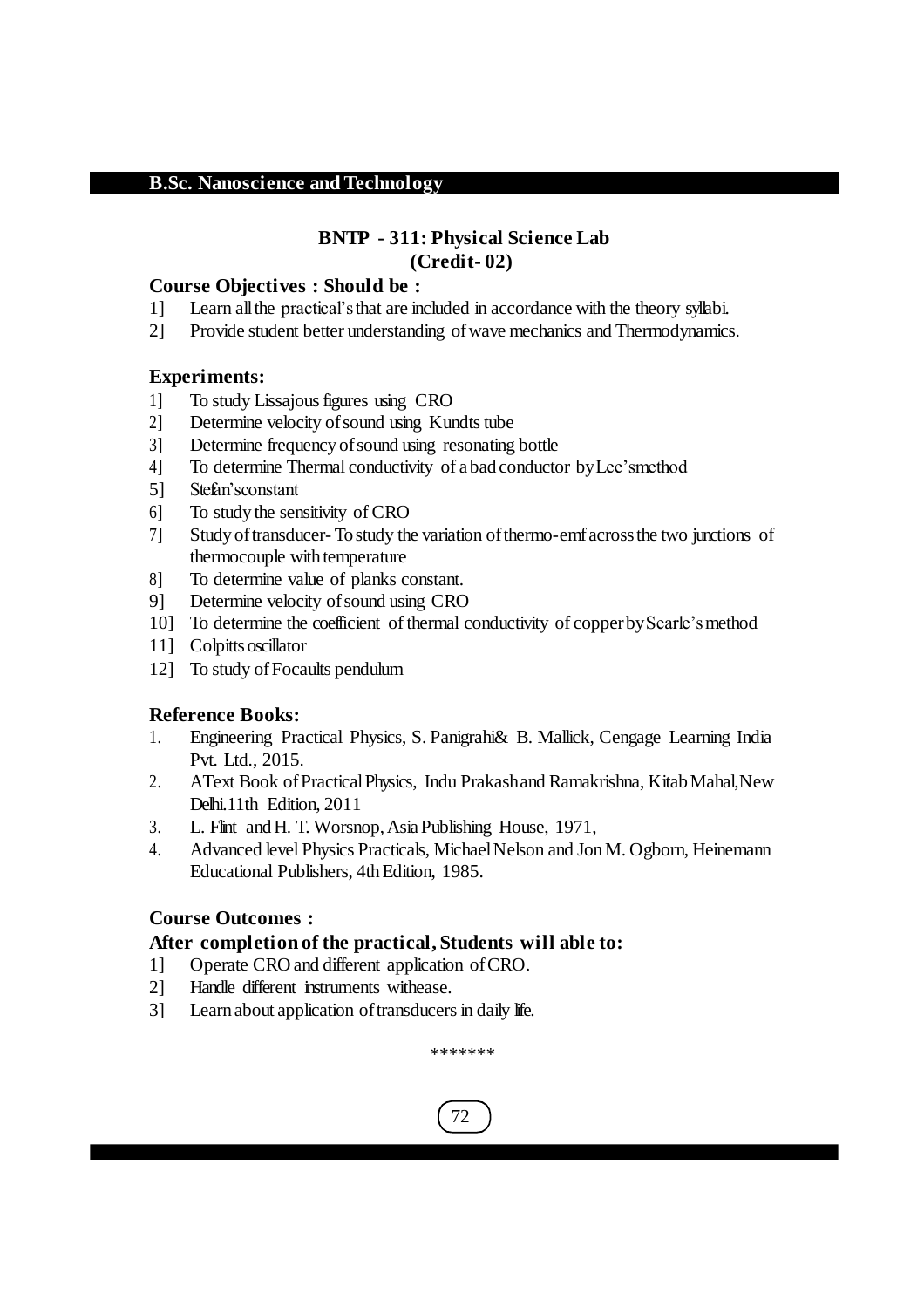### **BNTP - 311: Physical Science Lab (Credit- 02)**

#### **Course Objectives : Should be :**

- 1] Learn allthe practical'sthat are included in accordance with the theory syllabi.
- 2] Provide student better understanding ofwave mechanics and Thermodynamics.

#### **Experiments:**

- 1] To study Lissajous figures using CRO
- 2] Determine velocity of sound using Kundts tube
- 3] Determine frequency ofsound using resonating bottle
- 4] To determine Thermal conductivity of abad conductor byLee'smethod
- 5] Stefan'sconstant
- 6] To study the sensitivity of CRO
- 7] Study oftransducer- Tostudy the variation ofthermo-emfacrossthe two junctions of thermocouple with temperature
- 8] To determine value of planks constant.
- 9] Determine velocity ofsound using CRO
- 10] To determine the coefficient of thermal conductivity of copperbySearle'smethod
- 11] Colpitts oscillator
- 12] To study ofFocaults pendulum

#### **Reference Books:**

- 1. Engineering Practical Physics, S. Panigrahi& B. Mallick, Cengage Learning India Pvt. Ltd., 2015.
- 2. AText Book of Practical Physics, Indu Prakashand Ramakrishna, Kitab Mahal, New Delhi.11th Edition, 2011
- 3. L. Flint andH. T. Worsnop,AsiaPublishing House, 1971,
- 4. Advanced level Physics Practicals, Michael Nelson and Jon M. Ogborn, Heinemann Educational Publishers, 4th Edition, 1985.

#### **Course Outcomes :**

#### **After completion of the practical, Students will able to:**

- 1] Operate CRO and different application ofCRO.
- 2] Handle different instruments withease.
- 3] Learn about application of transducers in daily life.

\*\*\*\*\*\*\*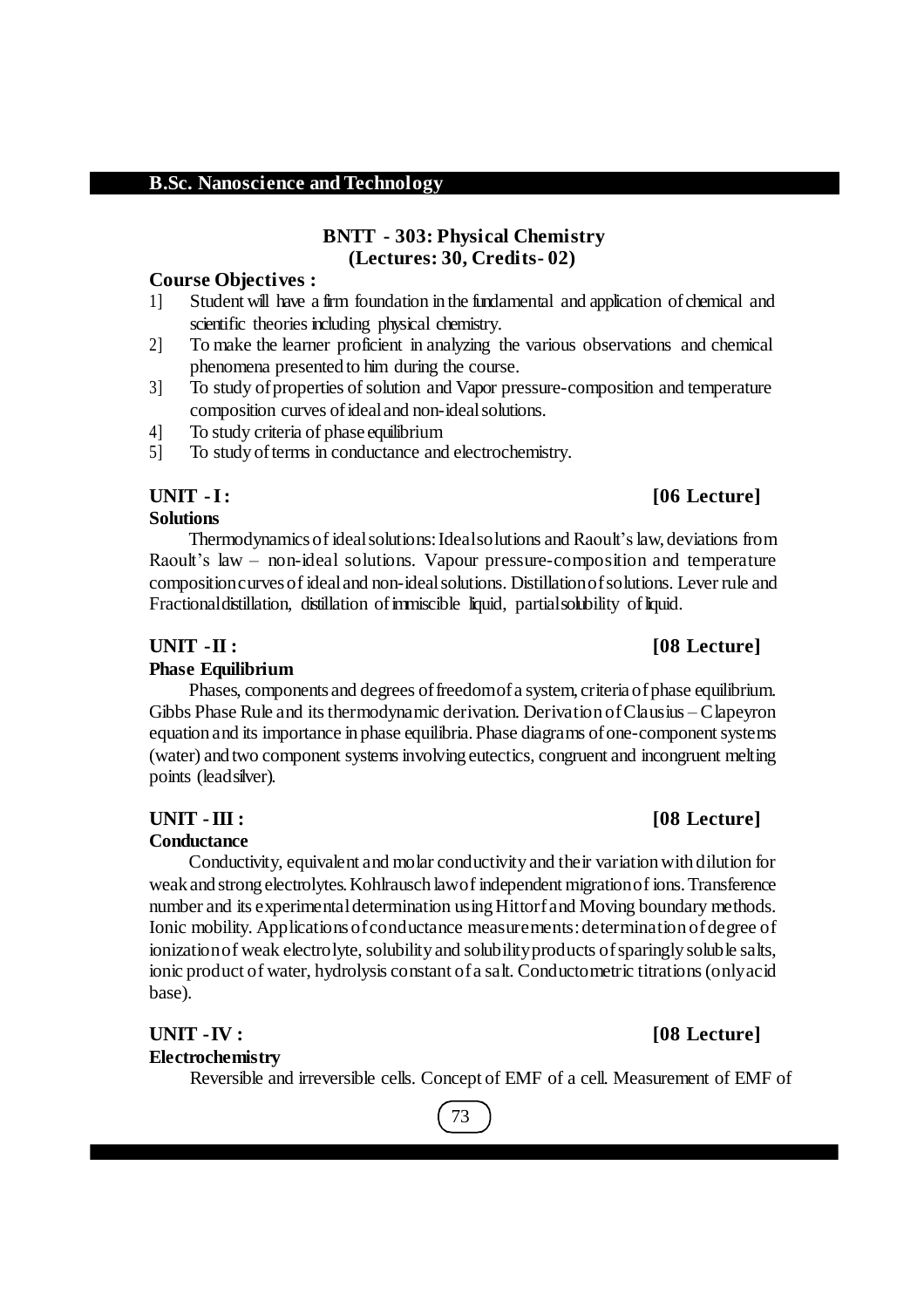#### **BNTT - 303: Physical Chemistry (Lectures: 30, Credits- 02)**

#### **Course Objectives :**

- 1] Student will have a firm foundation in the fundamental and application ofchemical and scientific theories including physical chemistry.
- 2] To make the learner proficient in analyzing the various observations and chemical phenomena presented to him during the course.
- 3] To study ofproperties ofsolution and Vapor pressure-composition and temperature composition curves ofidealand non-idealsolutions.
- 4] To study criteria of phase equilibrium
- 5] To study ofterms in conductance and electrochemistry.

## **UNIT -I: [06 Lecture]**

### **Solutions**

Thermodynamicsof idealsolutions:Idealsolutions and Raoult'slaw, deviations from Raoult's law – non-ideal solutions. Vapour pressure-composition and temperature compositioncurvesof idealand non-idealsolutions. Distillationofsolutions. Lever rule and Fractional distillation, distillation of immiscible liquid, partial solubility of liquid.

#### **UNIT -II : [08 Lecture]**

### **Phase Equilibrium**

Phases, components and degrees of freedomof a system, criteria of phase equilibrium. Gibbs Phase Rule and itsthermodynamic derivation. Derivation ofClausius – Clapeyron equation and its importance in phase equilibria. Phase diagrams of one-component systems (water) and two component systemsinvolving eutectics, congruent and incongruent melting points (leadsilver).

#### **Conductance**

Conductivity, equivalent and molar conductivity and their variation with dilution for weak and strong electrolytes.Kohlrausch lawof independent migrationof ions.Transference number and its experimental determination using Hittorf and Moving boundary methods. Ionic mobility. Applications of conductance measurements: determination of degree of ionization of weak electrolyte, solubility and solubility products of sparingly soluble salts, ionic product of water, hydrolysis constant ofa salt. Conductometric titrations(onlyacid base).

## **UNIT -IV : [08 Lecture]**

**Electrochemistry**

Reversible and irreversible cells. Concept of EMF of a cell. Measurement of EMF of

# 73

## **UNIT -III : [08 Lecture]**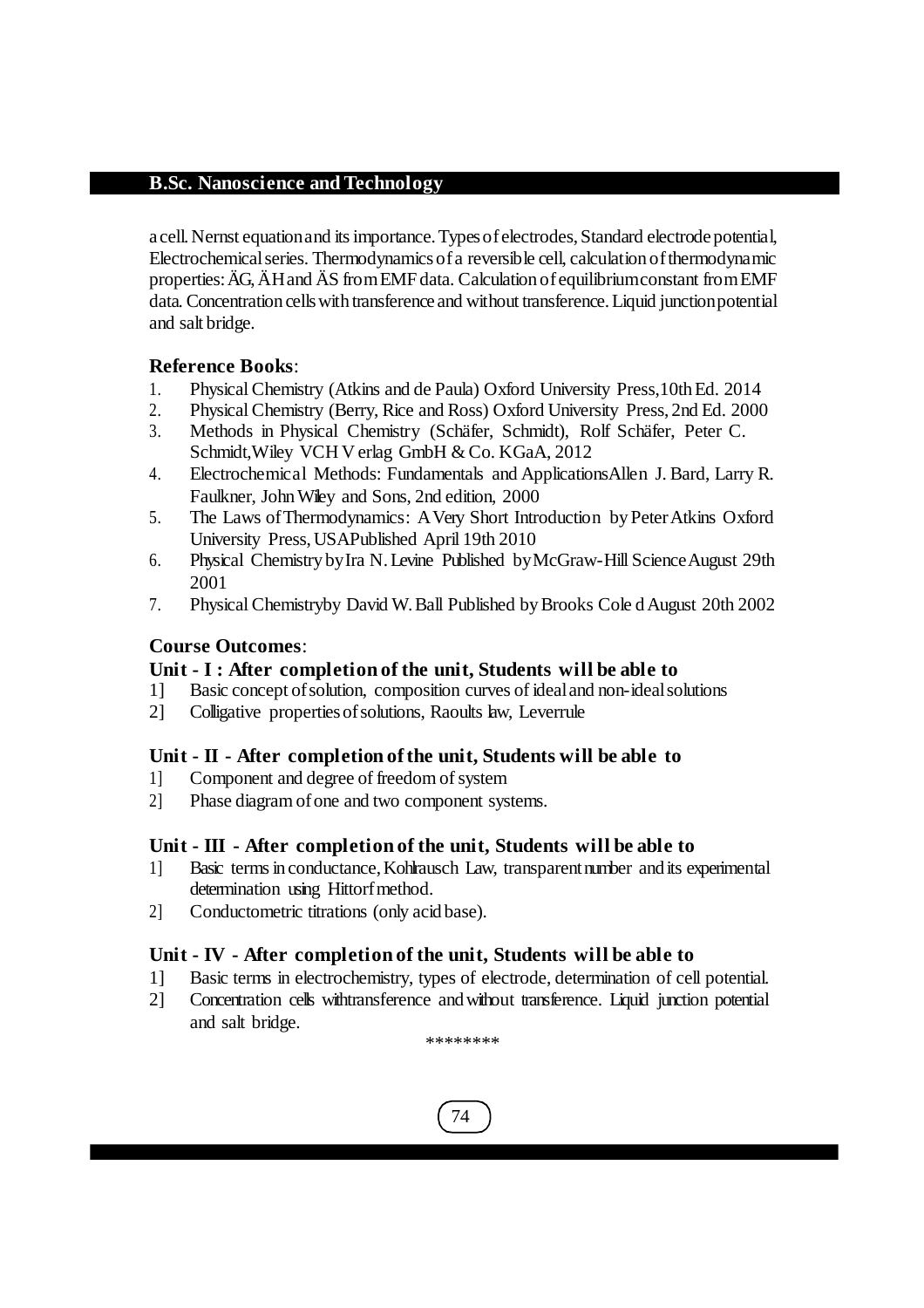a cell.Nernst equationand itsimportance.Typesofelectrodes,Standard electrode potential, Electrochemicalseries. Thermodynamicsofa reversible cell, calculation ofthermodynamic properties:ÄG, ÄHand ÄS fromEMFdata. Calculation ofequilibriumconstant fromEMF data. Concentration cellswith transference and without transference.Liquid junctionpotential and salt bridge.

### **Reference Books**:

- 1. PhysicalChemistry (Atkins and de Paula) Oxford University Press,10thEd. 2014
- 2. PhysicalChemistry (Berry, Rice and Ross) Oxford University Press, 2nd Ed. 2000
- 3. Methods in Physical Chemistry (Schäfer, Schmidt), Rolf Schäfer, Peter C. Schmidt,Wiley VCH V erlag GmbH & Co. KGaA, 2012
- 4. Electrochemical Methods: Fundamentals and ApplicationsAllen J. Bard, Larry R. Faulkner, JohnWiley and Sons, 2nd edition, 2000
- 5. The Laws ofThermodynamics: AVery Short Introduction byPeterAtkins Oxford University Press,USAPublished April 19th 2010
- 6. Physical Chemistry byIra N.Levine Published byMcGraw-Hill ScienceAugust 29th 2001
- 7. PhysicalChemistryby David W.Ball Published byBrooks Cole dAugust 20th 2002

### **Course Outcomes**:

### **Unit - I : After completion of the unit, Students will be able to**

- 1] Basic concept ofsolution, composition curves of idealand non-idealsolutions
- 2] Colligative propertiesofsolutions, Raoults law, Leverrule

### **Unit - II - After completion of the unit, Students will be able to**

- 1] Component and degree of freedom of system
- 2] Phase diagram ofone and two component systems.

### **Unit - III - After completion of the unit, Students will be able to**

- 1] Basic termsin conductance,Kohlrausch Law, transparentnumber and its experimental determination using Hittorf method.
- 2] Conductometric titrations (only acid base).

### **Unit - IV - After completion of the unit, Students will be able to**

- 1] Basic terms in electrochemistry, types of electrode, determination of cell potential.
- 2] Concentration cells withtransference andwithout transference. Liquid junction potential and salt bridge.

\*\*\*\*\*\*\*\*

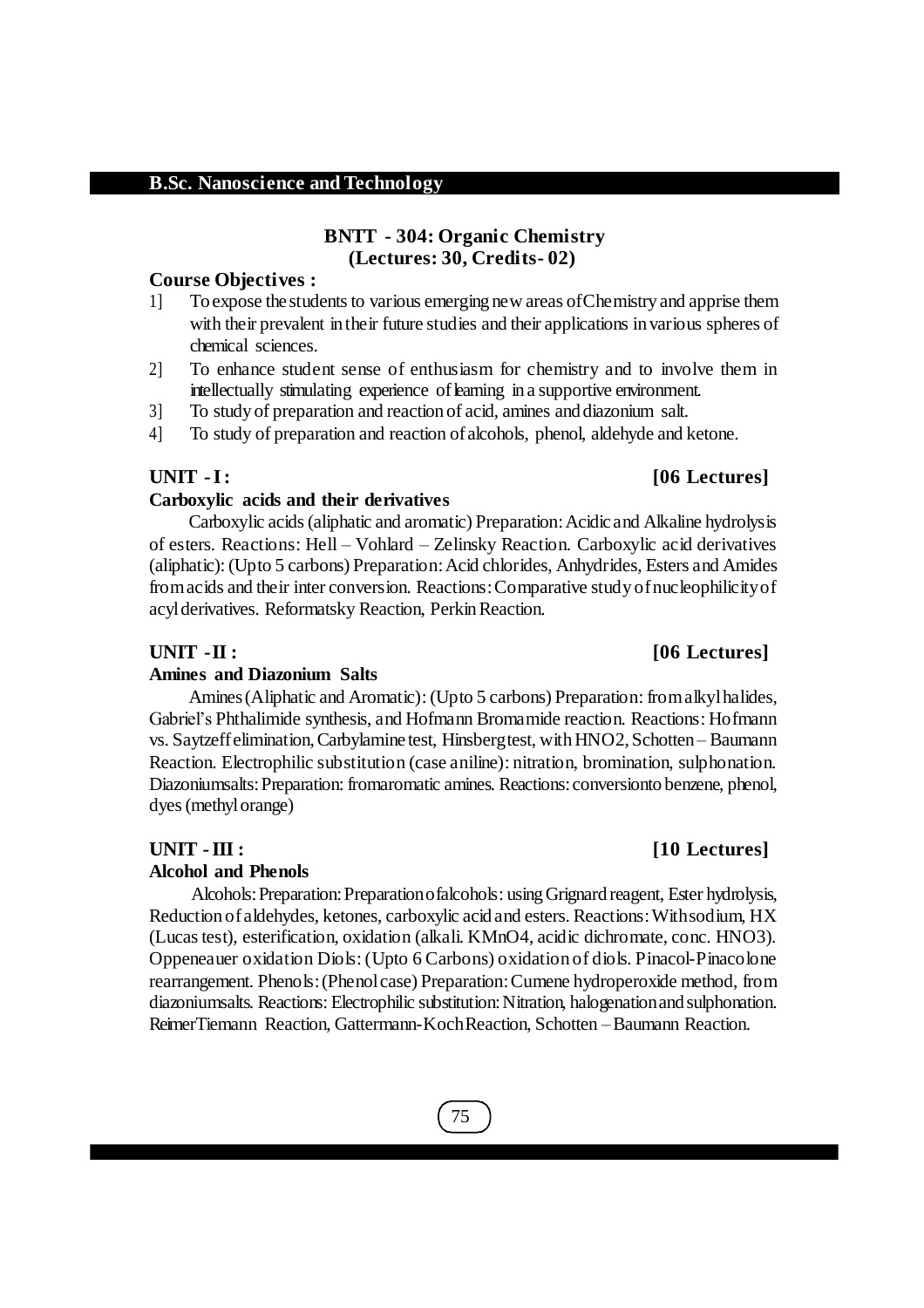## 75

## **BNTT - 304: Organic Chemistry (Lectures: 30, Credits- 02)**

#### **Course Objectives :**

- 1] To expose the students to various emerging new areas of Chemistry and apprise them with their prevalent intheir future studies and their applications in various spheres of chemical sciences.
- 2] To enhance student sense of enthusiasm for chemistry and to involve them in intellectually stimulating experience of learning in a supportive environment.
- 3] To study of preparation and reaction of acid, amines and diazonium salt.
- 4] To study of preparation and reaction ofalcohols, phenol, aldehyde and ketone.

### **Carboxylic acids and their derivatives**

**B.Sc. Nanoscience and Technology**

Carboxylic acids(aliphatic and aromatic) Preparation:Acidic and Alkaline hydrolysis of esters. Reactions: Hell – Vohlard – Zelinsky Reaction. Carboxylic acid derivatives (aliphatic): (Upto 5 carbons) Preparation:Acid chlorides, Anhydrides, Esters and Amides fromacids and their inter conversion. Reactions:Comparative study ofnucleophilicityof acyl derivatives. Reformatsky Reaction, Perkin Reaction.

## **UNIT -II : [06 Lectures]**

### **Amines and Diazonium Salts**

Amines(Aliphatic and Aromatic): (Upto 5 carbons) Preparation: fromalkylhalides, Gabriel's Phthalimide synthesis, and Hofmann Bromamide reaction. Reactions: Hofmann vs. Saytzeff elimination, Carbylamine test, Hinsbergtest, with HNO2, Schotten – Baumann Reaction. Electrophilic substitution (case aniline): nitration, bromination, sulphonation. Diazoniumsalts:Preparation: fromaromatic amines. Reactions:conversionto benzene, phenol, dyes (methylorange)

## **UNIT -III : [10 Lectures]**

## **Alcohol and Phenols**

Alcohols: Preparation: Preparation of alcohols: using Grignard reagent, Ester hydrolysis, Reduction ofaldehydes, ketones, carboxylic acid and esters. Reactions:Withsodium, HX (Lucastest), esterification, oxidation (alkali. KMnO4, acidic dichromate, conc. HNO3). Oppeneauer oxidation Diols: (Upto 6 Carbons) oxidation of diols. Pinacol-Pinacolone rearrangement. Phenols:(Phenolcase) Preparation:Cumene hydroperoxide method, from diazoniumsalts. Reactions: Electrophilic substitution:Nitration, halogenationand sulphonation. ReimerTiemann Reaction, Gattermann-KochReaction, Schotten –Baumann Reaction.

## **UNIT -I: [06 Lectures]**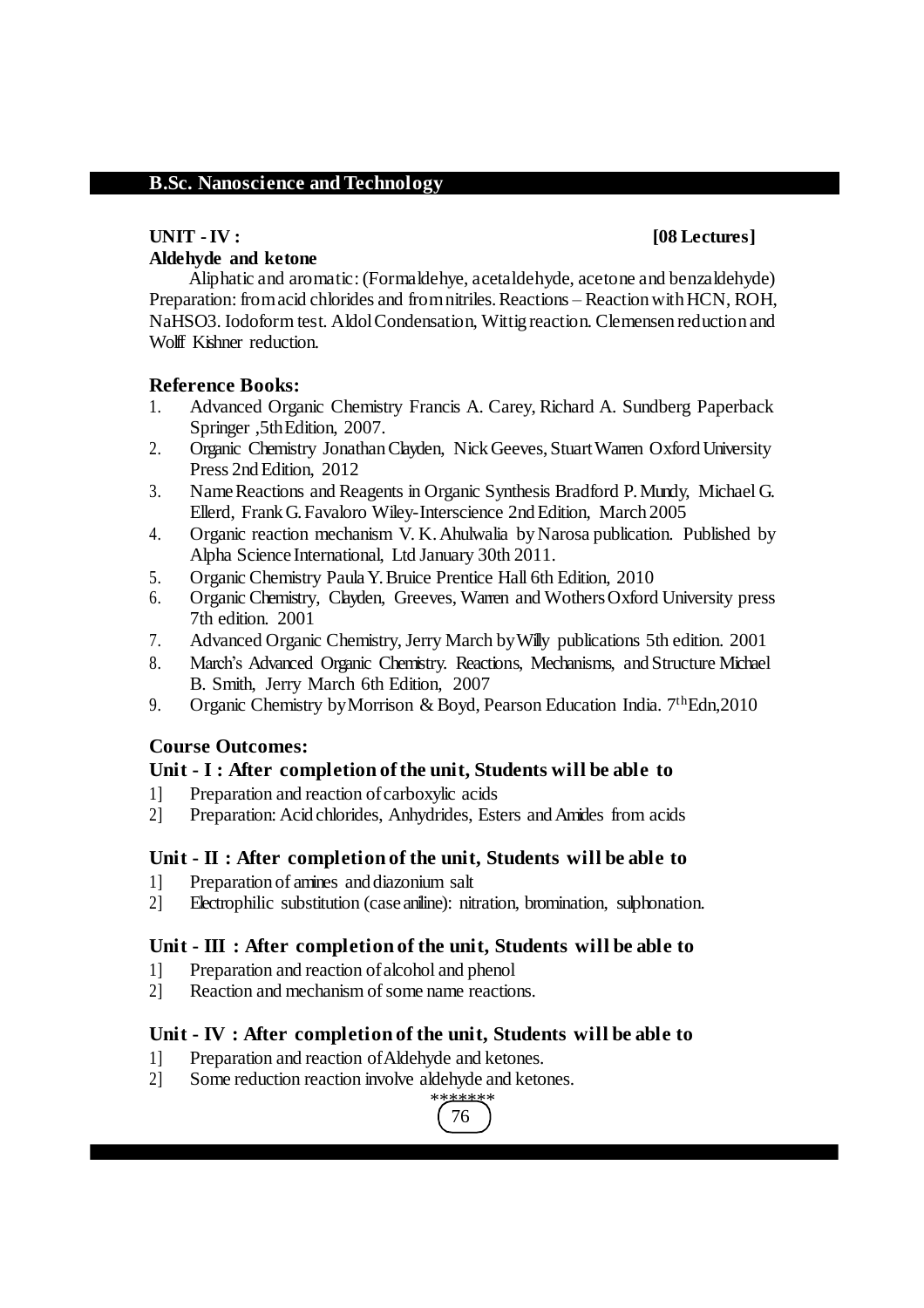## **Aldehyde and ketone**

#### **UNIT -IV : [08 Lectures]**

Aliphatic and aromatic: (Formaldehye, acetaldehyde, acetone and benzaldehyde) Preparation: from acid chlorides and from nitriles. Reactions – Reaction with HCN, ROH, NaHSO3. Iodoform test. AldolCondensation, Wittig reaction. Clemensen reduction and Wolff Kishner reduction.

#### **Reference Books:**

- 1. Advanced Organic Chemistry Francis A. Carey, Richard A. Sundberg Paperback Springer ,5thEdition, 2007.
- 2. Organic Chemistry Jonathan Clayden, Nick Geeves, Stuart Warren Oxford University Press 2nd Edition, 2012
- 3. NameReactions and Reagents in Organic Synthesis Bradford P.Mundy, Michael G. Ellerd, FrankG.Favaloro Wiley-Interscience 2ndEdition, March 2005
- 4. Organic reaction mechanism V. K.Ahulwalia byNarosa publication. Published by Alpha Science International, Ltd January 30th 2011.
- 5. Organic Chemistry PaulaY.Bruice Prentice Hall 6th Edition, 2010
- 6. Organic Chemistry, Clayden, Greeves, Warren and WothersOxford University press 7th edition. 2001
- 7. Advanced Organic Chemistry, Jerry March byWilly publications 5th edition. 2001
- 8. March's Advanced Organic Chemistry. Reactions, Mechanisms, and Structure Michael B. Smith, Jerry March 6th Edition, 2007
- 9. Organic Chemistry by Morrison & Boyd, Pearson Education India. 7<sup>th</sup>Edn, 2010

#### **Course Outcomes:**

#### **Unit - I : After completion of the unit, Students will be able to**

- 1] Preparation and reaction ofcarboxylic acids
- 2] Preparation: Acid chlorides, Anhydrides, Esters andAmides from acids

#### **Unit - II : After completion of the unit, Students will be able to**

- 1] Preparation of amines and diazonium salt
- 2] Electrophilic substitution (case aniline): nitration, bromination, sulphonation.

#### **Unit - III : After completion of the unit, Students will be able to**

- 1] Preparation and reaction ofalcohol and phenol
- 2] Reaction and mechanism of some name reactions.

#### **Unit - IV : After completion of the unit, Students will be able to**

- 1] Preparation and reaction ofAldehyde and ketones.
- 2] Some reduction reaction involve aldehyde and ketones.

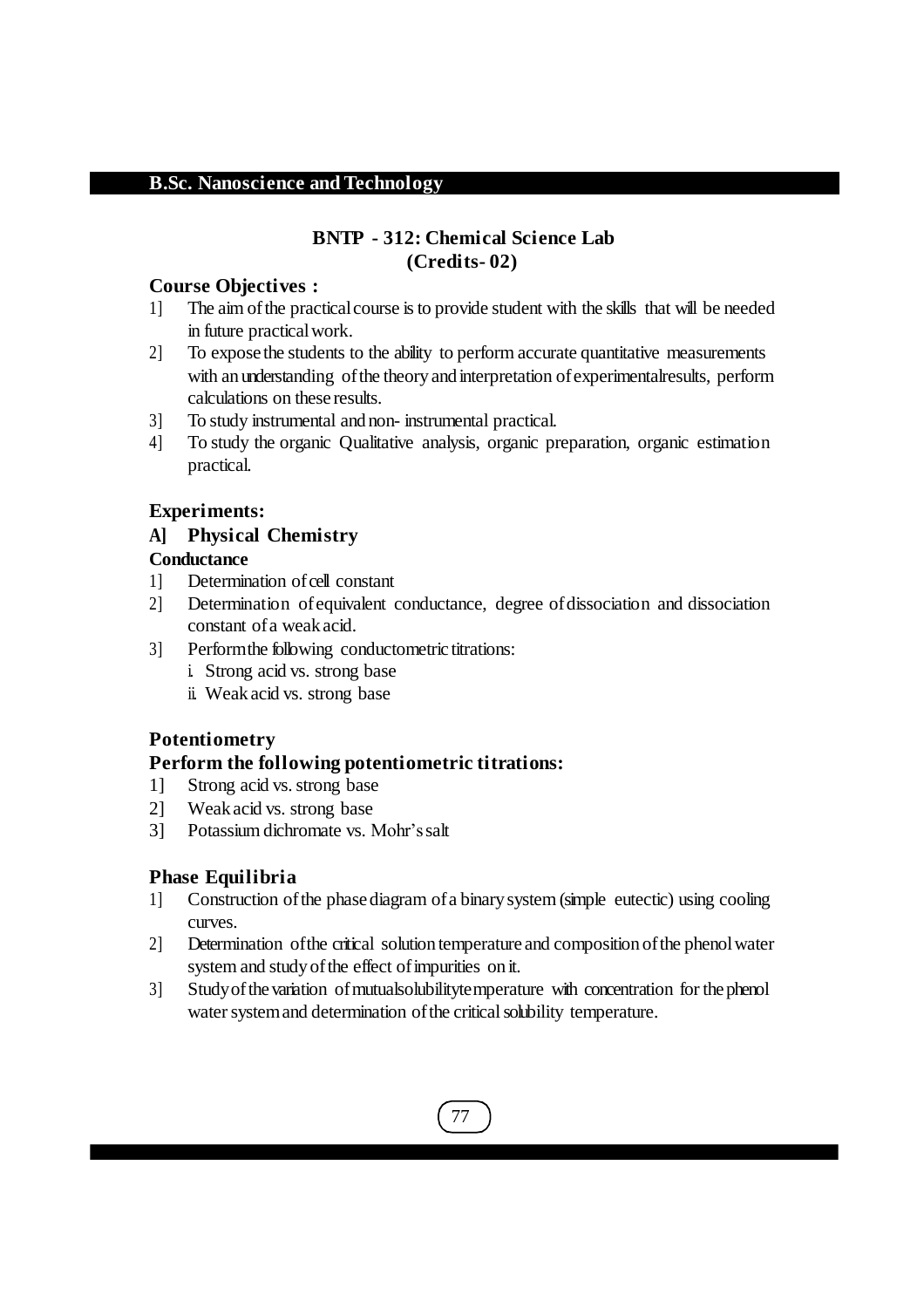## **BNTP - 312: Chemical Science Lab (Credits- 02)**

#### **Course Objectives :**

- 1] The aim ofthe practicalcourse isto provide student with the skills that will be needed in future practicalwork.
- 2] To expose the students to the ability to perform accurate quantitative measurements with an understanding of the theory and interpretation of experimental results, perform calculations on these results.
- 3] To study instrumental and non- instrumental practical.
- 4] To study the organic Qualitative analysis, organic preparation, organic estimation practical.

### **Experiments:**

### **A] Physical Chemistry**

### **Conductance**

- 1] Determination of cell constant
- 2] Determination ofequivalent conductance, degree ofdissociation and dissociation constant ofa weak acid.
- 3] Performthe following conductometric titrations:
	- i. Strong acid vs. strong base
	- ii. Weak acid vs. strong base

### **Potentiometry**

### **Perform the following potentiometric titrations:**

- 1] Strong acid vs. strong base
- 2] Weak acid vs. strong base
- 3] Potassium dichromate vs. Mohr'ssalt

### **Phase Equilibria**

- 1] Construction ofthe phasediagram ofa binary system (simple eutectic) using cooling curves.
- 2] Determination of the critical solution temperature and composition of the phenol water system and study of the effect of impurities on it.
- 3] Studyofthevariation ofmutualsolubilitytemperature with concentration for thephenol water system and determination of the critical solubility temperature.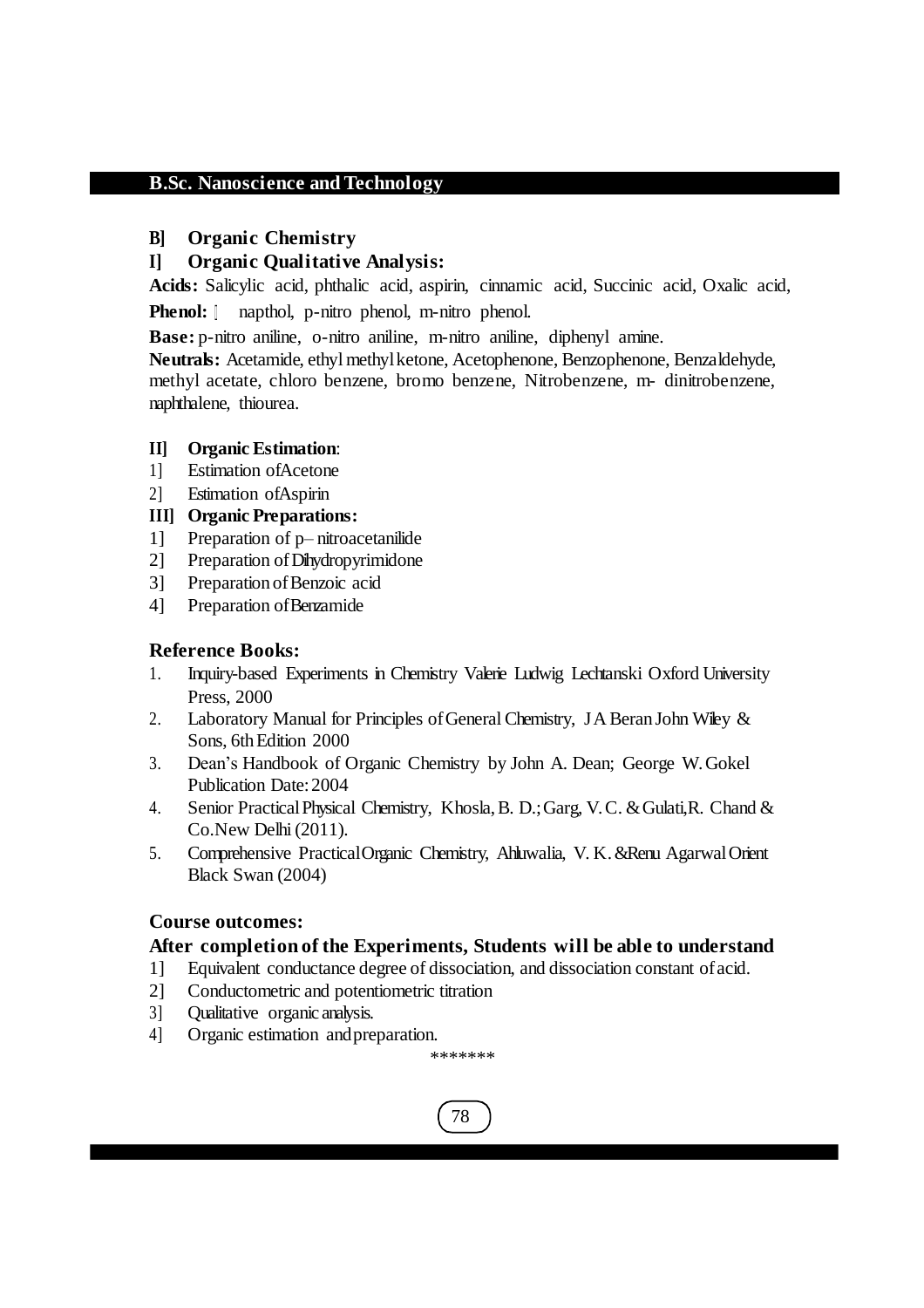#### **B] Organic Chemistry**

### **I] Organic Qualitative Analysis:**

**Acids:** Salicylic acid, phthalic acid, aspirin, cinnamic acid, Succinic acid, Oxalic acid,

**Phenol:**  $\parallel$  napthol, p-nitro phenol, m-nitro phenol.

**Base:** p-nitro aniline, o-nitro aniline, m-nitro aniline, diphenyl amine.

**Neutrals:** Acetamide, ethyl methylketone, Acetophenone, Benzophenone, Benzaldehyde, methyl acetate, chloro benzene, bromo benzene, Nitrobenzene, m- dinitrobenzene, naphthalene, thiourea.

### **II] Organic Estimation**:

- 1] Estimation ofAcetone
- 2] Estimation ofAspirin

### **III] Organic Preparations:**

- 1] Preparation of p– nitroacetanilide
- 2] Preparation ofDihydropyrimidone
- 3] Preparation of Benzoic acid
- 4] Preparation ofBenzamide

### **Reference Books:**

- 1. Inquiry-based Experiments in Chemistry Valerie Ludwig Lechtanski Oxford University Press, 2000
- 2. Laboratory Manual for Principles of General Chemistry, JA Beran John Wiley & Sons, 6th Edition 2000
- 3. Dean's Handbook of Organic Chemistry by John A. Dean; George W. Gokel Publication Date:2004
- 4. Senior PracticalPhysical Chemistry, Khosla,B. D.;Garg, V. C. &Gulati,R. Chand & Co.New Delhi(2011).
- 5. Comprehensive PracticalOrganic Chemistry, Ahluwalia, V. K.&Renu AgarwalOrient Black Swan (2004)

### **Course outcomes:**

### **After completion of the Experiments, Students will be able to understand**

- 1] Equivalent conductance degree of dissociation, and dissociation constant ofacid.
- 2] Conductometric and potentiometric titration
- 3] Qualitative organic analysis.
- 4] Organic estimation andpreparation.

\*\*\*\*\*\*\*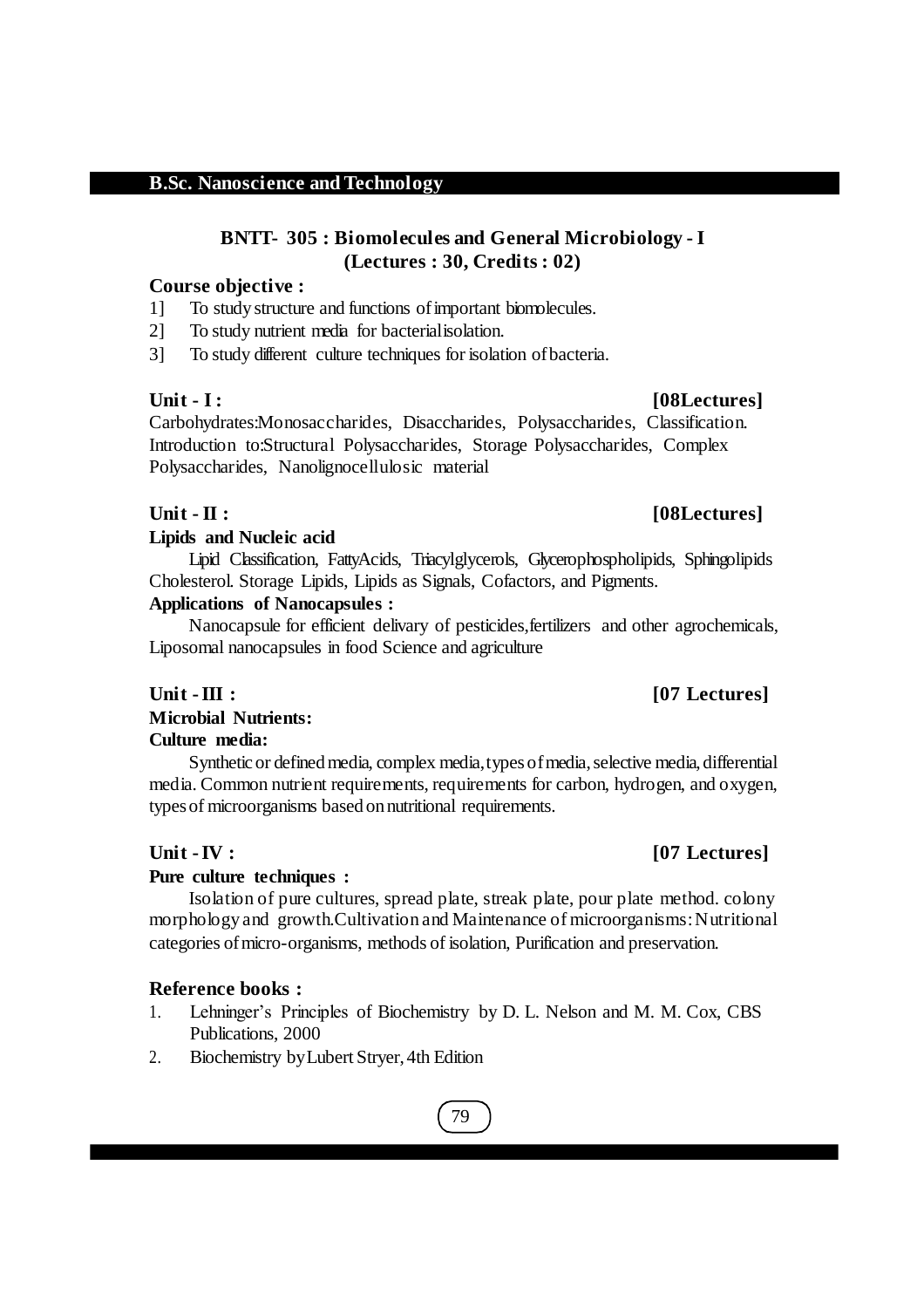### **BNTT- 305 : Biomolecules and General Microbiology - I (Lectures : 30, Credits : 02)**

#### **Course objective :**

- 1] To study structure and functions ofimportant biomolecules.
- 2] To study nutrient media for bacterialisolation.

3] To study different culture techniques for isolation ofbacteria.

Carbohydrates:Monosaccharides, Disaccharides, Polysaccharides, Classification. Introduction to:Structural Polysaccharides, Storage Polysaccharides, Complex Polysaccharides, Nanolignocellulosic material

#### **Unit - II :**  $[08 \text{Lectures}]$

#### **Lipids and Nucleic acid**

Lipid Classification, FattyAcids, Triacylglycerols, Glycerophospholipids, Sphingolipids Cholesterol. Storage Lipids, Lipids as Signals, Cofactors, and Pigments.

#### **Applications of Nanocapsules :**

Nanocapsule for efficient delivary of pesticides,fertilizers and other agrochemicals, Liposomal nanocapsules in food Science and agriculture

## **Unit -III : [07 Lectures]**

## **Microbial Nutrients:**

#### **Culture media:**

Synthetic or defined media, complex media, types of media, selective media, differential media. Common nutrient requirements, requirements for carbon, hydrogen, and oxygen, types of microorganisms based on nutritional requirements.

#### **Pure culture techniques :**

Isolation of pure cultures, spread plate, streak plate, pour plate method. colony morphology and growth. Cultivation and Maintenance of microorganisms: Nutritional categories ofmicro-organisms, methods of isolation, Purification and preservation.

### **Reference books :**

- 1. Lehninger's Principles of Biochemistry by D. L. Nelson and M. M. Cox, CBS Publications, 2000
- 2. Biochemistry byLubert Stryer, 4th Edition

## 79

## **Unit -IV : [07 Lectures]**

**Unit - I : [08Lectures]**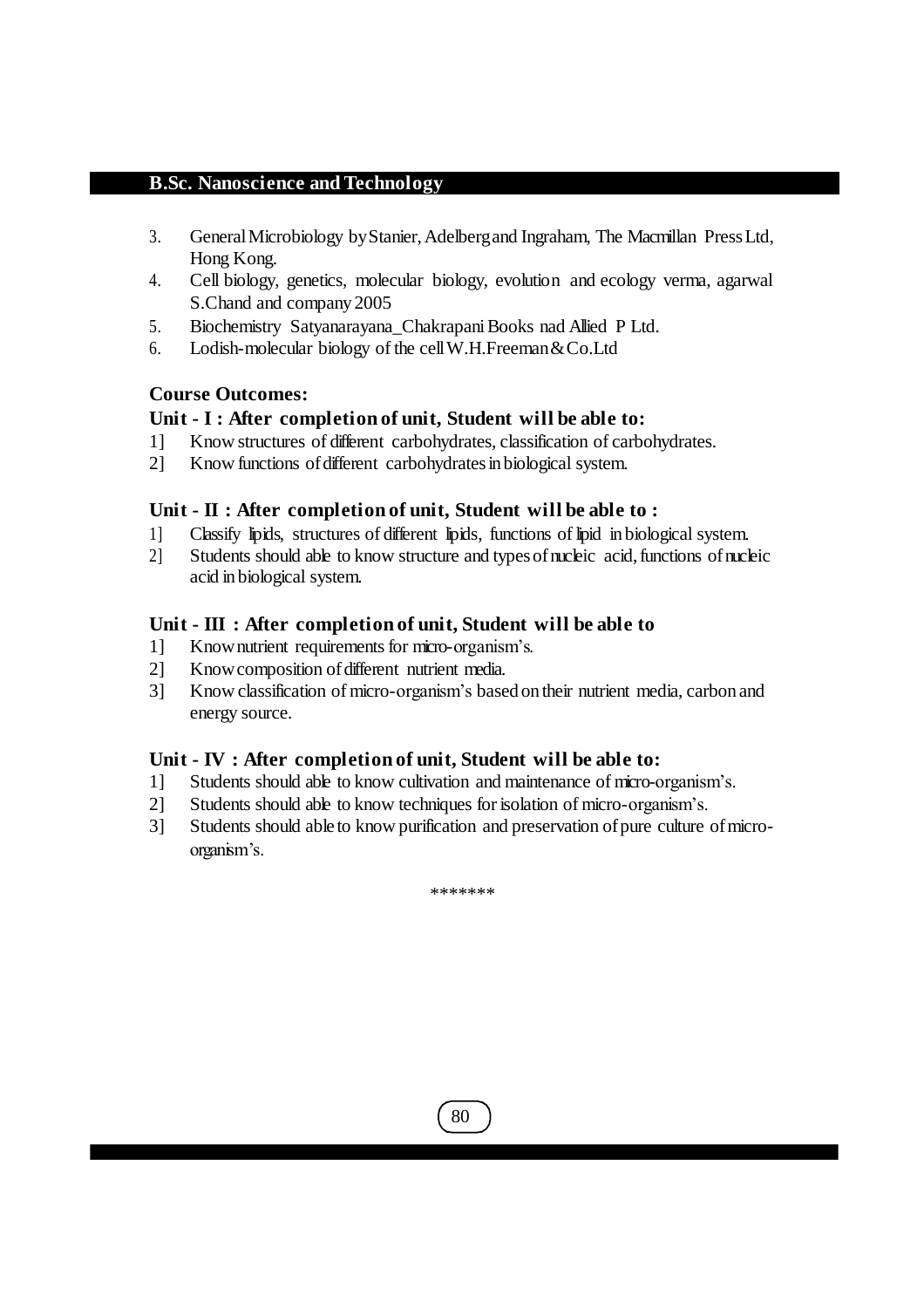- 3. GeneralMicrobiology byStanier,Adelbergand Ingraham, The Macmillan PressLtd, Hong Kong.
- 4. Cell biology, genetics, molecular biology, evolution and ecology verma, agarwal S.Chand and company 2005
- 5. Biochemistry Satyanarayana\_Chakrapani Books nad Allied P Ltd.
- 6. Lodish-molecular biology of the cellW.H.Freeman&Co.Ltd

### **Course Outcomes:**

### **Unit - I : After completion of unit, Student will be able to:**

- 1] Know structures of different carbohydrates, classification of carbohydrates.
- 2] Know functions of different carbohydrates in biological system.

#### **Unit - II : After completion of unit, Student will be able to :**

- 1] Classify lipids, structures of different lipids, functions of lipid in biological system.
- 2] Students should able to know structure and types of nucleic acid, functions of nucleic acid in biological system.

#### **Unit - III : After completion of unit, Student will be able to**

- 1] Knownutrient requirements for micro-organism's.
- 2] Know composition of different nutrient media.
- 3] Know classification of micro-organism's based ontheir nutrient media, carbon and energy source.

#### **Unit - IV : After completion of unit, Student will be able to:**

- 1] Students should able to know cultivation and maintenance of micro-organism's.
- 2] Students should able to know techniques for isolation of micro-organism's.
- 3] Students should able to know purification and preservation ofpure culture ofmicroorganism's.

\*\*\*\*\*\*\*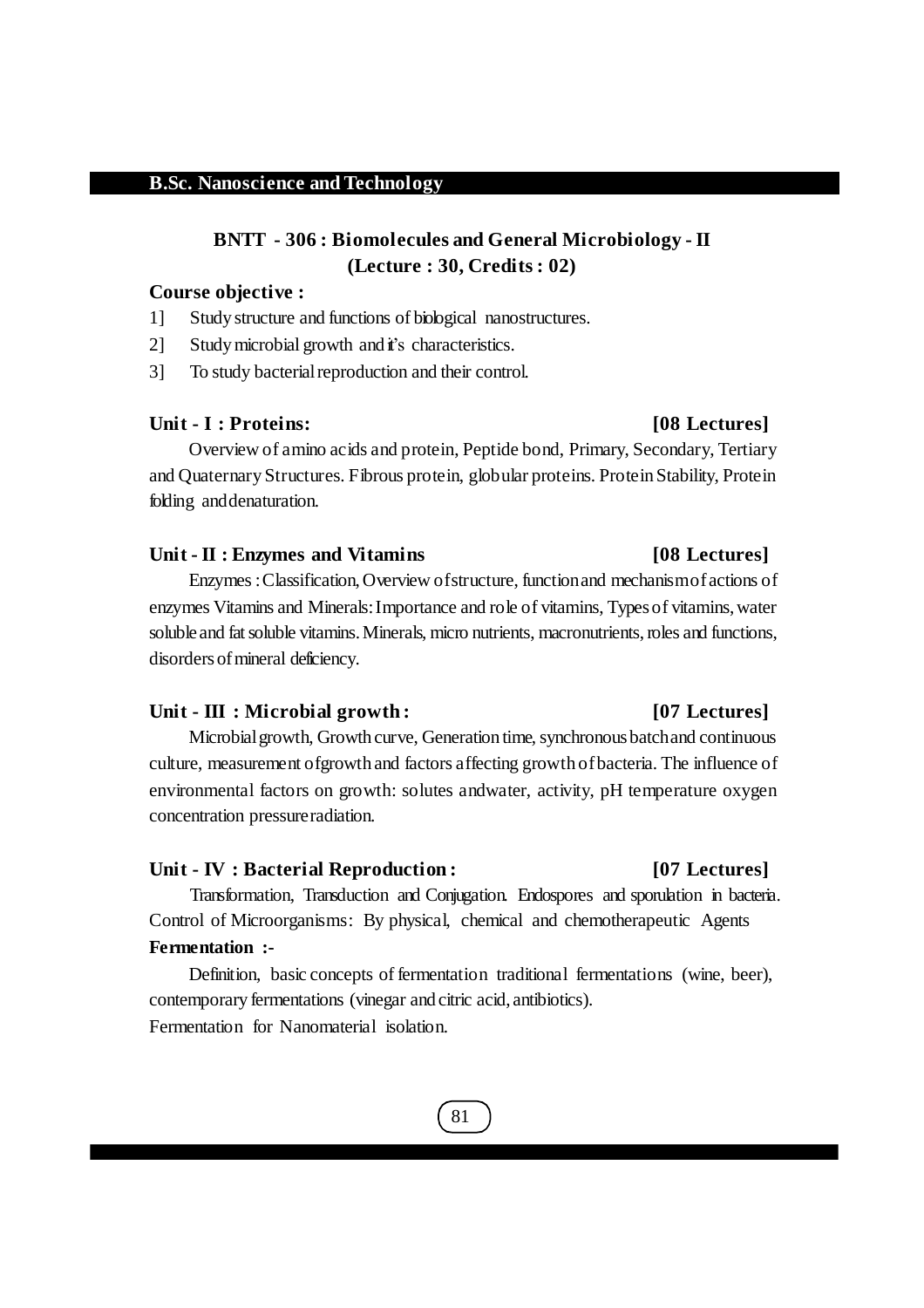## **BNTT - 306 : Biomolecules and General Microbiology - II (Lecture : 30, Credits : 02)**

#### **Course objective :**

- 1] Study structure and functions of biological nanostructures.
- 2] Study microbial growth and it's characteristics.
- 3] To study bacterial reproduction and their control.

#### **Unit - I : Proteins: [08 Lectures]**

Overview of amino acids and protein, Peptide bond, Primary, Secondary, Tertiary and Quaternary Structures. Fibrous protein, globular proteins. Protein Stability, Protein folding anddenaturation.

#### **Unit - II : Enzymes and Vitamins [08 Lectures]**

Enzymes:Classification,Overview ofstructure, functionand mechanismofactions of enzymes Vitamins and Minerals: Importance and role of vitamins, Types of vitamins, water soluble and fat soluble vitamins. Minerals, micro nutrients, macronutrients, roles and functions, disorders of mineral deficiency.

#### **Unit - III : Microbial growth : [07 Lectures]**

Microbial growth, Growth curve, Generation time, synchronous batch and continuous culture, measurement ofgrowth and factors affecting growth ofbacteria. The influence of environmental factors on growth: solutes andwater, activity, pH temperature oxygen concentration pressureradiation.

#### **Unit - IV : Bacterial Reproduction : [07 Lectures]**

Transformation, Transduction and Conjugation. Endospores and sporulation in bacteria. Control of Microorganisms: By physical, chemical and chemotherapeutic Agents **Fermentation :-**

Definition, basic concepts of fermentation traditional fermentations (wine, beer), contemporary fermentations (vinegar and citric acid, antibiotics). Fermentation for Nanomaterial isolation.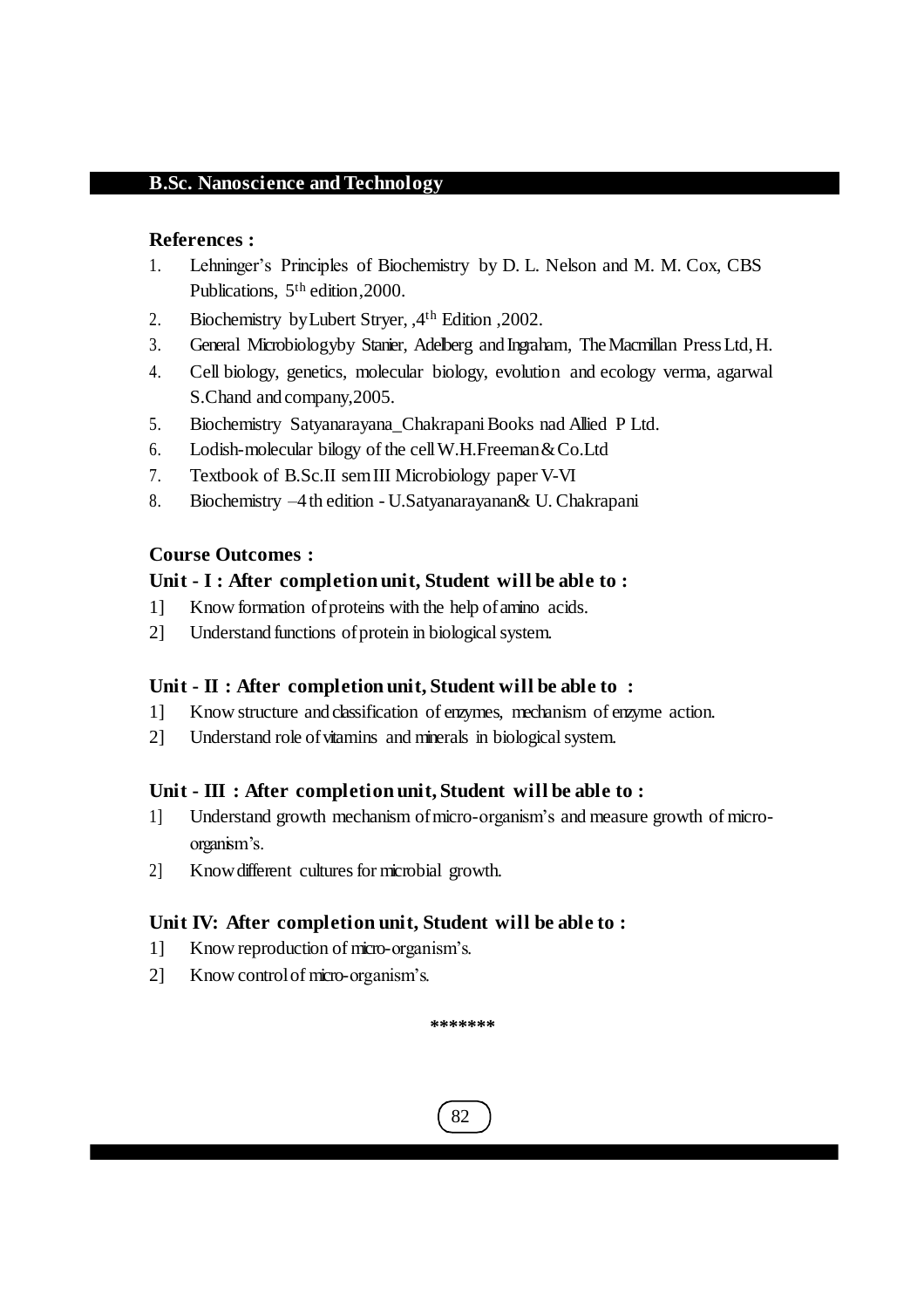#### **References :**

- 1. Lehninger's Principles of Biochemistry by D. L. Nelson and M. M. Cox, CBS Publications, 5th edition,2000.
- 2. Biochemistry byLubert Stryer, ,4th Edition ,2002.
- 3. General Microbiologyby Stanier, Adelberg and Ingraham, TheMacmillan PressLtd,H.
- 4. Cell biology, genetics, molecular biology, evolution and ecology verma, agarwal S.Chand and company,2005.
- 5. Biochemistry Satyanarayana\_Chakrapani Books nad Allied P Ltd.
- 6. Lodish-molecular bilogy of the cellW.H.Freeman&Co.Ltd
- 7. Textbook of B.Sc.II semIII Microbiology paper V-VI
- 8. Biochemistry –4th edition U.Satyanarayanan& U. Chakrapani

### **Course Outcomes :**

### **Unit - I : After completion unit, Student will be able to :**

- 1] Know formation ofproteins with the help ofamino acids.
- 2] Understand functions of protein in biological system.

### **Unit - II : After completion unit, Student will be able to :**

- 1] Know structure and classification of enzymes, mechanism of enzyme action.
- 2] Understand role of vitamins and minerals in biological system.

## **Unit - III : After completion unit, Student will be able to :**

- 1] Understand growth mechanism ofmicro-organism's and measure growth of microorganism's.
- 2] Know different cultures for microbial growth.

## **Unit IV: After completion unit, Student will be able to :**

- 1] Know reproduction of micro-organism's.
- 2] Know controlof micro-organism's.

**\*\*\*\*\*\*\***

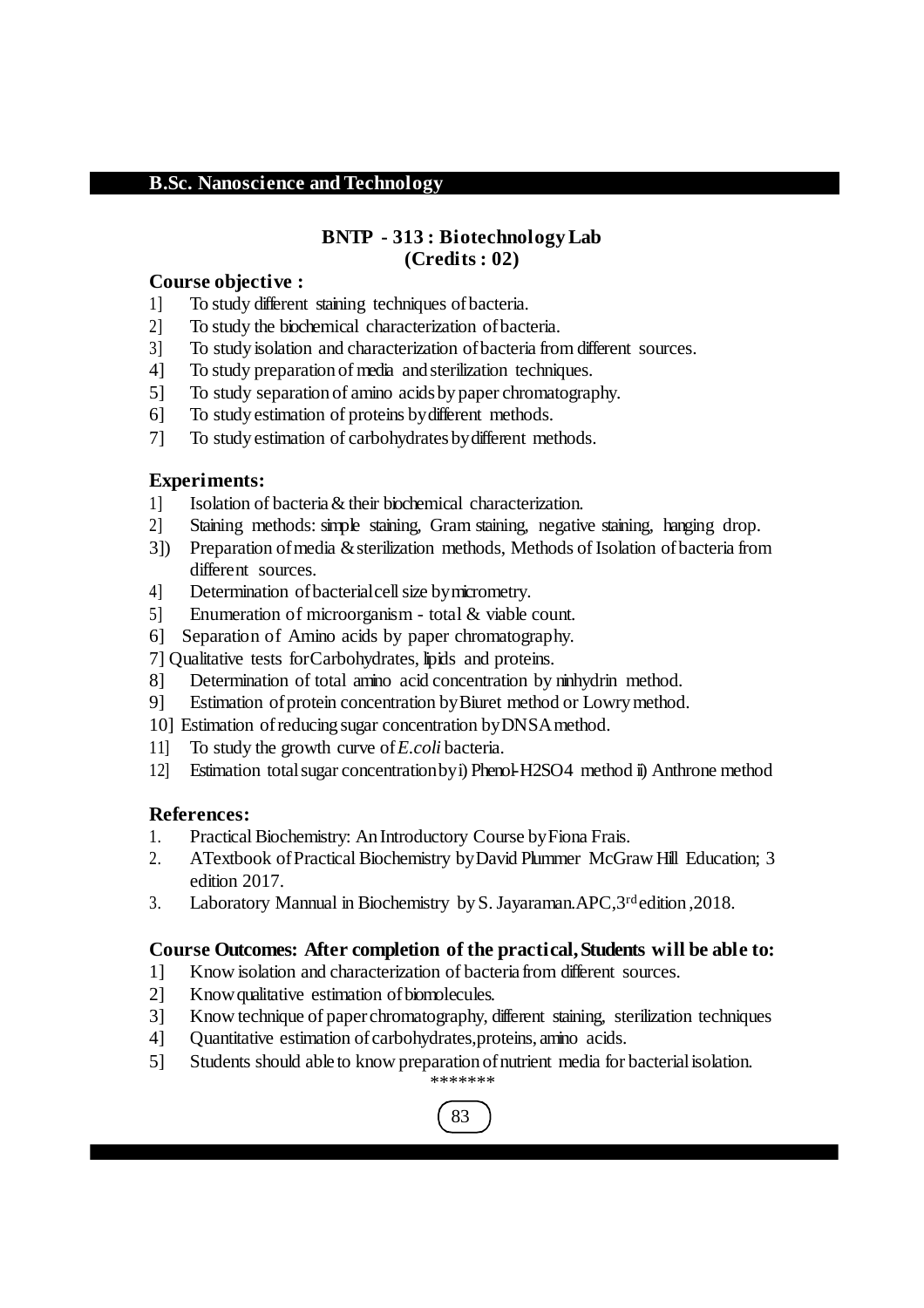#### **BNTP - 313 : Biotechnology Lab (Credits : 02)**

#### **Course objective :**

- 1] To study different staining techniques ofbacteria.
- 2] To study the biochemical characterization ofbacteria.
- 3] To study isolation and characterization ofbacteria from different sources.
- 4] To study preparation of media and sterilization techniques.
- 5] To study separation of amino acidsby paper chromatography.
- 6] To study estimation of proteins bydifferent methods.
- 7] To study estimation of carbohydrates by different methods.

#### **Experiments:**

- 1] Isolation of bacteria& their biochemical characterization.
- 2] Staining methods: simple staining, Gram staining, negative staining, hanging drop.
- 3]) Preparation ofmedia &sterilization methods, Methods of Isolation ofbacteria from different sources.
- 4] Determination ofbacterialcellsize bymicrometry.
- 5] Enumeration of microorganism total & viable count.
- 6] Separation of Amino acids by paper chromatography.
- 7] Qualitative tests forCarbohydrates, lipids and proteins.
- 8] Determination of total amino acid concentration by ninhydrin method.
- 9] Estimation of protein concentration by Biuret method or Lowry method.
- 10] Estimation ofreducing sugar concentration byDNSAmethod.
- 11] To study the growth curve of*E.coli* bacteria.
- 12] Estimation totalsugar concentrationbyi) Phenol-H2SO4 method ii) Anthrone method

#### **References:**

- 1. Practical Biochemistry: An Introductory Course byFiona Frais.
- 2. ATextbook ofPractical Biochemistry byDavid Plummer McGraw Hill Education; 3 edition 2017.
- 3. Laboratory Mannual in Biochemistry byS.Jayaraman.APC,3rd edition ,2018.

### **Course Outcomes: After completion of the practical, Students will be able to:**

- 1] Know isolation and characterization of bacteria from different sources.
- 2] Know qualitative estimation of biomolecules.
- 3] Know technique of paperchromatography, different staining, sterilization techniques
- 4] Quantitative estimation ofcarbohydrates,proteins, amino acids.
- 5] Students should able to know preparation ofnutrient media for bacterialisolation.

## 83 \*\*\*\*\*\*\*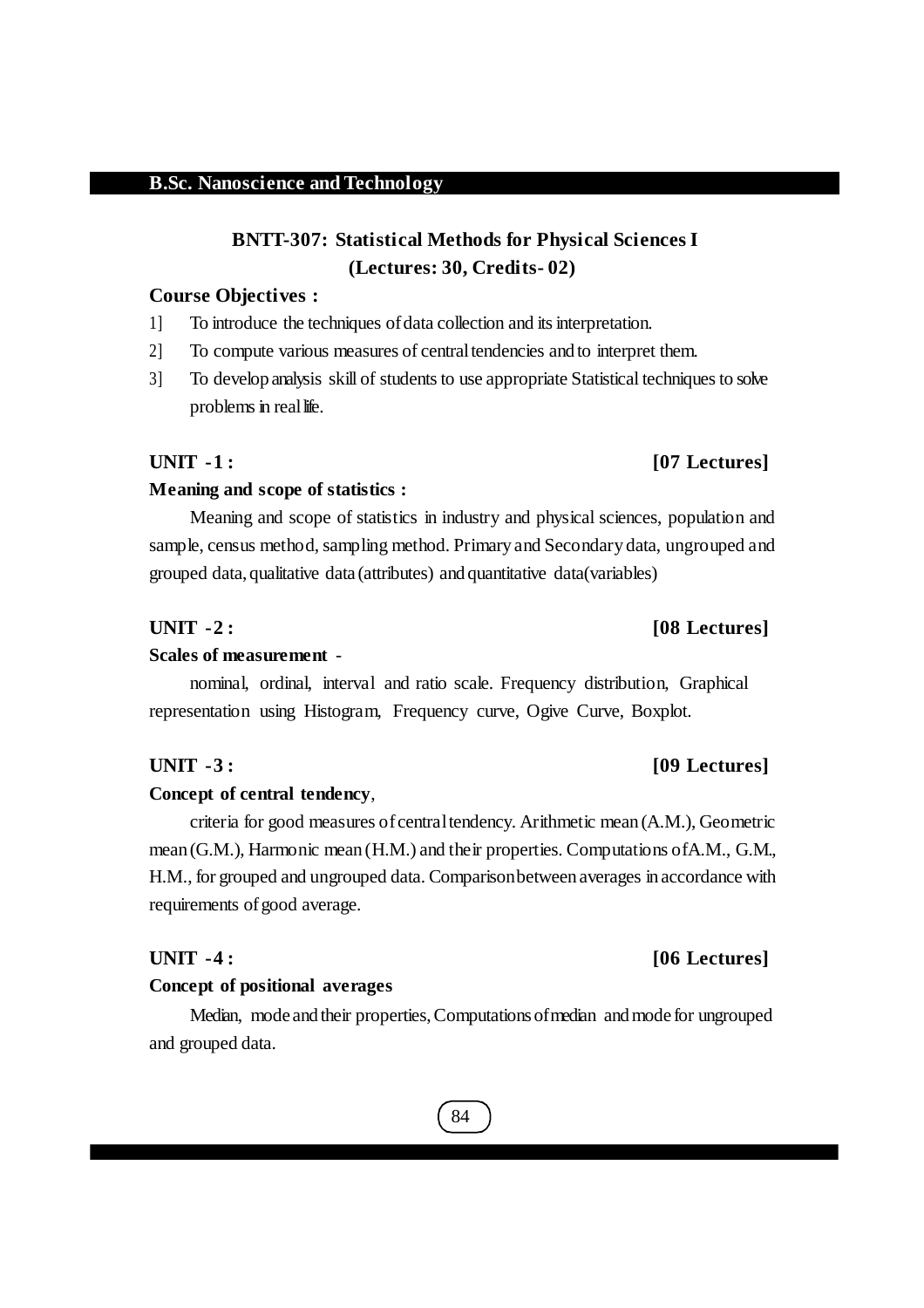## **BNTT-307: Statistical Methods for Physical Sciences I (Lectures: 30, Credits- 02)**

#### **Course Objectives :**

- 1] To introduce the techniques ofdata collection and itsinterpretation.
- 2] To compute various measures of centraltendencies and to interpret them.
- 3] To develop analysis skill of students to use appropriate Statistical techniques to solve problems in real life.

#### **Meaning and scope of statistics :**

Meaning and scope of statistics in industry and physical sciences, population and sample, census method, sampling method. Primary and Secondary data, ungrouped and grouped data, qualitative data (attributes) and quantitative data(variables)

#### **UNIT -2 : [08 Lectures]**

#### **Scales of measurement** -

nominal, ordinal, interval and ratio scale. Frequency distribution, Graphical representation using Histogram, Frequency curve, Ogive Curve, Boxplot.

#### **Concept of central tendency**,

criteria for good measures ofcentraltendency. Arithmetic mean (A.M.), Geometric mean (G.M.), Harmonic mean (H.M.) and their properties. Computations ofA.M., G.M., H.M., for grouped and ungrouped data. Comparisonbetween averages in accordance with requirements of good average.

#### **Concept of positional averages**

Median, mode and their properties, Computations of median and mode for ungrouped and grouped data.

## 84

## **UNIT -1 : [07 Lectures]**

## **UNIT -3 : [09 Lectures]**

## **UNIT -4 : [06 Lectures]**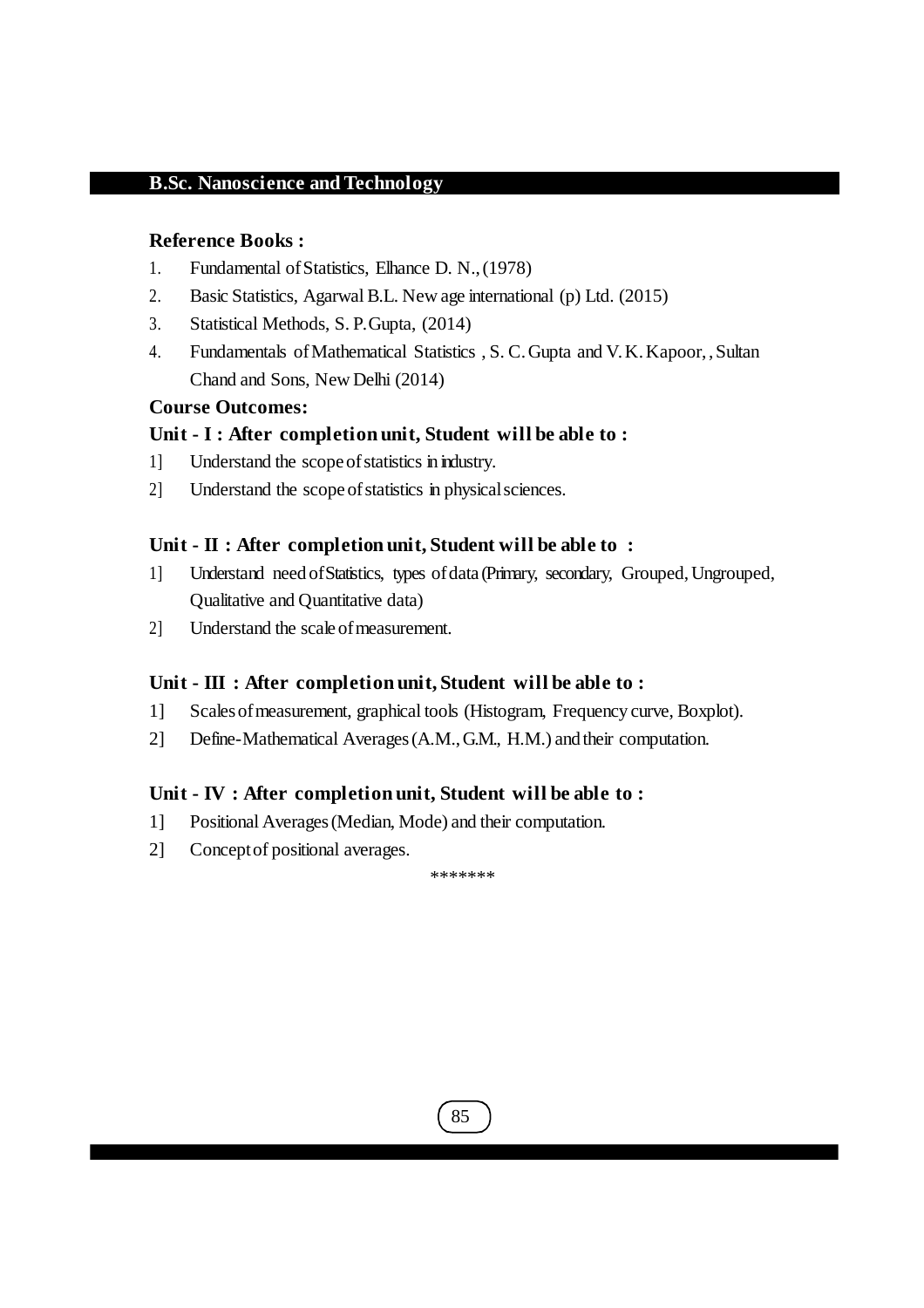#### **Reference Books :**

- 1. Fundamental ofStatistics, Elhance D. N.,(1978)
- 2. Basic Statistics, Agarwal B.L. New age international (p) Ltd. (2015)
- 3. Statistical Methods, S. P.Gupta, (2014)
- 4. Fundamentals ofMathematical Statistics , S. C.Gupta and V.K.Kapoor, ,Sultan Chand and Sons, New Delhi (2014)

#### **Course Outcomes:**

#### **Unit - I : After completion unit, Student will be able to :**

- 1] Understand the scopeofstatistics in industry.
- 2] Understand the scopeofstatistics in physicalsciences.

#### **Unit - II : After completion unit, Student will be able to :**

- 1] Understand need of Statistics, types of data (Primary, secondary, Grouped, Ungrouped, Qualitative and Quantitative data)
- 2] Understand the scale of measurement.

#### **Unit - III : After completion unit, Student will be able to :**

- 1] Scalesofmeasurement, graphical tools (Histogram, Frequency curve, Boxplot).
- 2] Define-Mathematical Averages(A.M.,G.M., H.M.) and their computation.

### **Unit - IV : After completion unit, Student will be able to :**

- 1] Positional Averages(Median, Mode) and their computation.
- 2] Conceptof positional averages.

\*\*\*\*\*\*\*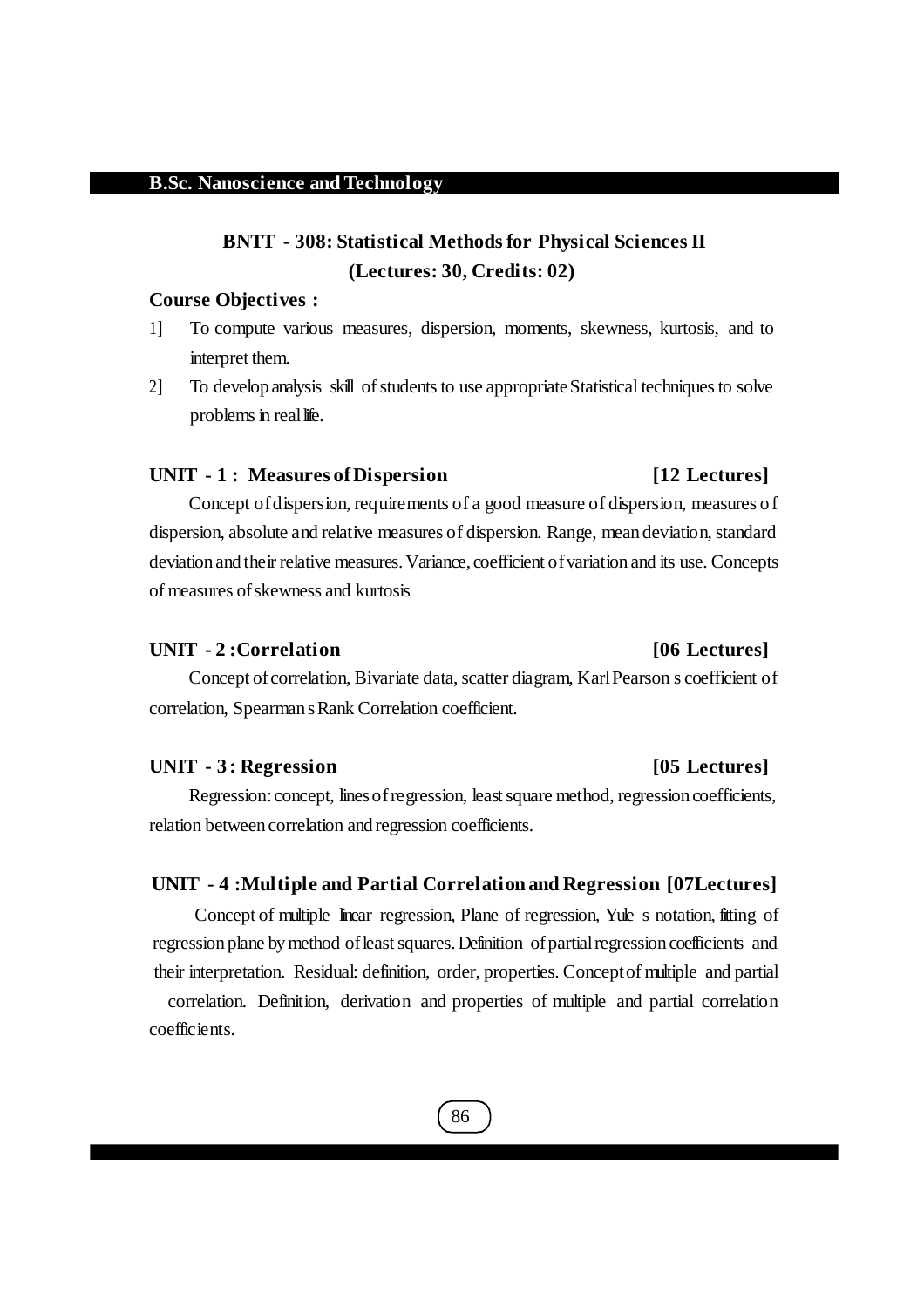## **BNTT - 308: Statistical Methods for Physical Sciences II (Lectures: 30, Credits: 02)**

#### **Course Objectives :**

- 1] To compute various measures, dispersion, moments, skewness, kurtosis, and to interpret them.
- 2] To develop analysis skill of students to use appropriate Statistical techniques to solve problems in real life.

#### **UNIT - 1 : Measures ofDispersion [12 Lectures]**

Concept ofdispersion, requirements of a good measure of dispersion, measures of dispersion, absolute and relative measures of dispersion. Range, mean deviation, standard deviation and their relative measures. Variance, coefficient of variation and its use. Concepts of measures ofskewness and kurtosis

#### **UNIT - 2 :Correlation [06 Lectures]**

Concept of correlation, Bivariate data, scatter diagram, Karl Pearson s coefficient of correlation, Spearman sRank Correlation coefficient.

#### **UNIT - 3 : Regression [05 Lectures]**

Regression: concept, lines of regression, least square method, regression coefficients, relation between correlation and regression coefficients.

#### **UNIT - 4 :Multiple and Partial Correlation and Regression [07Lectures]**

Concept of multiple linear regression, Plane of regression, Yule s notation, fitting of regression plane by method of least squares. Definition of partial regression coefficients and their interpretation. Residual: definition, order, properties. Conceptof multiple and partial

correlation. Definition, derivation and properties of multiple and partial correlation coefficients.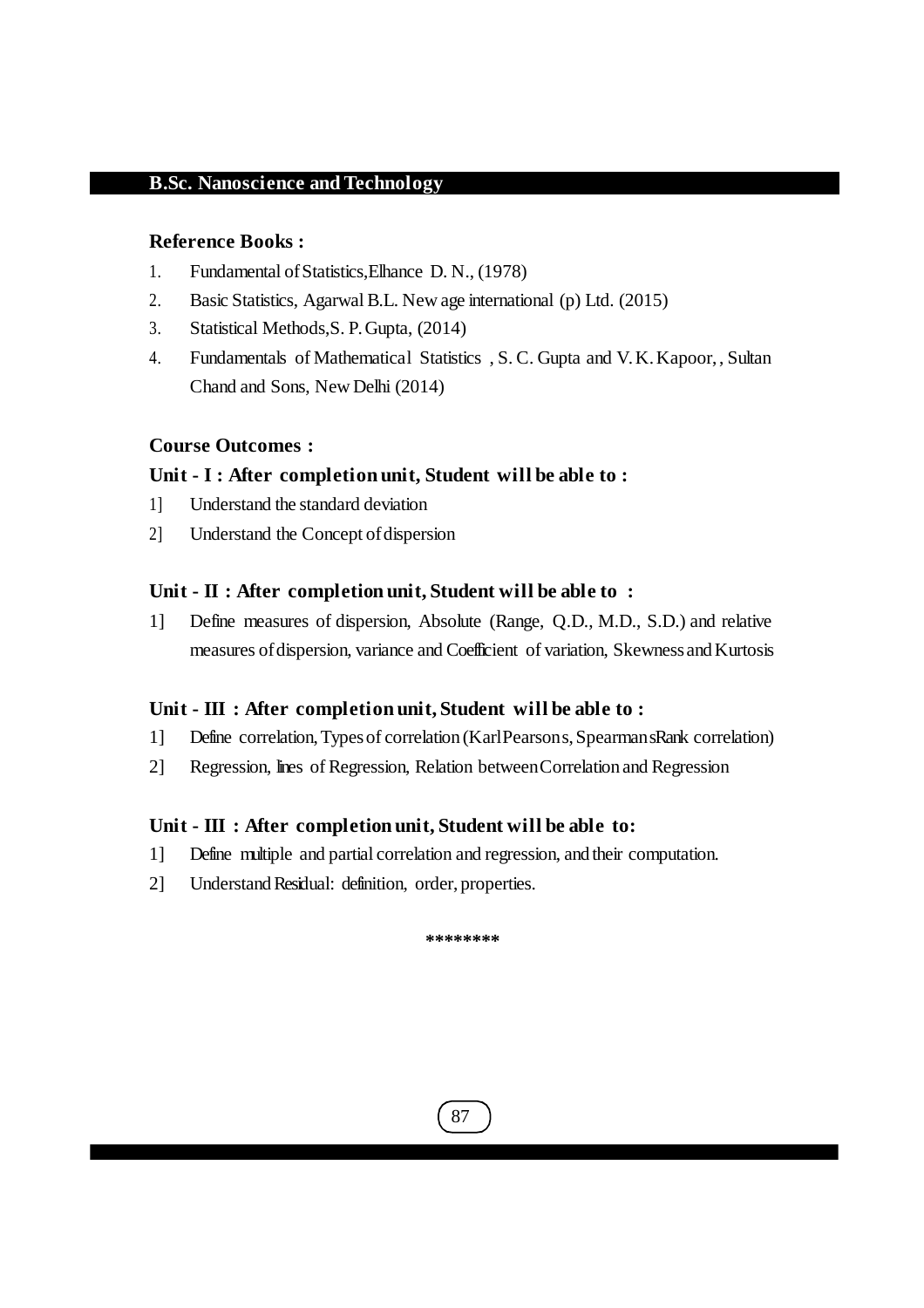#### **Reference Books :**

- 1. Fundamental ofStatistics,Elhance D. N., (1978)
- 2. Basic Statistics, Agarwal B.L. New age international (p) Ltd. (2015)
- 3. Statistical Methods,S. P.Gupta, (2014)
- 4. Fundamentals of Mathematical Statistics , S. C. Gupta and V.K.Kapoor, , Sultan Chand and Sons, New Delhi (2014)

#### **Course Outcomes :**

#### **Unit - I : After completion unit, Student will be able to :**

- 1] Understand the standard deviation
- 2] Understand the Concept of dispersion

#### **Unit - II : After completion unit, Student will be able to :**

1] Define measures of dispersion, Absolute (Range, Q.D., M.D., S.D.) and relative measures of dispersion, variance and Coefficient of variation, Skewness and Kurtosis

#### **Unit - III : After completion unit, Student will be able to :**

- 1] Define correlation,Typesof correlation (KarlPearsons,SpearmansRank correlation)
- 2] Regression, lines of Regression, Relation betweenCorrelation and Regression

#### **Unit - III : After completion unit, Student will be able to:**

- 1] Define multiple and partial correlation and regression, and their computation.
- 2] Understand Residual: definition, order, properties.

**\*\*\*\*\*\*\*\***

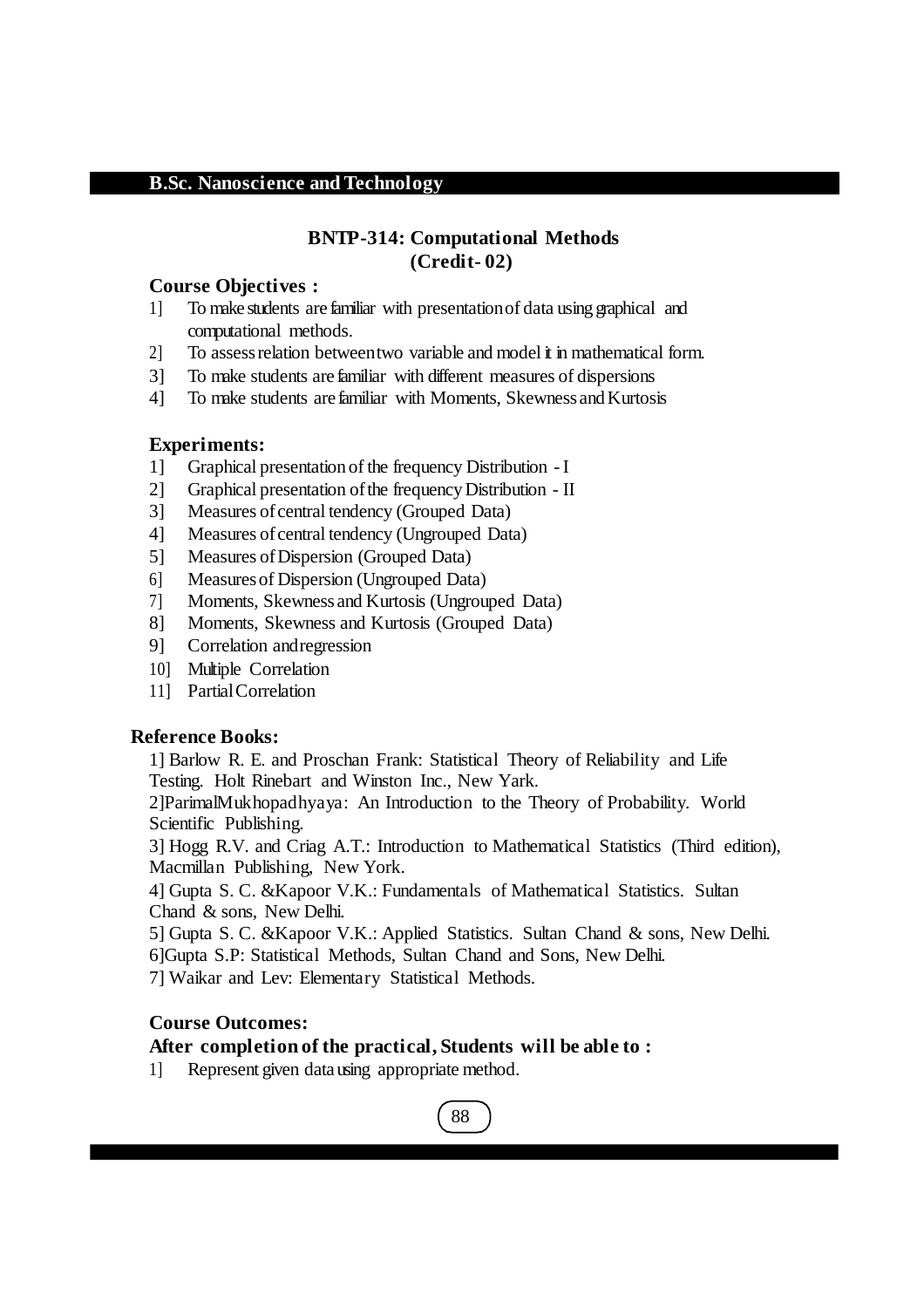### **BNTP-314: Computational Methods (Credit- 02)**

#### **Course Objectives :**

- 1] To make students are familiar with presentationof data using graphical and computational methods.
- 2] To assessrelation betweentwo variable and model it in mathematical form.
- 3] To make students are familiar with different measures of dispersions
- 4] To make students are familiar with Moments, Skewness and Kurtosis

#### **Experiments:**

- 1] Graphical presentation of the frequency Distribution I
- 2] Graphical presentation ofthe frequencyDistribution II
- 3] Measures of central tendency (Grouped Data)
- 4] Measures ofcentral tendency (Ungrouped Data)
- 5] Measures ofDispersion (Grouped Data)
- 6] Measuresof Dispersion (Ungrouped Data)
- 7] Moments, Skewness and Kurtosis (Ungrouped Data)
- 8] Moments, Skewness and Kurtosis (Grouped Data)
- 9] Correlation andregression
- 10] Multiple Correlation
- 11] PartialCorrelation

#### **Reference Books:**

1] Barlow R. E. and Proschan Frank: Statistical Theory of Reliability and Life Testing. Holt Rinebart and Winston Inc., New Yark.

2]ParimalMukhopadhyaya: An Introduction to the Theory of Probability. World Scientific Publishing.

3] Hogg R.V. and Criag A.T.: Introduction to Mathematical Statistics (Third edition), Macmillan Publishing, New York.

4] Gupta S. C. &Kapoor V.K.: Fundamentals of Mathematical Statistics. Sultan Chand & sons, New Delhi.

- 5] Gupta S. C. &Kapoor V.K.: Applied Statistics. Sultan Chand & sons, New Delhi.
- 6]Gupta S.P: Statistical Methods, Sultan Chand and Sons, New Delhi.

7] Waikar and Lev: Elementary Statistical Methods.

### **Course Outcomes:**

### **After completion of the practical, Students will be able to :**

1] Represent given datausing appropriate method.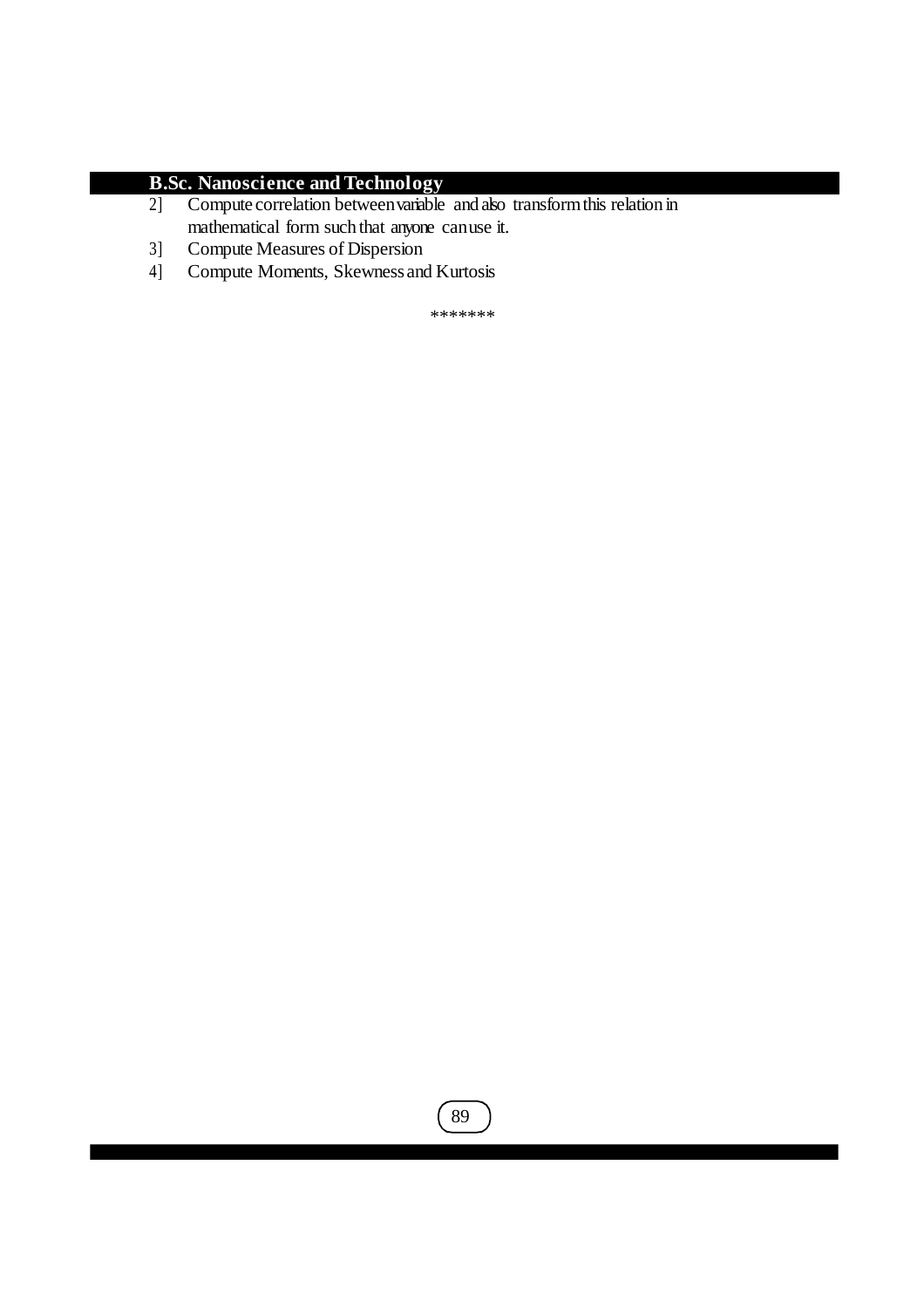- 2] Compute correlation betweenvariable and also transformthis relation in mathematical form such that anyone canuse it.
- 3] Compute Measures of Dispersion
- 4] Compute Moments, Skewness and Kurtosis

\*\*\*\*\*\*\*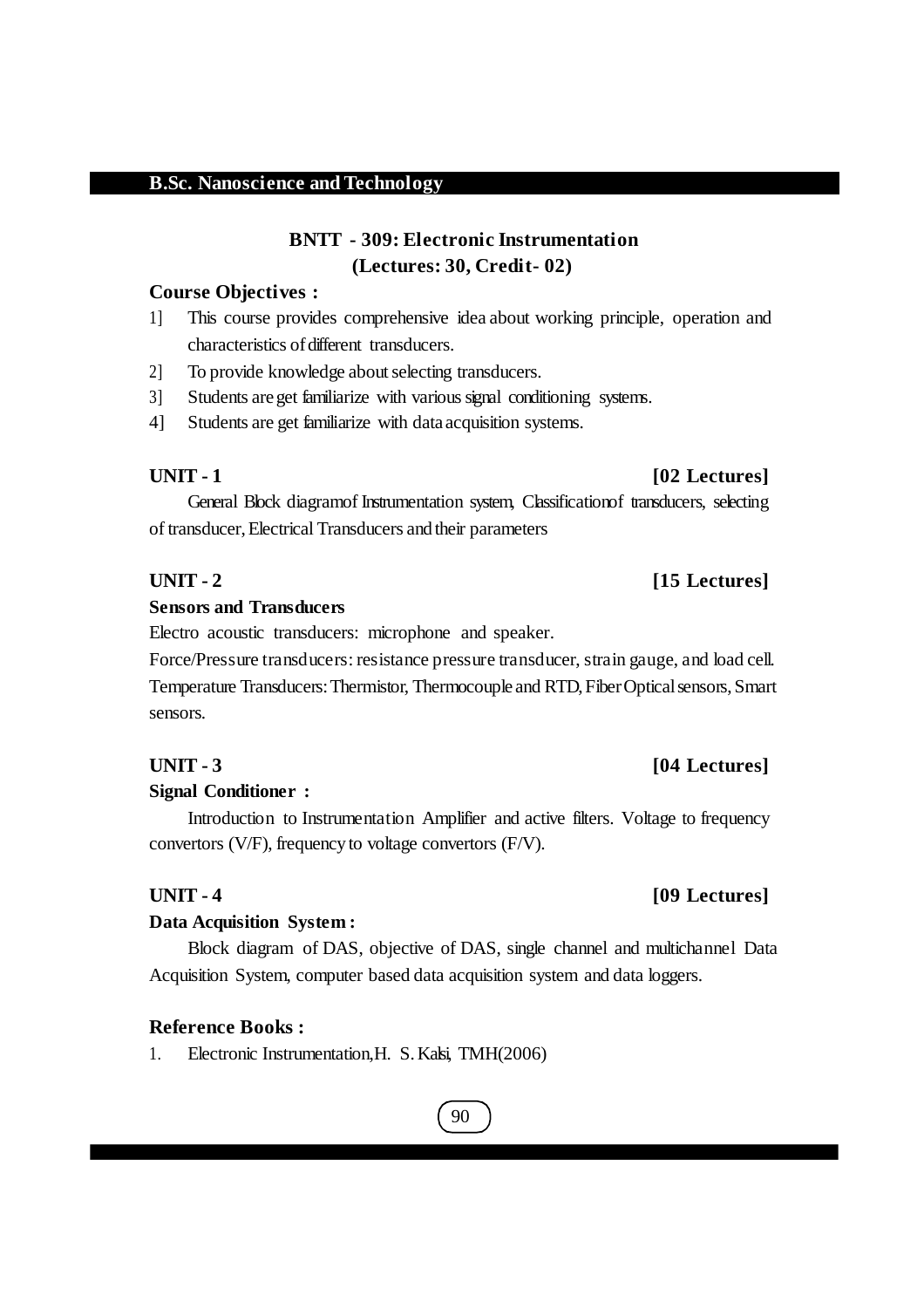## **BNTT - 309: Electronic Instrumentation (Lectures: 30, Credit- 02)**

#### **Course Objectives :**

- 1] This course provides comprehensive idea about working principle, operation and characteristics of different transducers.
- 2] To provide knowledge about selecting transducers.
- 3] Students areget familiarize with varioussignal conditioning systems.
- 4] Students are get familiarize with data acquisition systems.

General Block diagramof Instrumentation system, Classificationof transducers, selecting of transducer,Electrical Transducers and their parameters

#### **UNIT - 2 [15 Lectures]**

#### **Sensors and Transducers**

Electro acoustic transducers: microphone and speaker*.*

Force/Pressure transducers: resistance pressure transducer, strain gauge, and load cell*.*  Temperature Transducers:Thermistor, Thermocouple and RTD,FiberOpticalsensors,Smart sensors*.*

#### **Signal Conditioner :**

Introduction to Instrumentation Amplifier and active filters. Voltage to frequency convertors (V/F), frequency to voltage convertors (F/V).

#### **Data Acquisition System :**

Block diagram of DAS, objective of DAS, single channel and multichannel Data Acquisition System, computer based data acquisition system and data loggers.

#### **Reference Books :**

1. Electronic Instrumentation,H. S.Kalsi, TMH(2006)

## 90

### **UNIT - 1 [02 Lectures]**

#### **UNIT - 3 [04 Lectures]**

## **UNIT - 4 [09 Lectures]**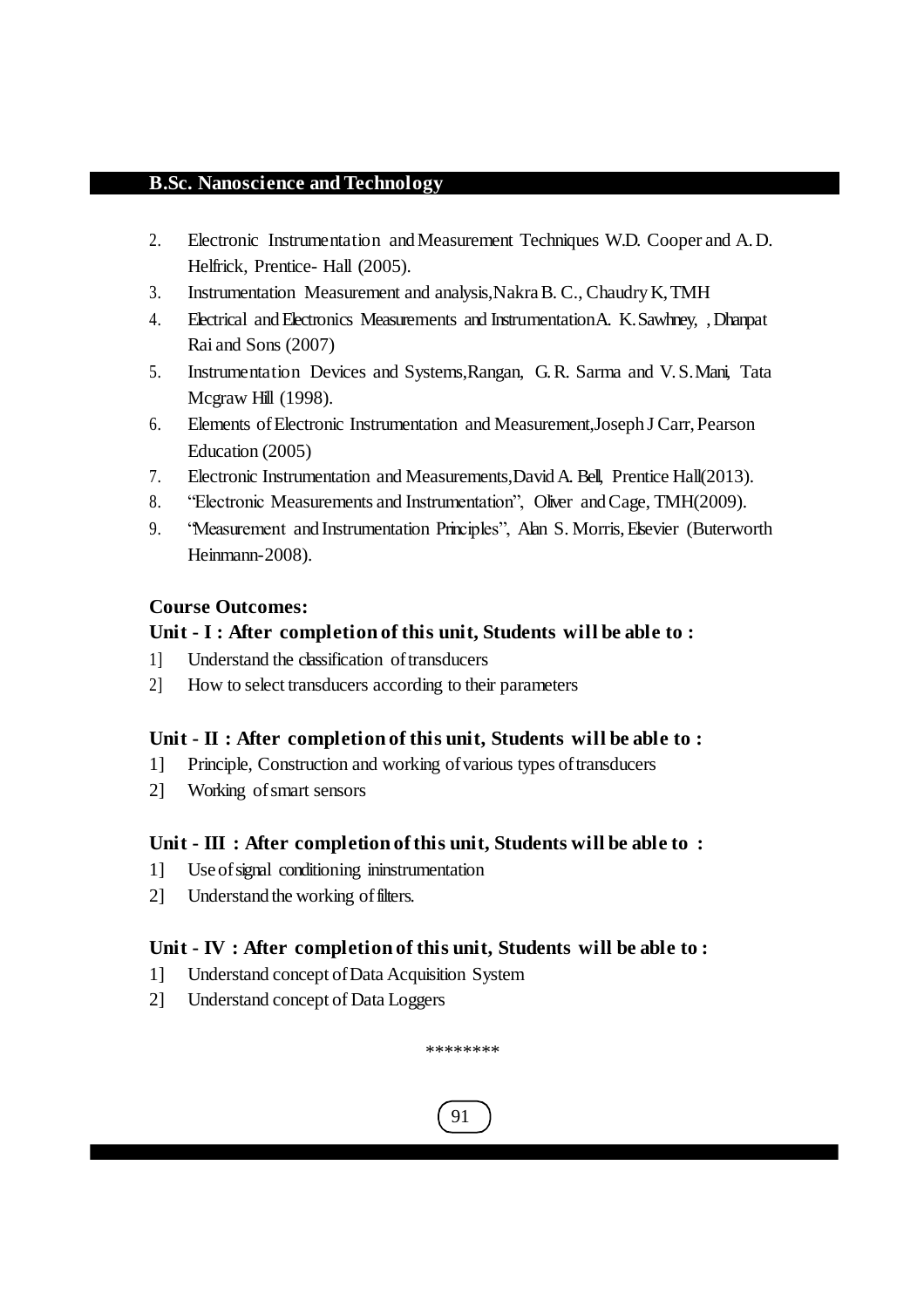- 2. Electronic Instrumentation andMeasurement Techniques W.D. Cooper and A.D. Helfrick, Prentice- Hall (2005).
- 3. Instrumentation Measurement and analysis,NakraB. C., ChaudryK,TMH
- 4. Electrical andElectronics Measurements and InstrumentationA. K.Sawhney, ,Dhanpat Rai and Sons (2007)
- 5. Instrumentation Devices and Systems,Rangan, G. R. Sarma and V. S.Mani, Tata Mcgraw Hill (1998).
- 6. Elements ofElectronic Instrumentation and Measurement,Joseph J Carr,Pearson Education (2005)
- 7. Electronic Instrumentation and Measurements,DavidA. Bell, Prentice Hall(2013).
- 8. "Electronic Measurements and Instrumentation", Oliver andCage, TMH(2009).
- 9. "Measurement and Instrumentation Principles", Alan S. Morris,Elsevier (Buterworth Heinmann-2008).

### **Course Outcomes:**

#### **Unit - I : After completion of this unit, Students will be able to :**

- 1] Understand the classification oftransducers
- 2] How to select transducers according to their parameters

### **Unit - II : After completion of this unit, Students will be able to :**

- 1] Principle, Construction and working ofvarious types oftransducers
- 2] Working ofsmart sensors

#### **Unit - III : After completion of this unit, Students will be able to :**

- 1] Useofsignal conditioning ininstrumentation
- 2] Understand the working of filters.

### **Unit - IV : After completion of this unit, Students will be able to :**

- 1] Understand concept ofData Acquisition System
- 2] Understand concept of Data Loggers

\*\*\*\*\*\*\*\*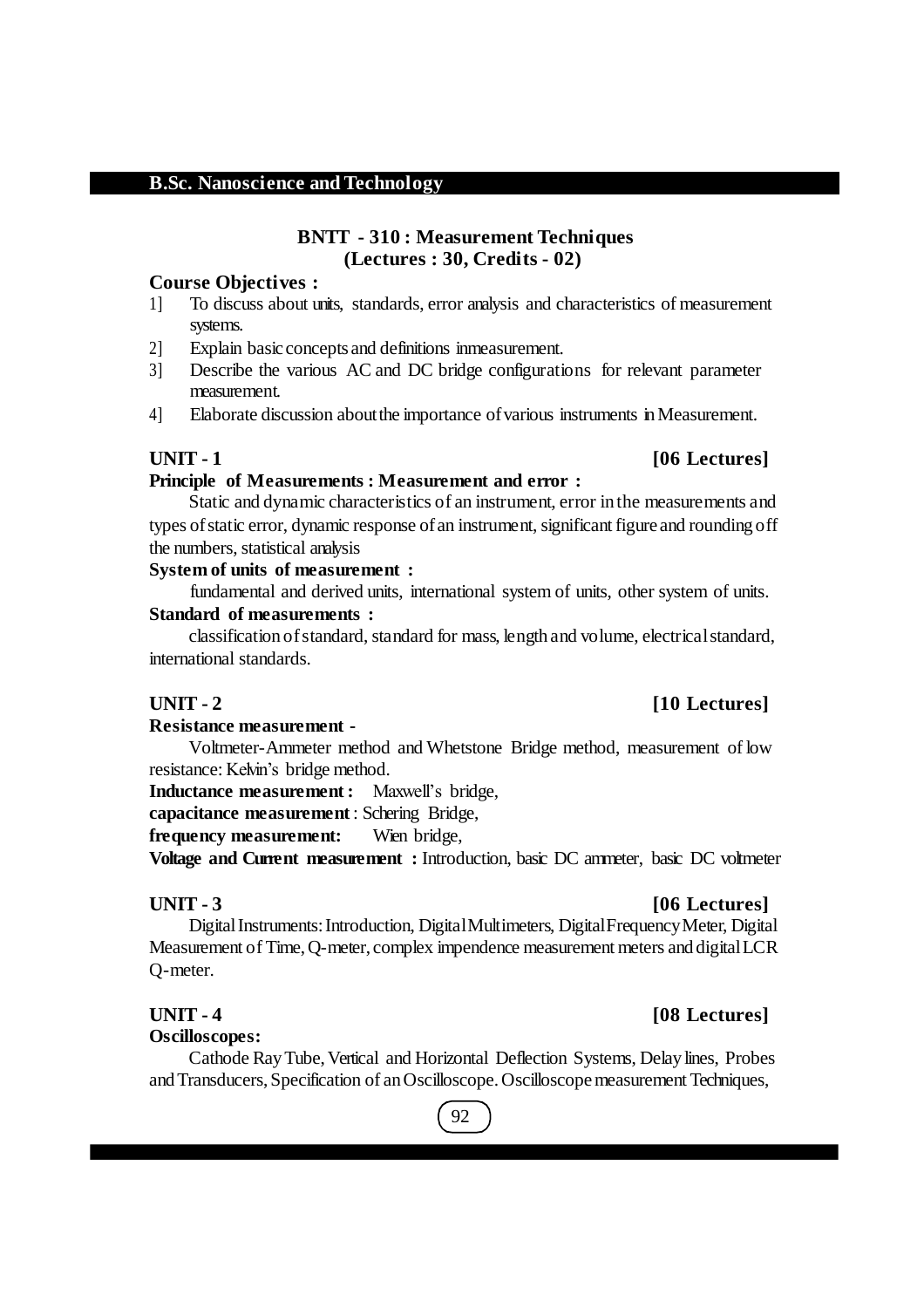#### **BNTT - 310 : Measurement Techniques (Lectures : 30, Credits - 02)**

#### **Course Objectives :**

- 1] To discuss about units, standards, error analysis and characteristics of measurement systems.
- 2] Explain basic concepts and definitions inmeasurement.
- 3] Describe the various AC and DC bridge configurations for relevant parameter measurement.
- 4] Elaborate discussion aboutthe importance ofvarious instruments inMeasurement.

#### **UNIT - 1 [06 Lectures]**

#### **Principle of Measurements : Measurement and error :**

Static and dynamic characteristics of an instrument, error in the measurements and types of static error, dynamic response of an instrument, significant figure and rounding off the numbers, statistical analysis

#### **System of units of measurement :**

fundamental and derived units, international system of units, other system of units. **Standard of measurements :**

classification of standard, standard for mass, length and volume, electrical standard, international standards.

#### **UNIT - 2 [10 Lectures]**

#### **Resistance measurement -**

Voltmeter-Ammeter method and Whetstone Bridge method, measurement of low resistance: Kelvin's bridge method.

**Inductance measurement :** Maxwell's bridge,

**capacitance measurement** : Schering Bridge,

**frequency measurement:** Wien bridge,

**Voltage and Current measurement :** Introduction, basic DC ammeter, basic DC voltmeter

#### **UNIT - 3 [06 Lectures]**

Digital Instruments: Introduction, Digital Multimeters, Digital Frequency Meter, Digital Measurement of Time,Q-meter, complex impendence measurement meters and digitalLCR Q-meter.

#### **Oscilloscopes:**

Cathode Ray Tube, Vertical and Horizontal Deflection Systems, Delay lines, Probes and Transducers, Specification of an Oscilloscope. Oscilloscope measurement Techniques,

## 92

### **UNIT - 4 [08 Lectures]**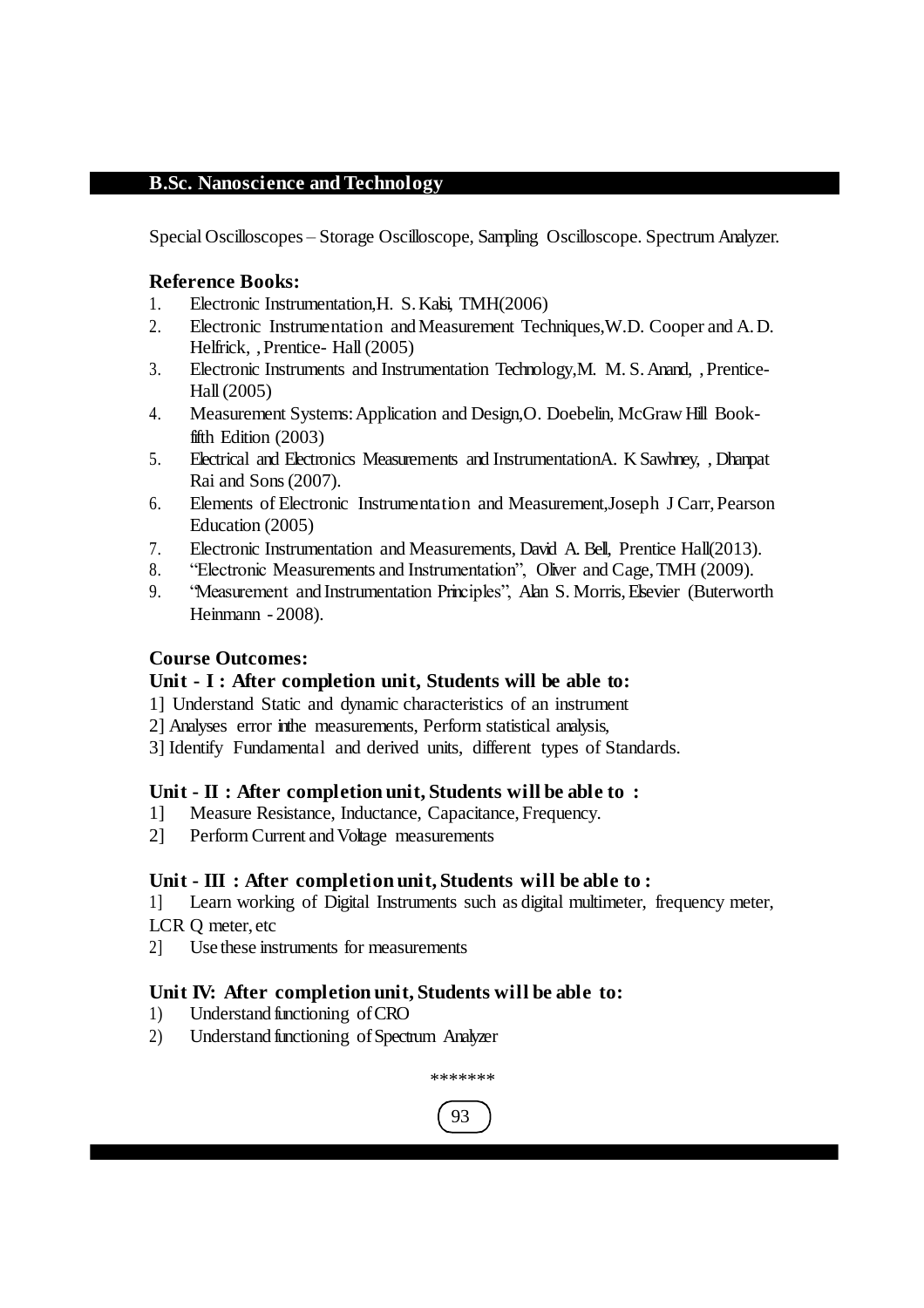Special Oscilloscopes – Storage Oscilloscope, Sampling Oscilloscope. Spectrum Analyzer.

#### **Reference Books:**

- 1. Electronic Instrumentation,H. S.Kalsi, TMH(2006)
- 2. Electronic Instrumentation andMeasurement Techniques,W.D. Cooper and A.D. Helfrick, , Prentice- Hall (2005)
- 3. Electronic Instruments and Instrumentation Technology,M. M. S.Anand, ,Prentice-Hall(2005)
- 4. Measurement Systems:Application and Design,O. Doebelin, McGraw Hill Bookfifth Edition (2003)
- 5. Electrical and Electronics Measurements and InstrumentationA. K Sawhney, , Dhanpat Rai and Sons(2007).
- 6. Elements of Electronic Instrumentation and Measurement,Joseph J Carr,Pearson Education (2005)
- 7. Electronic Instrumentation and Measurements, David A. Bell, Prentice Hall(2013).
- 8. "Electronic Measurements and Instrumentation", Oliver and Cage,TMH (2009).
- 9. "Measurement and Instrumentation Principles", Alan S. Morris,Elsevier (Buterworth Heinmann - 2008).

### **Course Outcomes:**

#### **Unit - I : After completion unit, Students will be able to:**

- 1] Understand Static and dynamic characteristics of an instrument
- 2] Analyses error inthe measurements, Perform statistical analysis,
- 3] Identify Fundamental and derived units, different types of Standards.

#### **Unit - II : After completion unit, Students will be able to :**

- 1] Measure Resistance, Inductance, Capacitance, Frequency.
- 2] Perform Current and Voltage measurements

#### **Unit - III : After completion unit, Students will be able to :**

1] Learn working of Digital Instruments such as digital multimeter, frequency meter, LCR Q meter, etc

2] Use these instruments for measurements

### **Unit IV: After completion unit, Students will be able to:**

- 1) Understand functioning ofCRO
- 2) Understand functioning of Spectrum Analyzer

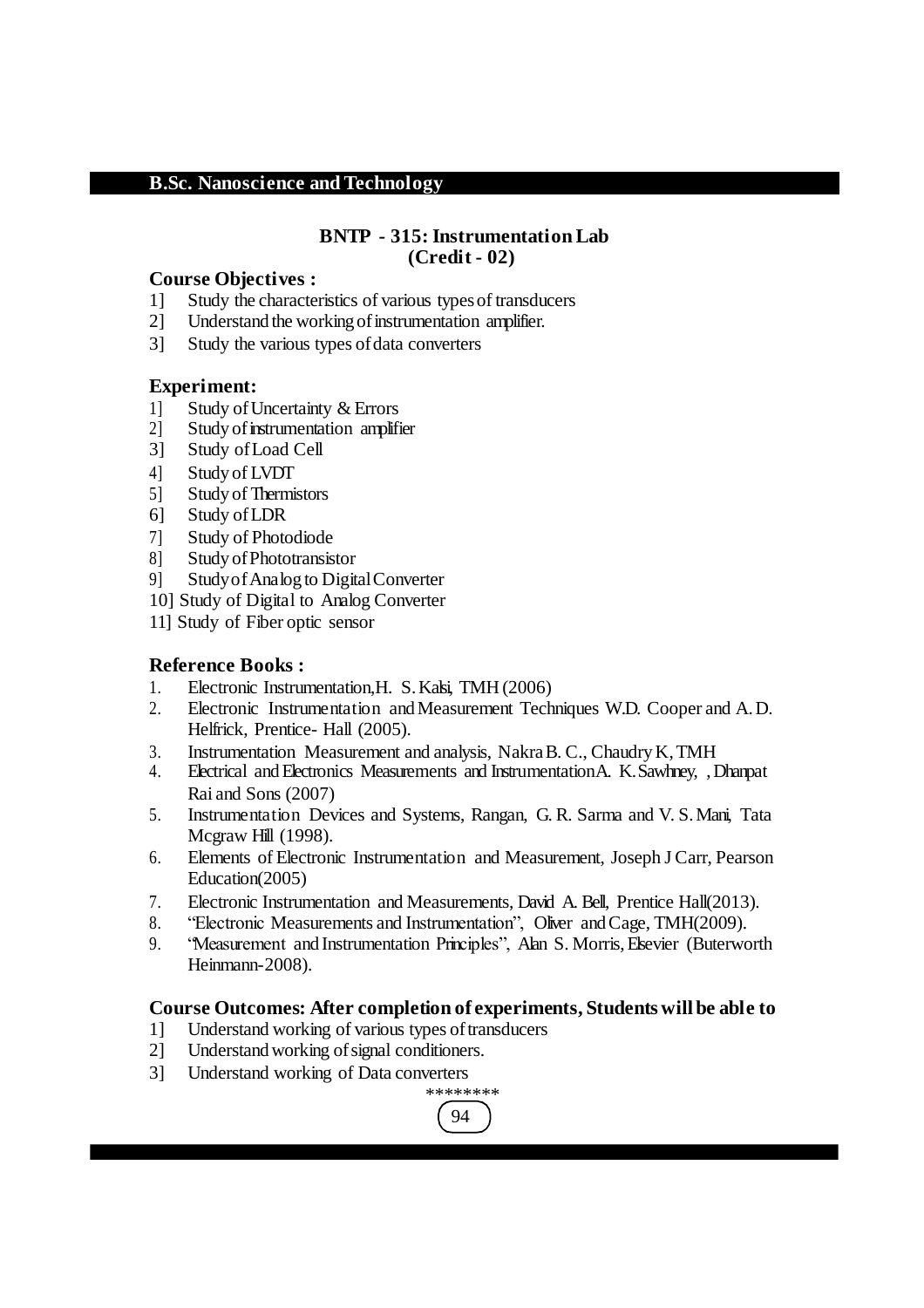#### **BNTP - 315: Instrumentation Lab (Credit - 02)**

#### **Course Objectives :**

- 1] Study the characteristics of various types of transducers<br>21 Understand the working of instrumentation amplifier.
- Understand the working of instrumentation amplifier.
- 3] Study the various types ofdata converters

#### **Experiment:**

- 
- 1] Study of Uncertainty & Errors<br>2] Study of instrumentation amplif Study of instrumentation amplifier
- 3] Study ofLoad Cell
- 4] Study of LVDT
- 5] Study of Thermistors
- 6] Study ofLDR
- 7] Study of Photodiode
- 8] Study ofPhototransistor
- 9] StudyofAnalog to DigitalConverter
- 10] Study of Digital to Analog Converter
- 11] Study of Fiber optic sensor

### **Reference Books :**

- 1. Electronic Instrumentation,H. S.Kalsi, TMH (2006)
- 2. Electronic Instrumentation andMeasurement Techniques W.D. Cooper and A.D. Helfrick, Prentice- Hall (2005).
- 3. Instrumentation Measurement and analysis, Nakra B. C., Chaudry K, TMH
- 4. Electrical andElectronics Measurements and InstrumentationA. K.Sawhney, ,Dhanpat Rai and Sons (2007)
- 5. Instrumentation Devices and Systems, Rangan, G. R. Sarma and V. S.Mani, Tata Mcgraw Hill (1998).
- 6. Elements of Electronic Instrumentation and Measurement, Joseph J Carr, Pearson Education(2005)
- 7. Electronic Instrumentation and Measurements, David A. Bell, Prentice Hall(2013).
- 8. "Electronic Measurements and Instrumentation", Oliver and Cage, TMH(2009).
- 9. "Measurement and Instrumentation Principles", Alan S. Morris,Elsevier (Buterworth Heinmann-2008).

### **Course Outcomes: After completion of experiments, Students will be able to**

- 1] Understand working of various types oftransducers
- 2] Understandworking ofsignal conditioners.
- 3] Understand working of Data converters

#### 94 \*\*\*\*\*\*\*\*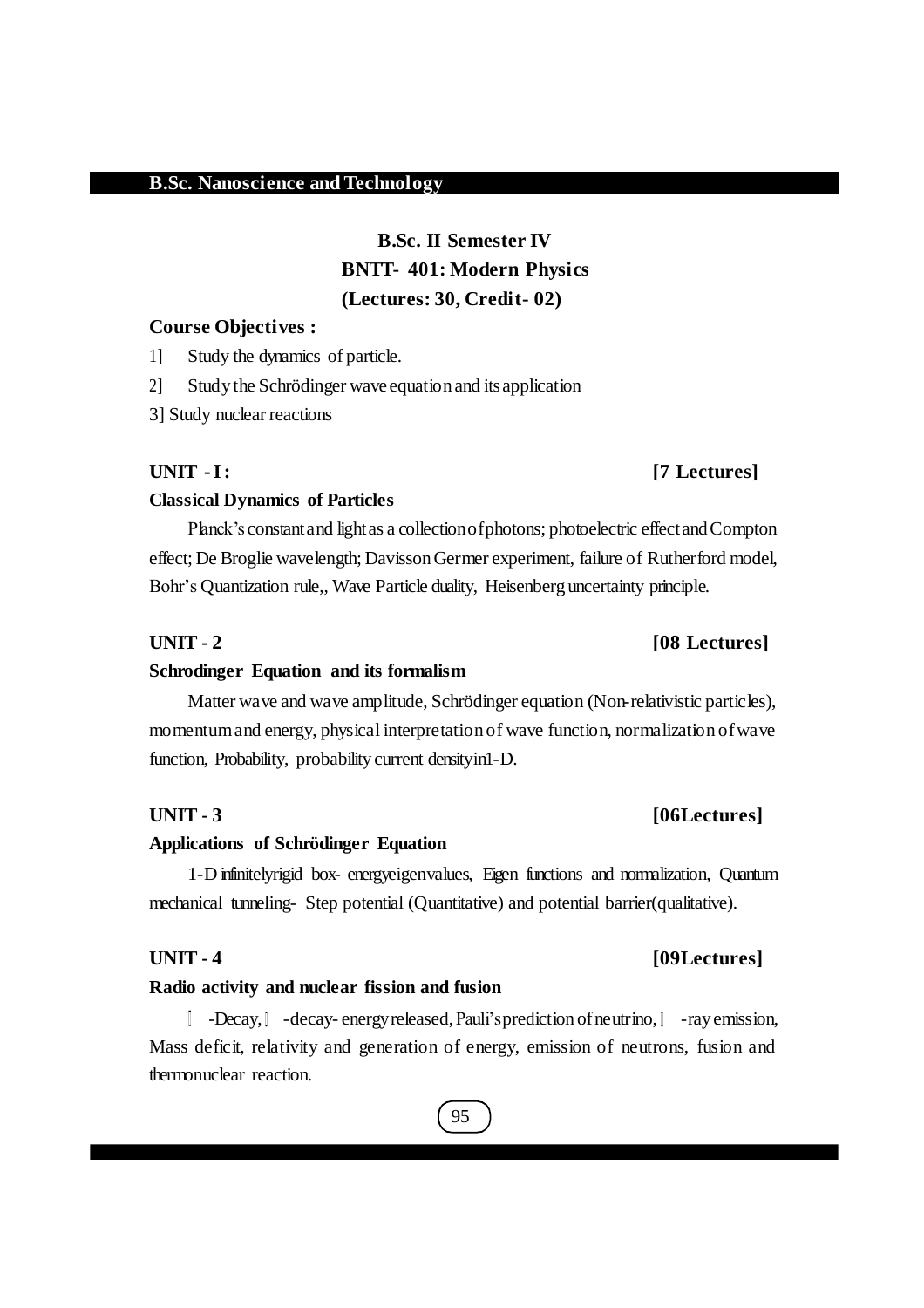## **B.Sc. II Semester IV BNTT- 401: Modern Physics (Lectures: 30, Credit- 02)**

#### **Course Objectives :**

1] Study the dynamics of particle.

2] Study the Schrödinger wave equation and itsapplication

3] Study nuclear reactions

### **UNIT -I: [7 Lectures]**

#### **Classical Dynamics of Particles**

Planck's constant and light as a collection of photons; photoelectric effect and Compton effect; De Broglie wavelength; DavissonGermer experiment, failure of Rutherford model, Bohr's Quantization rule,, Wave Particle duality, Heisenberg uncertainty principle.

### **Schrodinger Equation and its formalism**

Matter wave and wave amplitude, Schrödinger equation (Non-relativistic particles), momentumand energy, physical interpretation of wave function, normalization ofwave function, Probability, probability current densityin1-D.

#### **UNIT - 3 [06Lectures]**

#### **Applications of Schrödinger Equation**

1-D infinitelyrigid box- energyeigenvalues, Eigen functions and normalization, Quantum mechanical tunneling- Step potential (Quantitative) and potential barrier(qualitative).

#### **Radio activity and nuclear fission and fusion**

1 -Decay,  $\lceil$  -decay- energy released, Pauli's prediction of neutrino,  $\lceil$  -ray emission, Mass deficit, relativity and generation of energy, emission of neutrons, fusion and thermonuclear reaction.

#### 95

## **UNIT - 4 [09Lectures]**

# **UNIT - 2 [08 Lectures]**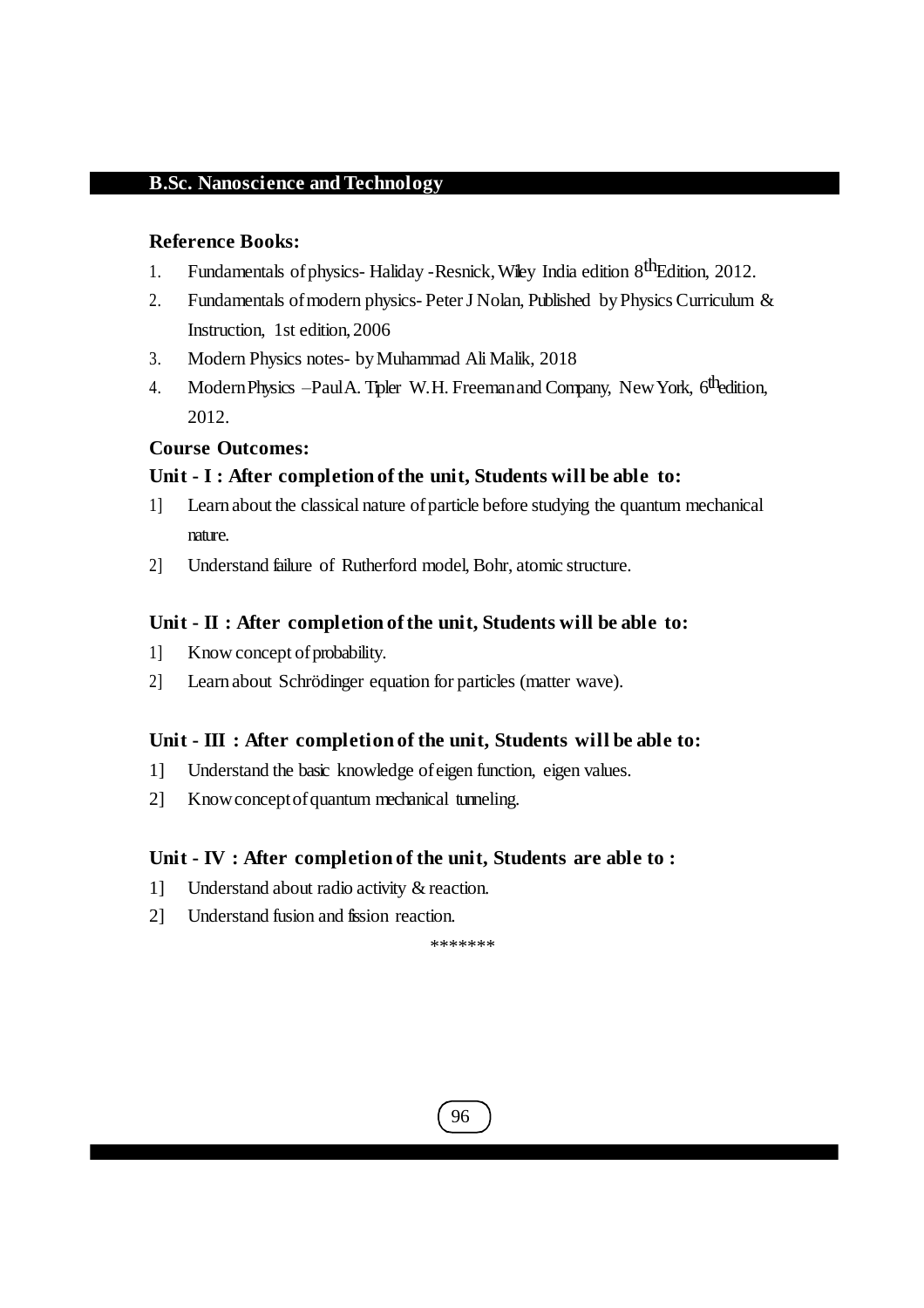#### **Reference Books:**

- 1. Fundamentals of physics- Haliday Resnick, Wiley India edition 8<sup>th</sup>Edition, 2012.
- 2. Fundamentals of modern physics-Peter J Nolan, Published by Physics Curriculum & Instruction, 1st edition, 2006
- 3. Modern Physics notes- byMuhammad Ali Malik, 2018
- 4. Modern Physics Paul A. Tipler W.H. Freeman and Company, New York, 6<sup>th</sup>edition, 2012.

#### **Course Outcomes:**

#### **Unit - I : After completion of the unit, Students will be able to:**

- 1] Learn about the classical nature ofparticle before studying the quantum mechanical nature.
- 2] Understand failure of Rutherford model, Bohr, atomic structure.

#### **Unit - II : After completion of the unit, Students will be able to:**

- 1] Know concept of probability.
- 2] Learn about Schrödinger equation for particles (matter wave).

#### **Unit - III : After completion of the unit, Students will be able to:**

- 1] Understand the basic knowledge ofeigen function, eigen values.
- 2] Knowconceptofquantum mechanical tunneling.

#### **Unit - IV : After completion of the unit, Students are able to :**

- 1] Understand about radio activity & reaction.
- 2] Understand fusion and fission reaction.

\*\*\*\*\*\*\*

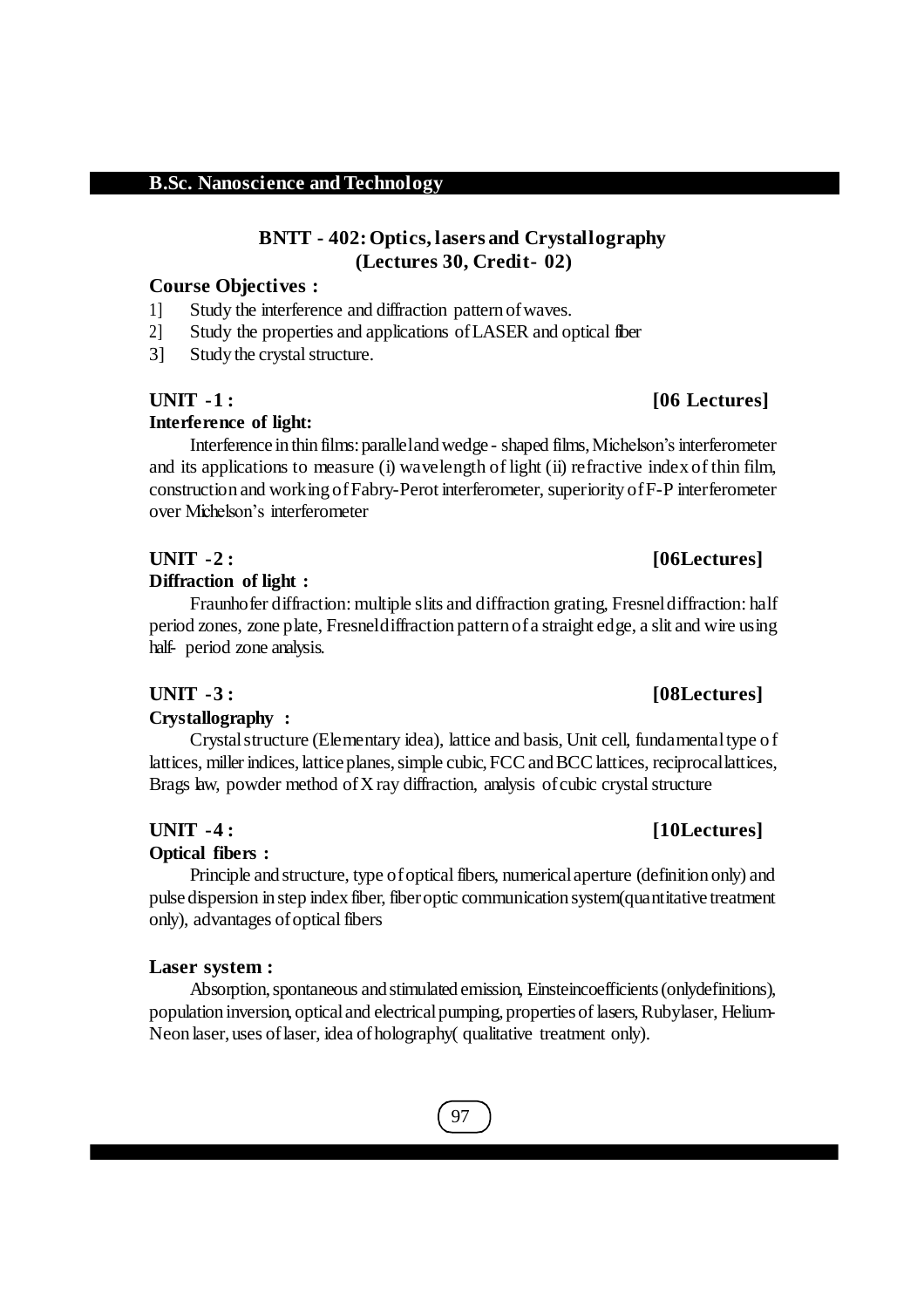## **BNTT - 402:Optics, lasers and Crystallography (Lectures 30, Credit- 02)**

### **Course Objectives :**

- 1] Study the interference and diffraction pattern ofwaves.
- 2] Study the properties and applications ofLASER and optical fiber
- 3] Study the crystal structure.

## **UNIT -1 : [06 Lectures]**

## **Interference of light:**

Interference in thin films: paralleland wedge - shaped films, Michelson's interferometer and its applications to measure (i) wavelength of light (ii) refractive index of thin film, construction and working ofFabry-Perot interferometer, superiority ofF-P interferometer over Michelson's interferometer

### **UNIT -2 : [06Lectures]**

#### **Diffraction of light :**

Fraunhofer diffraction: multiple slits and diffraction grating, Fresneldiffraction: half period zones, zone plate, Fresneldiffraction pattern ofa straight edge, a slit and wire using half- period zone analysis.

#### **Crystallography :**

Crystalstructure (Elementary idea), lattice and basis, Unit cell, fundamentaltype of lattices, miller indices, lattice planes, simple cubic, FCC and BCC lattices, reciprocal lattices, Brags law, powder method of  $X$  ray diffraction, analysis of cubic crystal structure

### **UNIT -4 : [10Lectures]**

#### **Optical fibers :**

Principle and structure, type of optical fibers, numerical aperture (definition only) and pulsedispersion in step index fiber, fiberoptic communication system(quantitative treatment only), advantages of optical fibers

#### **Laser system :**

Absorption, spontaneous and stimulated emission, Einsteincoefficients (only definitions), population inversion, opticaland electricalpumping, propertiesof lasers,Rubylaser, Helium-Neon laser, uses of laser, idea of holography( qualitative treatment only).

## 97

## **UNIT -3 : [08Lectures]**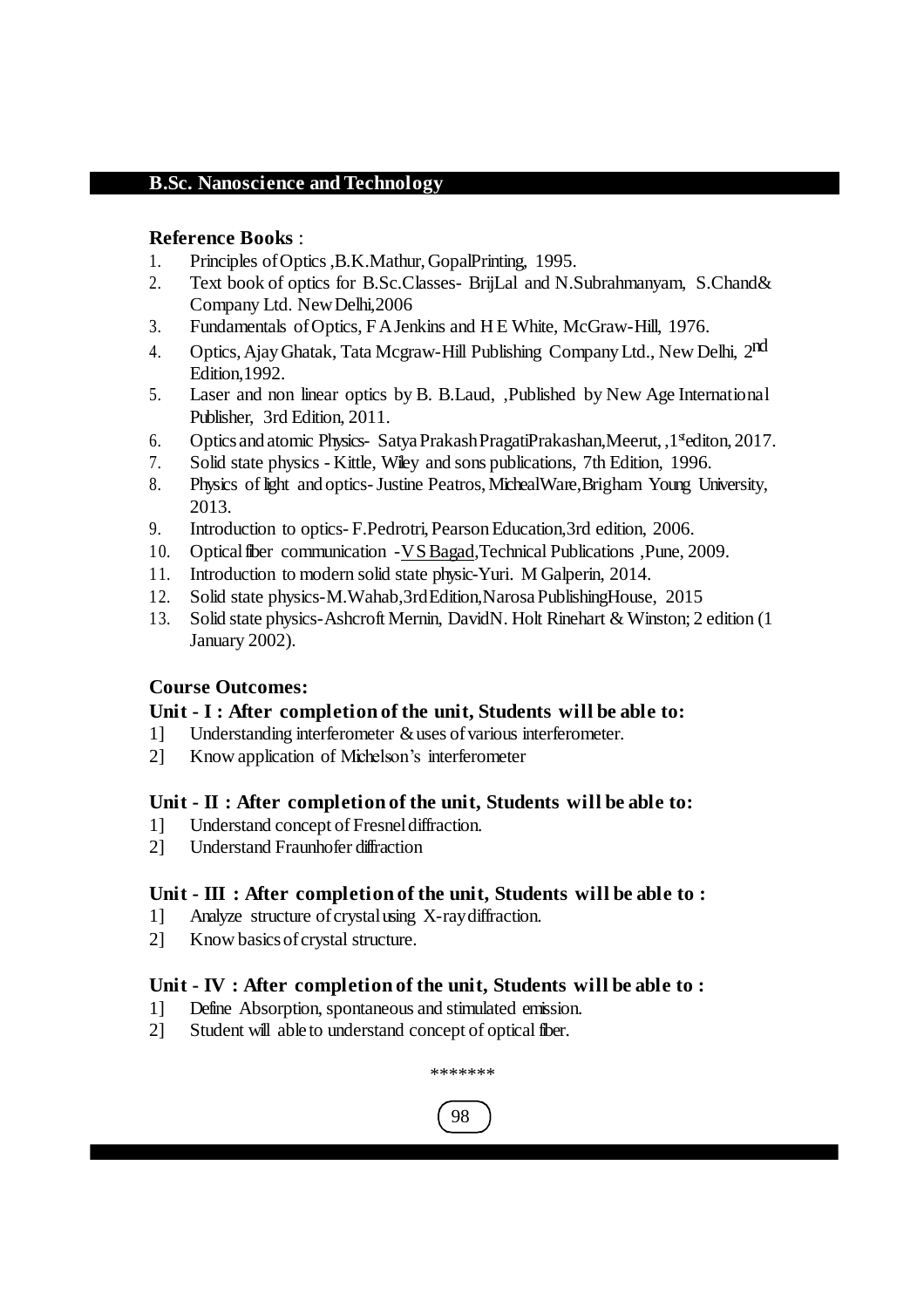#### **Reference Books** :

- 1. Principles ofOptics,B.K.Mathur,GopalPrinting, 1995.
- 2. Text book of optics for B.Sc.Classes- BrijLal and N.Subrahmanyam, S.Chand& Company Ltd. NewDelhi,2006
- 3. Fundamentals ofOptics, FAJenkins and H E White, McGraw-Hill, 1976.
- 4. Optics, Ajay Ghatak, Tata Mcgraw-Hill Publishing Company Ltd., New Delhi, 2nd Edition,1992.
- 5. Laser and non linear optics by B. B.Laud, ,Published by New Age International Publisher, 3rd Edition, 2011.
- 6. Optics and atomic Physics- Satya Prakash PragatiPrakashan, Meerut, , 1<sup>st</sup>editon, 2017.
- 7. Solid state physics Kittle, Wiley and sons publications, 7th Edition, 1996.
- 8. Physics of light and optics-Justine Peatros,MichealWare,Brigham Young University, 2013.
- 9. Introduction to optics- F.Pedrotri, Pearson Education, 3rd edition, 2006.
- 10. Opticalfiber communication -VSBagad,Technical Publications ,Pune, 2009.
- 11. Introduction to modern solid state physic-Yuri. M Galperin, 2014.
- 12. Solid state physics-M.Wahab,3rdEdition,NarosaPublishingHouse, 2015
- 13. Solid state physics-Ashcroft Mernin, DavidN. Holt Rinehart & Winston; 2 edition (1 January 2002).

### **Course Outcomes:**

#### **Unit - I : After completion of the unit, Students will be able to:**

- 1] Understanding interferometer & uses of various interferometer.
- 2] Know application of Michelson's interferometer

### **Unit - II : After completion of the unit, Students will be able to:**

- 1] Understand concept of Fresneldiffraction.
- 2] Understand Fraunhofer diffraction

### **Unit - III : After completion of the unit, Students will be able to :**

- 1] Analyze structure ofcrystalusing X-raydiffraction.
- 2] Know basics of crystal structure.

### **Unit - IV : After completion of the unit, Students will be able to :**

- 1] Define Absorption, spontaneous and stimulated emission.
- 2] Student will able to understand concept of optical fiber.



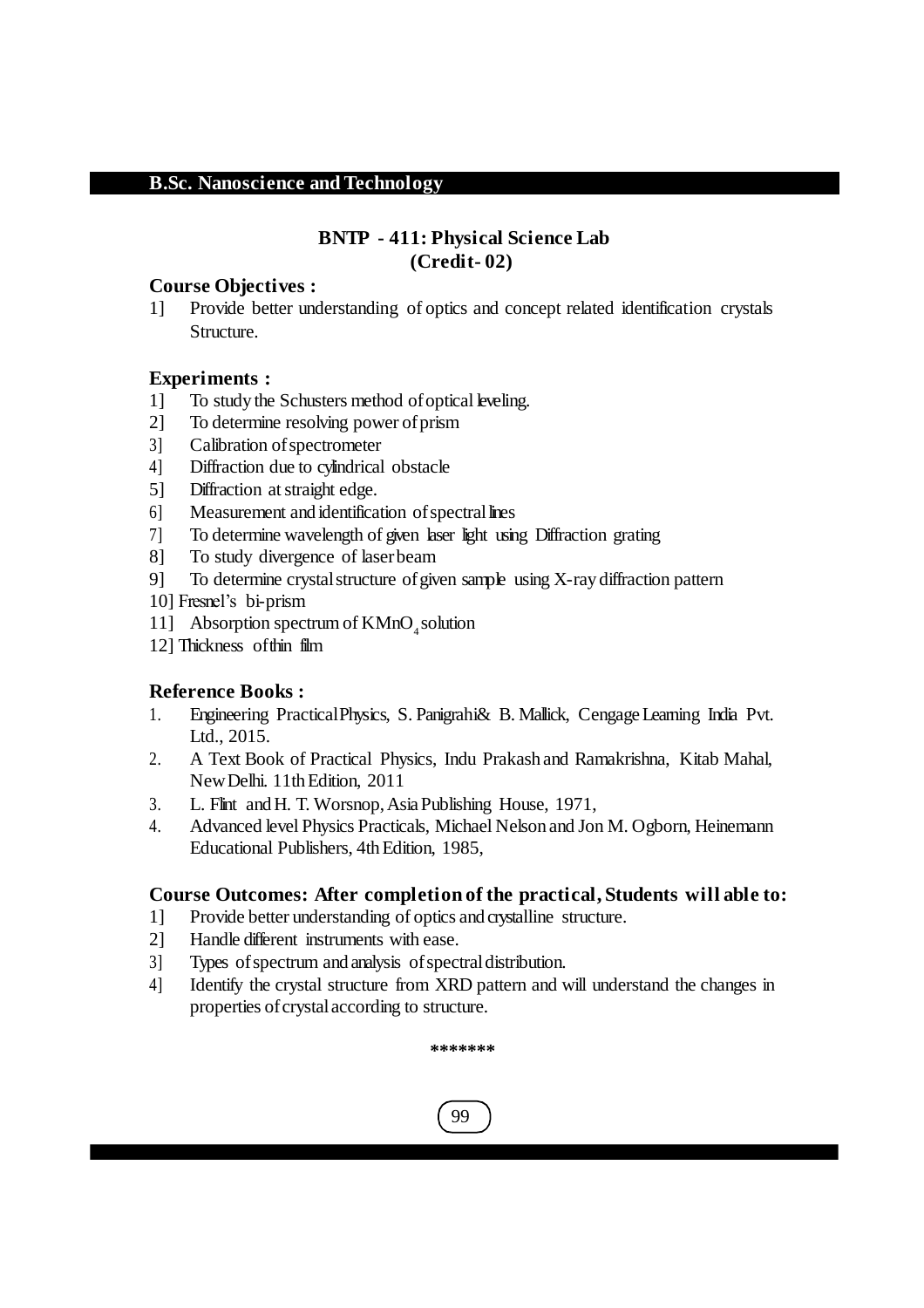## **BNTP - 411: Physical Science Lab (Credit- 02)**

#### **Course Objectives :**

1] Provide better understanding of optics and concept related identification crystals Structure.

### **Experiments :**

- 1] To study the Schusters method of optical leveling.
- 2] To determine resolving power of prism
- 3] Calibration of spectrometer
- 4] Diffraction due to cylindrical obstacle
- 5] Diffraction atstraight edge.
- 6] Measurement and identification of spectral lines
- 7] To determine wavelength of given laser light using Diffraction grating
- 8] To study divergence of laserbeam
- 9] To determine crystal structure of given sample using X-ray diffraction pattern
- 10] Fresnel's bi-prism
- 11] Absorption spectrum of  $KMnO<sub>4</sub>$  solution
- 12] Thickness ofthin film

### **Reference Books :**

- 1. Engineering PracticalPhysics, S. Panigrahi& B. Mallick, CengageLearning India Pvt. Ltd., 2015.
- 2. A Text Book of Practical Physics, Indu Prakash and Ramakrishna, Kitab Mahal, New Delhi. 11th Edition, 2011
- 3. L. Flint andH. T. Worsnop,AsiaPublishing House, 1971,
- 4. Advanced level Physics Practicals, Michael Nelson and Jon M. Ogborn, Heinemann Educational Publishers, 4th Edition, 1985,

### **Course Outcomes: After completion of the practical, Students will able to:**

- 1] Provide better understanding of optics and crystalline structure.
- 2] Handle different instruments with ease.
- 3] Types ofspectrum and analysis ofspectraldistribution.
- 4] Identify the crystal structure from XRD pattern and will understand the changes in properties of crystal according to structure.

**\*\*\*\*\*\*\***

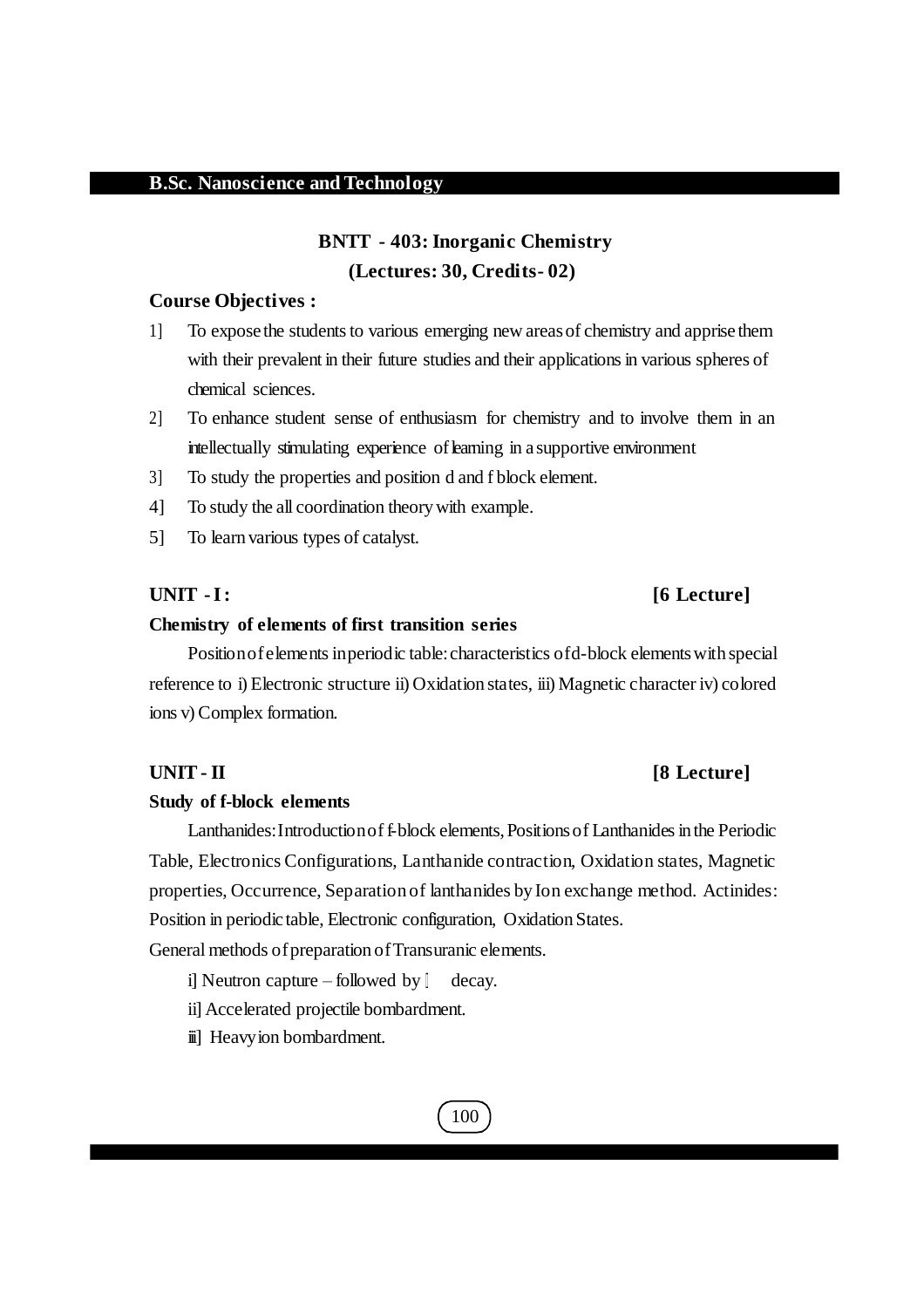## **BNTT - 403: Inorganic Chemistry (Lectures: 30, Credits- 02)**

#### **Course Objectives :**

- 1] To expose the students to various emerging new areas of chemistry and apprise them with their prevalent in their future studies and their applications in various spheres of chemical sciences.
- 2] To enhance student sense of enthusiasm for chemistry and to involve them in an intellectually stimulating experience of learning in a supportive environment
- 3] To study the properties and position d and f block element.
- 4] To study the all coordination theorywith example.
- 5] To learn various types of catalyst.

#### **Chemistry of elements of first transition series**

Position of elements in periodic table: characteristics of d-block elements with special reference to i) Electronic structure ii) Oxidation states, iii) Magnetic character iv) colored ions v) Complex formation.

#### **Study of f-block elements**

Lanthanides: Introduction of f-block elements, Positions of Lanthanides in the Periodic Table, Electronics Configurations, Lanthanide contraction, Oxidation states, Magnetic properties, Occurrence, Separation of lanthanides by Ion exchange method. Actinides: Position in periodic table, Electronic configuration, Oxidation States.

General methods of preparation of Transuranic elements.

i] Neutron capture – followed by  $\parallel$  decay.

ii] Accelerated projectile bombardment.

iii] Heavyion bombardment.



#### **UNIT- II [8 Lecture]**

#### **UNIT -I: [6 Lecture]**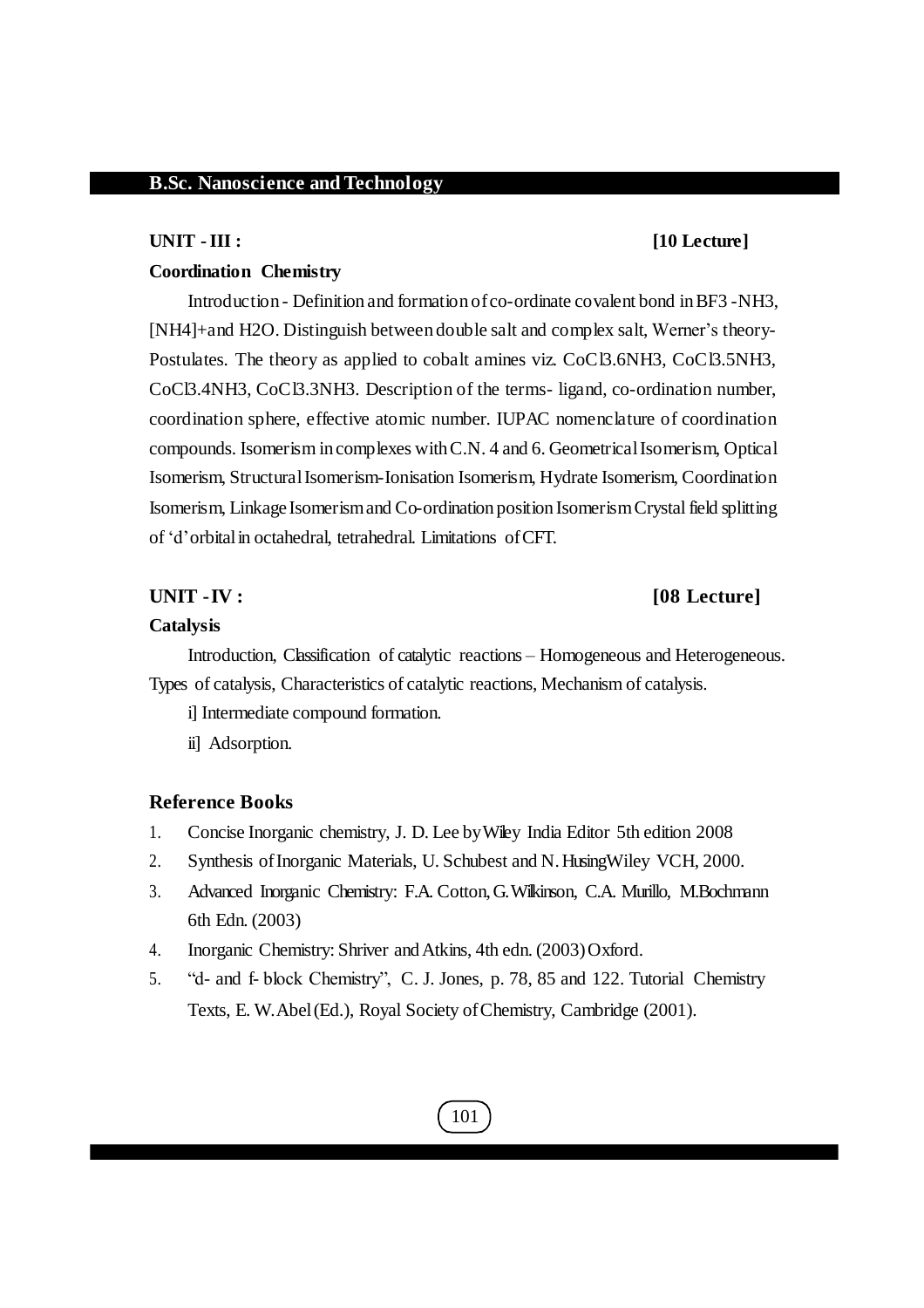#### **UNIT -III : [10 Lecture]**

#### **Coordination Chemistry**

Introduction - Definition and formation ofco-ordinate covalent bond inBF3 -NH3, [NH4]+and H2O. Distinguish between double salt and complex salt, Werner's theory-Postulates. The theory as applied to cobalt amines viz. CoCl3.6NH3, CoCl3.5NH3, CoCl3.4NH3, CoCl3.3NH3. Description of the terms- ligand, co-ordination number, coordination sphere, effective atomic number. IUPAC nomenclature of coordination compounds. Isomerism in complexes withC.N. 4 and 6. GeometricalIsomerism, Optical Isomerism, StructuralIsomerism-Ionisation Isomerism, Hydrate Isomerism, Coordination Isomerism, Linkage Isomerismand Co-ordination position IsomerismCrystalfield splitting of 'd'orbitalin octahedral, tetrahedral. Limitations ofCFT.

#### **UNIT -IV : [08 Lecture]**

#### **Catalysis**

Introduction, Classification of catalytic reactions – Homogeneous and Heterogeneous. Types of catalysis, Characteristics of catalytic reactions, Mechanism of catalysis.

i] Intermediate compound formation.

ii] Adsorption.

#### **Reference Books**

- 1. Concise Inorganic chemistry, J. D. Lee byWiley India Editor 5th edition 2008
- 2. Synthesis ofInorganic Materials, U. Schubest and N.HusingWiley VCH, 2000.
- 3. Advanced Inorganic Chemistry: F.A. Cotton,G.Wilkinson, C.A. Murillo, M.Bochmann 6th Edn. (2003)
- 4. Inorganic Chemistry: Shriver and Atkins, 4th edn. (2003) Oxford.
- 5. "d- and f- block Chemistry", C. J. Jones, p. 78, 85 and 122. Tutorial Chemistry Texts, E. W.Abel(Ed.), Royal Society ofChemistry, Cambridge (2001).

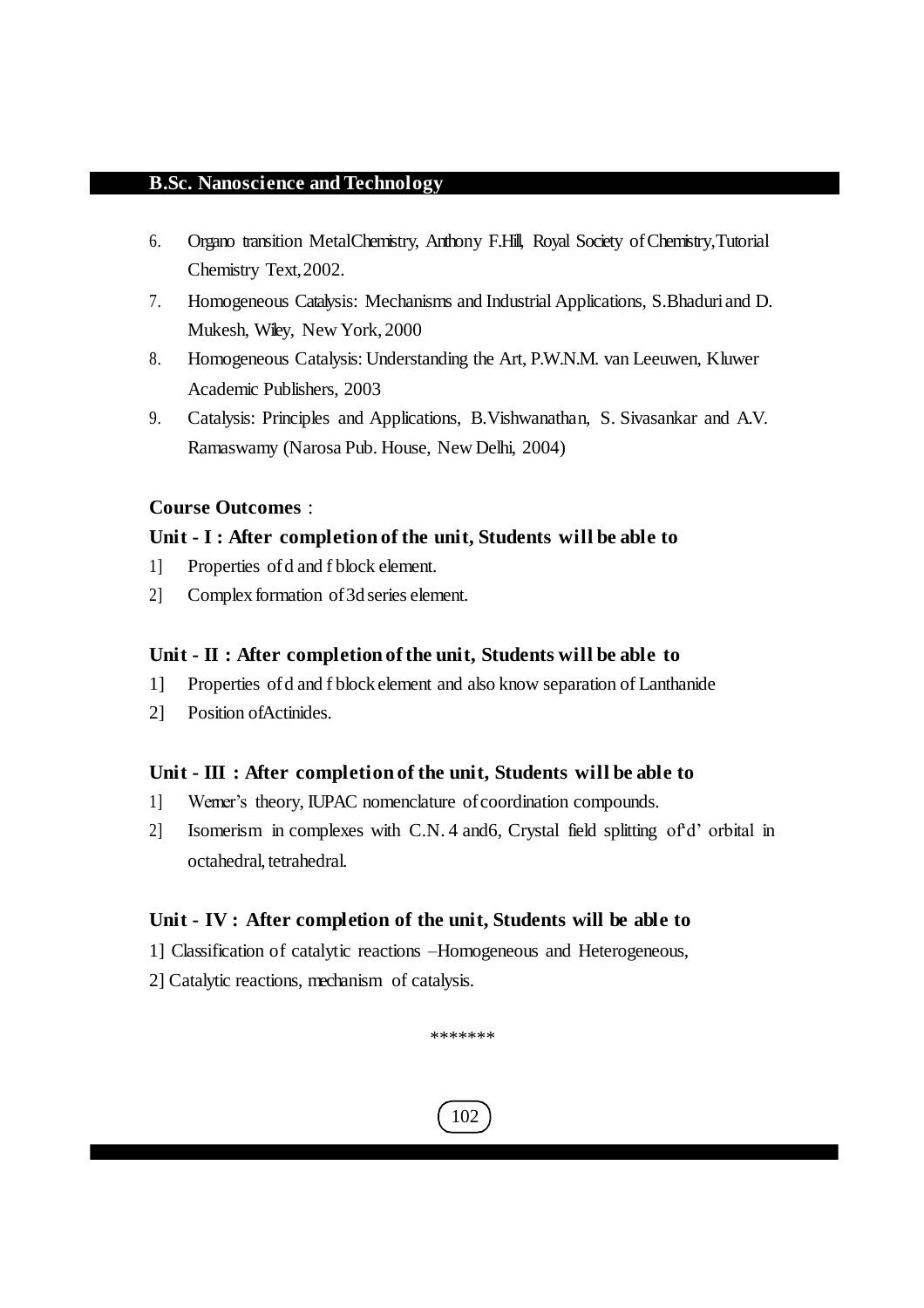- 6. Organo transition MetalChemistry, Anthony F.Hill, Royal Society ofChemistry,Tutorial Chemistry Text,2002.
- 7. Homogeneous Catalysis: Mechanisms and Industrial Applications, S.Bhaduriand D. Mukesh, Wiley, New York, 2000
- 8. Homogeneous Catalysis: Understanding the Art, P.W.N.M. van Leeuwen, Kluwer Academic Publishers, 2003
- 9. Catalysis: Principles and Applications, B.Vishwanathan, S. Sivasankar and A.V. Ramaswamy (Narosa Pub. House, New Delhi, 2004)

#### **Course Outcomes** :

#### **Unit - I : After completion of the unit, Students will be able to**

- 1] Properties ofd and f block element.
- 2] Complex formation of 3d series element.

#### **Unit - II : After completion of the unit, Students will be able to**

- 1] Properties ofd and f block element and also know separation of Lanthanide
- 2] Position ofActinides.

#### **Unit - III : After completion of the unit, Students will be able to**

- 1] Werner's theory, IUPAC nomenclature ofcoordination compounds.
- 2] Isomerism in complexes with C.N. 4 and6, Crystal field splitting of'd' orbital in octahedral, tetrahedral.

#### **Unit - IV : After completion of the unit, Students will be able to**

- 1] Classification of catalytic reactions –Homogeneous and Heterogeneous,
- 2] Catalytic reactions, mechanism of catalysis.

\*\*\*\*\*\*\*

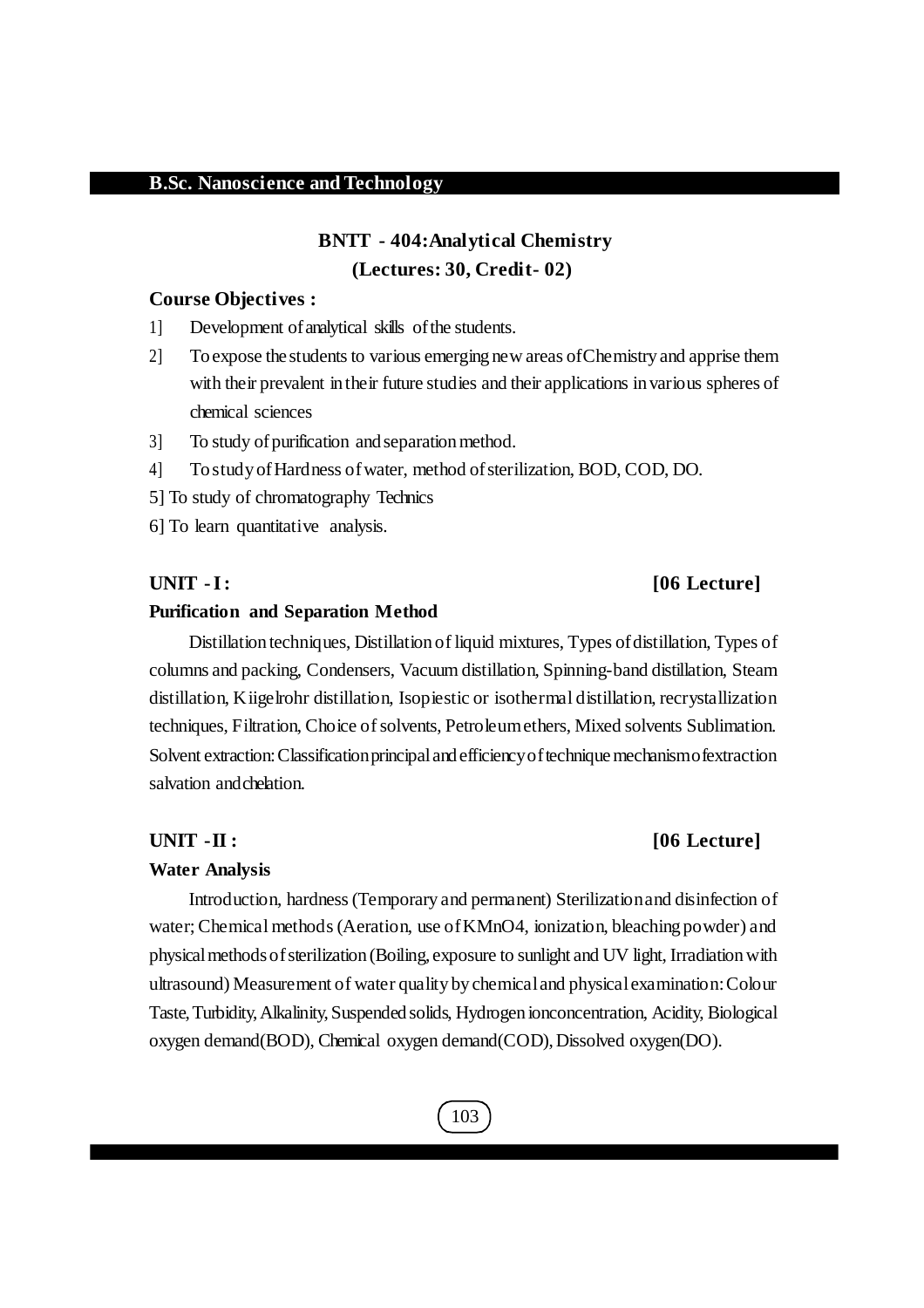## **BNTT - 404:Analytical Chemistry (Lectures: 30, Credit- 02)**

#### **Course Objectives :**

- 1] Development ofanalytical skills ofthe students.
- 2] To expose the studentsto various emerging new areas ofChemistry and apprise them with their prevalent intheir future studies and their applications in various spheres of chemical sciences
- 3] To study of purification and separation method.
- 4] To study ofHardness ofwater, method ofsterilization, BOD, COD, DO.
- 5] To study of chromatography Technics
- 6] To learn quantitative analysis.

#### **UNIT -I: [06 Lecture]**

#### **Purification and Separation Method**

Distillation techniques, Distillation of liquid mixtures, Types of distillation, Types of columns and packing, Condensers, Vacuum distillation, Spinning-band distillation, Steam distillation, Kiigelrohr distillation, Isopiestic or isothermal distillation, recrystallization techniques, Filtration, Choice of solvents, Petroleum ethers, Mixed solvents Sublimation. Solvent extraction: Classification principal and efficiency of technique mechanismo fextraction salvation andchelation.

#### **Water Analysis**

Introduction, hardness(Temporary and permanent) Sterilizationand disinfection of water;Chemical methods(Aeration, use ofKMnO4, ionization, bleaching powder) and physicalmethodsofsterilization (Boiling, exposure to sunlight and UV light, Irradiationwith ultrasound) Measurement of water quality by chemicaland physicalexamination:Colour Taste,Turbidity,Alkalinity,Suspended solids, Hydrogen ionconcentration, Acidity, Biological oxygen demand(BOD), Chemical oxygen demand(COD),Dissolved oxygen(DO).

### **UNIT -II : [06 Lecture]**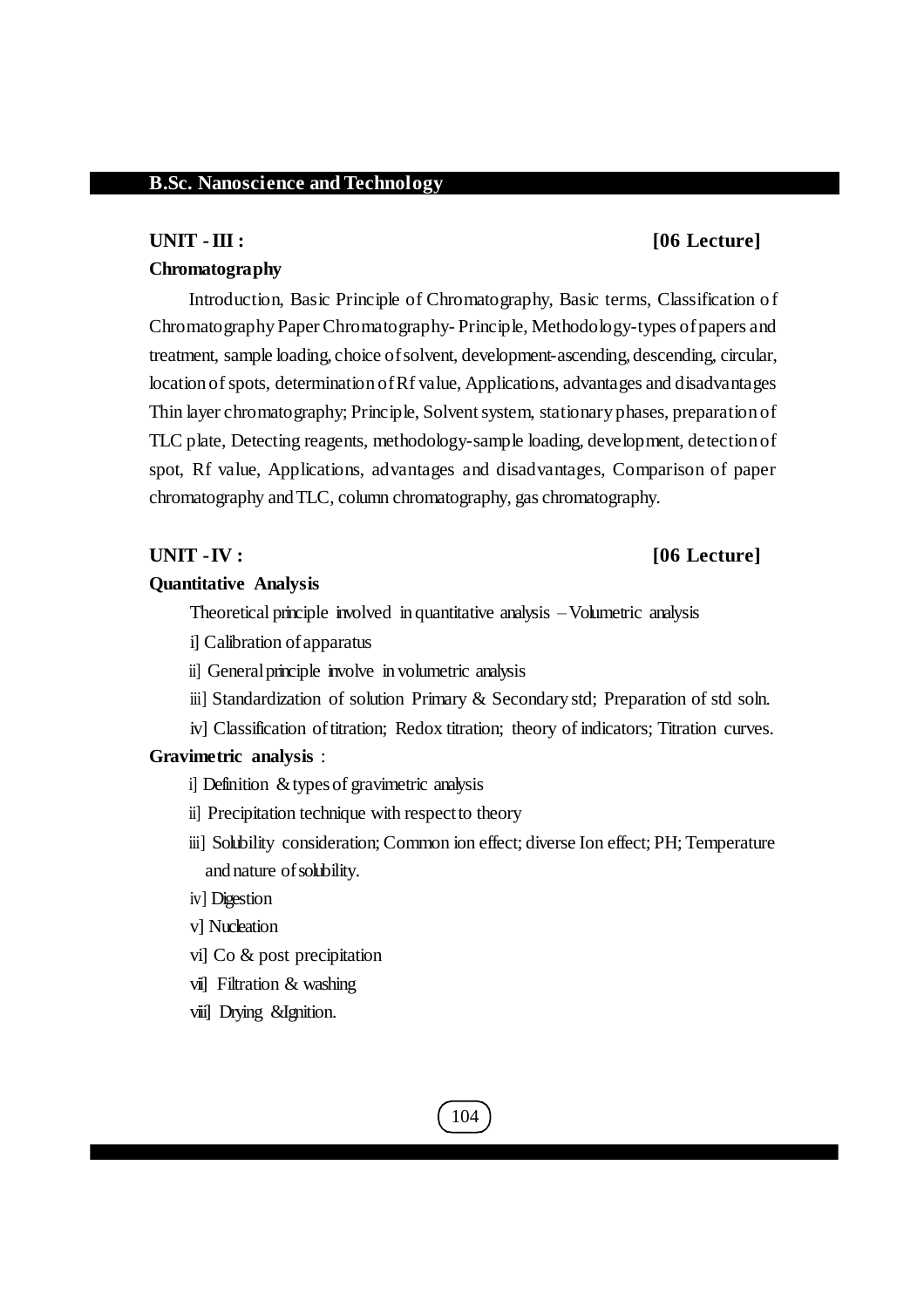#### **UNIT -III : [06 Lecture]**

#### **Chromatography**

Introduction, Basic Principle of Chromatography, Basic terms, Classification of Chromatography Paper Chromatography- Principle, Methodology-types of papers and treatment, sample loading, choice ofsolvent, development-ascending, descending, circular, location of spots, determination of Rf value, Applications, advantages and disadvantages Thin layer chromatography; Principle, Solventsystem, stationary phases, preparation of TLC plate, Detecting reagents, methodology-sample loading, development, detection of spot, Rf value, Applications, advantages and disadvantages, Comparison of paper chromatography andTLC, column chromatography, gas chromatography.

#### **UNIT -IV : [06 Lecture]**

#### **Quantitative Analysis**

Theoretical principle involved in quantitative analysis –Volumetric analysis

il Calibration of apparatus

ii] General principle involve in volumetric analysis

iii] Standardization of solution Primary & Secondary std; Preparation of std soln.

iv] Classification of titration; Redox titration; theory of indicators; Titration curves.

#### **Gravimetric analysis** :

i] Definition &typesof gravimetric analysis

- ii] Precipitation technique with respect to theory
- iii] Solubility consideration; Common ion effect; diverse Ion effect; PH; Temperature and nature ofsolubility.
- iv] Digestion
- v] Nucleation
- vi] Co & post precipitation
- vii] Filtration & washing
- viii] Drying &Ignition.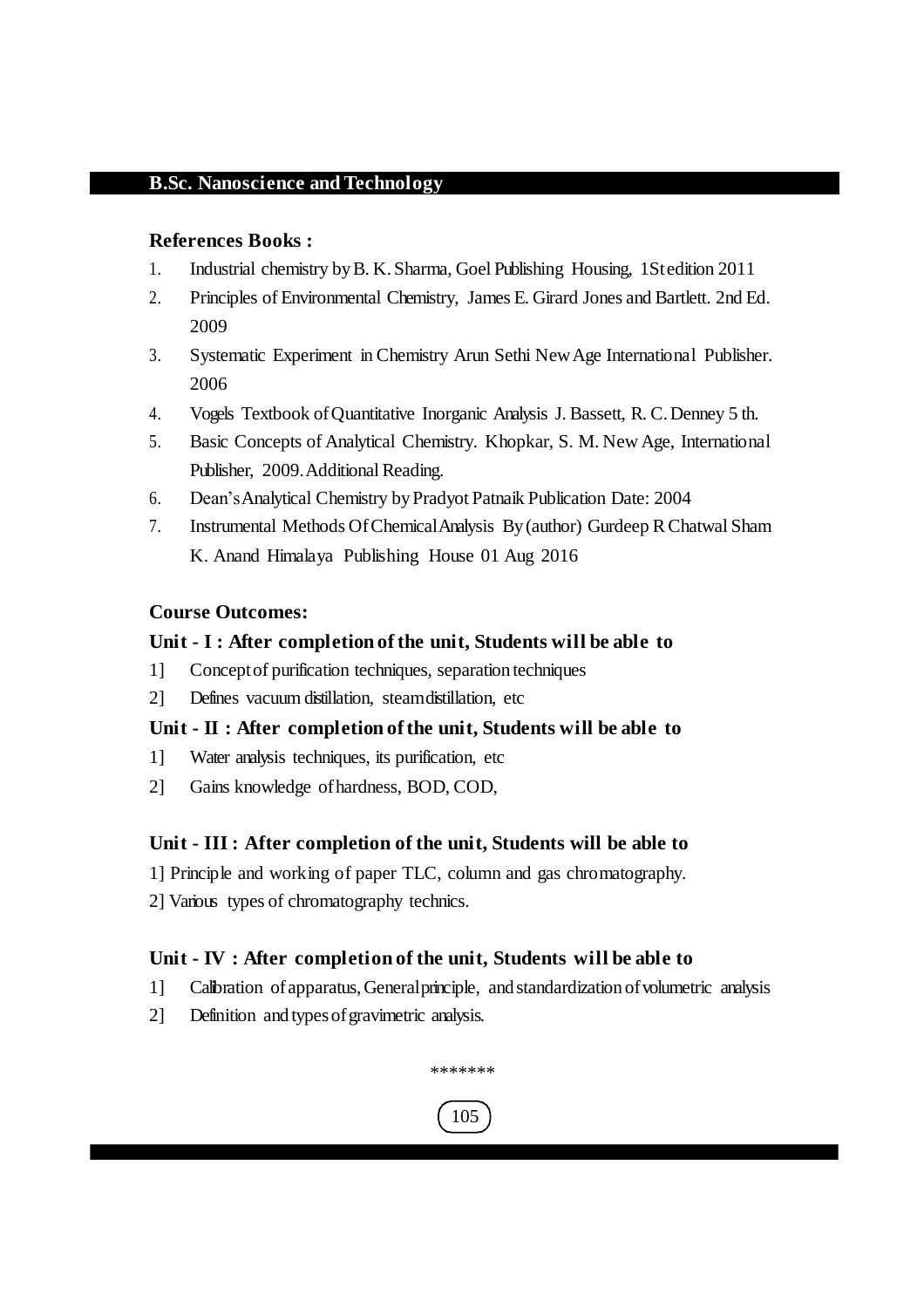#### **References Books :**

- 1. Industrial chemistry byB. K.Sharma, Goel Publishing Housing, 1Stedition 2011
- 2. Principles of Environmental Chemistry, James E. Girard Jones and Bartlett. 2nd Ed. 2009
- 3. Systematic Experiment in Chemistry Arun Sethi NewAge International Publisher. 2006
- 4. Vogels Textbook ofQuantitative Inorganic Analysis J. Bassett, R. C.Denney 5 th.
- 5. Basic Concepts of Analytical Chemistry. Khopkar, S. M. New Age, International Publisher, 2009. Additional Reading.
- 6. Dean'sAnalytical Chemistry byPradyot Patnaik Publication Date: 2004
- 7. Instrumental Methods OfChemicalAnalysis By (author) Gurdeep RChatwal Sham K. Anand Himalaya Publishing House 01 Aug 2016

#### **Course Outcomes:**

#### **Unit - I : After completion of the unit, Students will be able to**

- 1] Conceptof purification techniques, separation techniques
- 2] Defines vacuum distillation, steamdistillation, etc

### **Unit - II : After completion of the unit, Students will be able to**

- 1] Water analysis techniques, its purification, etc
- 2] Gains knowledge ofhardness, BOD, COD,

### **Unit - III : After completion of the unit, Students will be able to**

- 1] Principle and working of paper TLC, column and gas chromatography.
- 2] Various types of chromatography technics.

### **Unit - IV : After completion of the unit, Students will be able to**

- 1] Calibration ofapparatus,Generalprinciple, and standardization ofvolumetric analysis
- 2] Definition and types of gravimetric analysis.



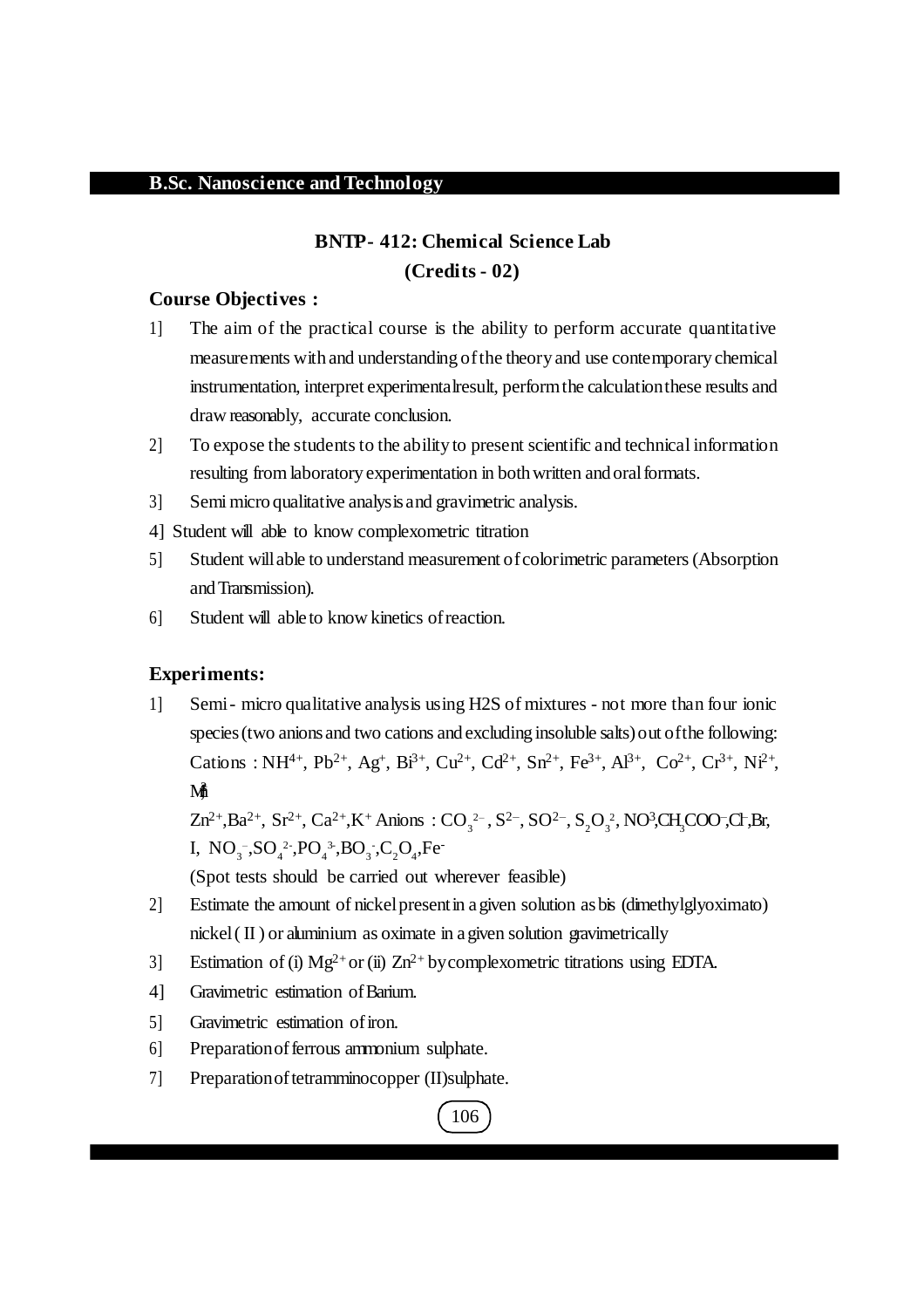## **BNTP- 412: Chemical Science Lab (Credits - 02)**

#### **Course Objectives :**

- 1] The aim of the practical course is the ability to perform accurate quantitative measurements with and understanding ofthe theory and use contemporary chemical instrumentation, interpret experimentalresult, performthe calculationthese results and draw reasonably, accurate conclusion.
- 2] To expose the students to the ability to present scientific and technical information resulting from laboratory experimentation in both written and oral formats.
- 3] Semi micro qualitative analysis and gravimetric analysis.
- 4] Student will able to know complexometric titration
- 5] Student willable to understand measurement ofcolorimetric parameters(Absorption andTransmission).
- 6] Student will able to know kinetics ofreaction.

### **Experiments:**

1] Semi- micro qualitative analysis using H2S of mixtures - not more than four ionic species (two anions and two cations and excluding insoluble salts) out of the following: Cations : NH<sup>4+</sup>, Pb<sup>2+</sup>, Ag<sup>+</sup>, Bi<sup>3+</sup>, Cu<sup>2+</sup>, Cd<sup>2+</sup>, Sn<sup>2+</sup>, Fe<sup>3+</sup>, Al<sup>3+</sup>, Co<sup>2+</sup>, Cr<sup>3+</sup>, Ni<sup>2+</sup>,  $\mathbf{M}$ 

 $Zn^{2+}$ ,Ba<sup>2+</sup>, Sr<sup>2+</sup>, Ca<sup>2+</sup>,K<sup>+</sup> Anions : CO<sub>3</sub><sup>2</sup>-, S<sup>2-</sup>, SO<sup>2-</sup>, S<sub>2</sub>O<sub>3</sub><sup>2</sup>, NO<sup>3</sup>,CH<sub>3</sub>COO<sup>-</sup>,Cl<sup>-</sup>,Br, I,  $NO_3^-$ , $SO_4^2$ , $PO_4^3$ , $BO_3$ , $C_2O_4$ , Fe<sup>-</sup>

(Spot tests should be carried out wherever feasible)

- 2] Estimate the amount of nickelpresentin agiven solution asbis (dimethylglyoximato) nickel( II ) or aluminium as oximate in agiven solution gravimetrically
- 3] Estimation of (i)  $Mg^{2+}$  or (ii)  $Zn^{2+}$  by complexometric titrations using EDTA.
- 4] Gravimetric estimation of Barium.
- 5] Gravimetric estimation of iron.
- 6] Preparationofferrous ammonium sulphate.
- 7] Preparation of tetramminocopper (II)sulphate.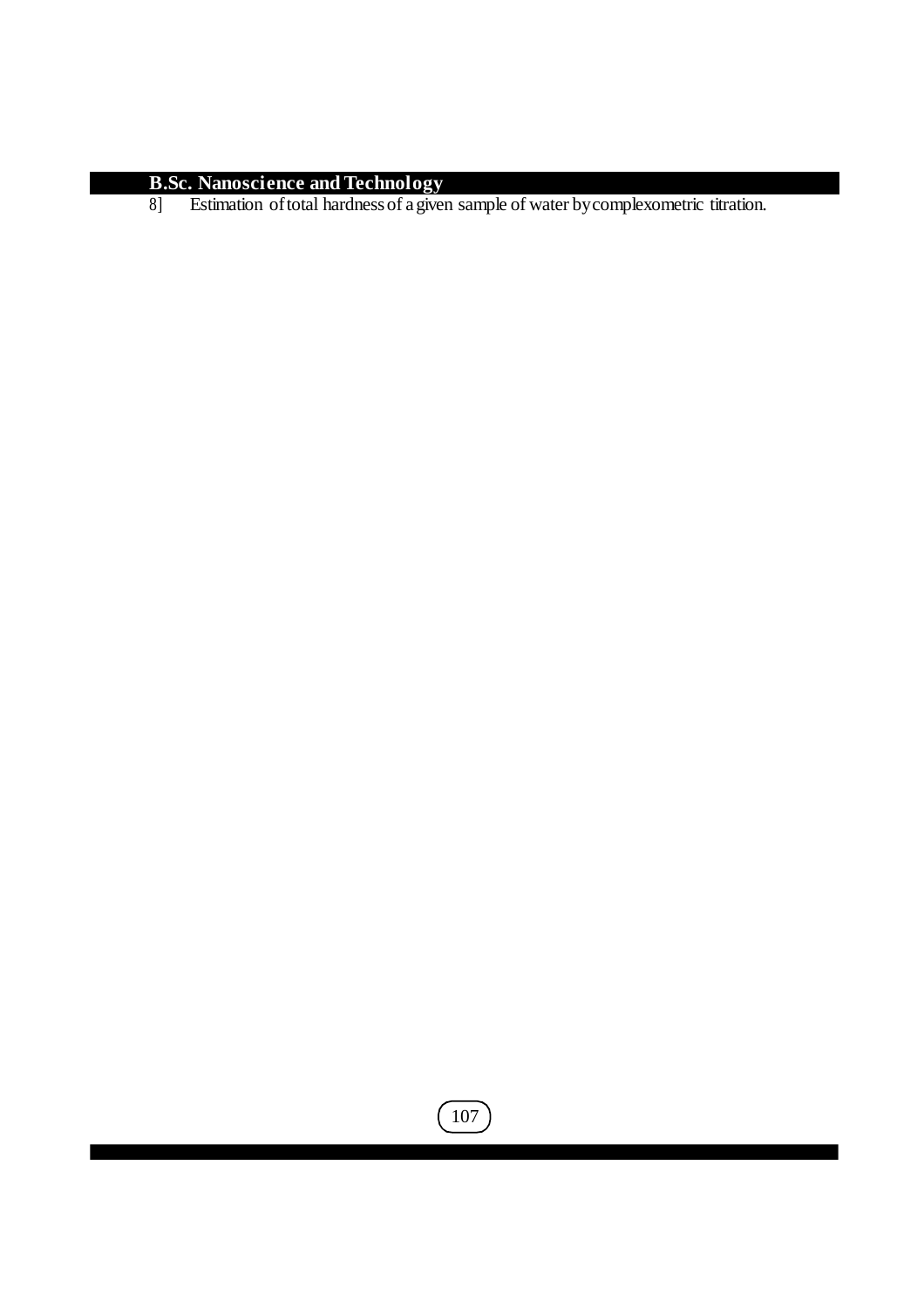8] Estimation oftotal hardnessof agiven sample of water bycomplexometric titration.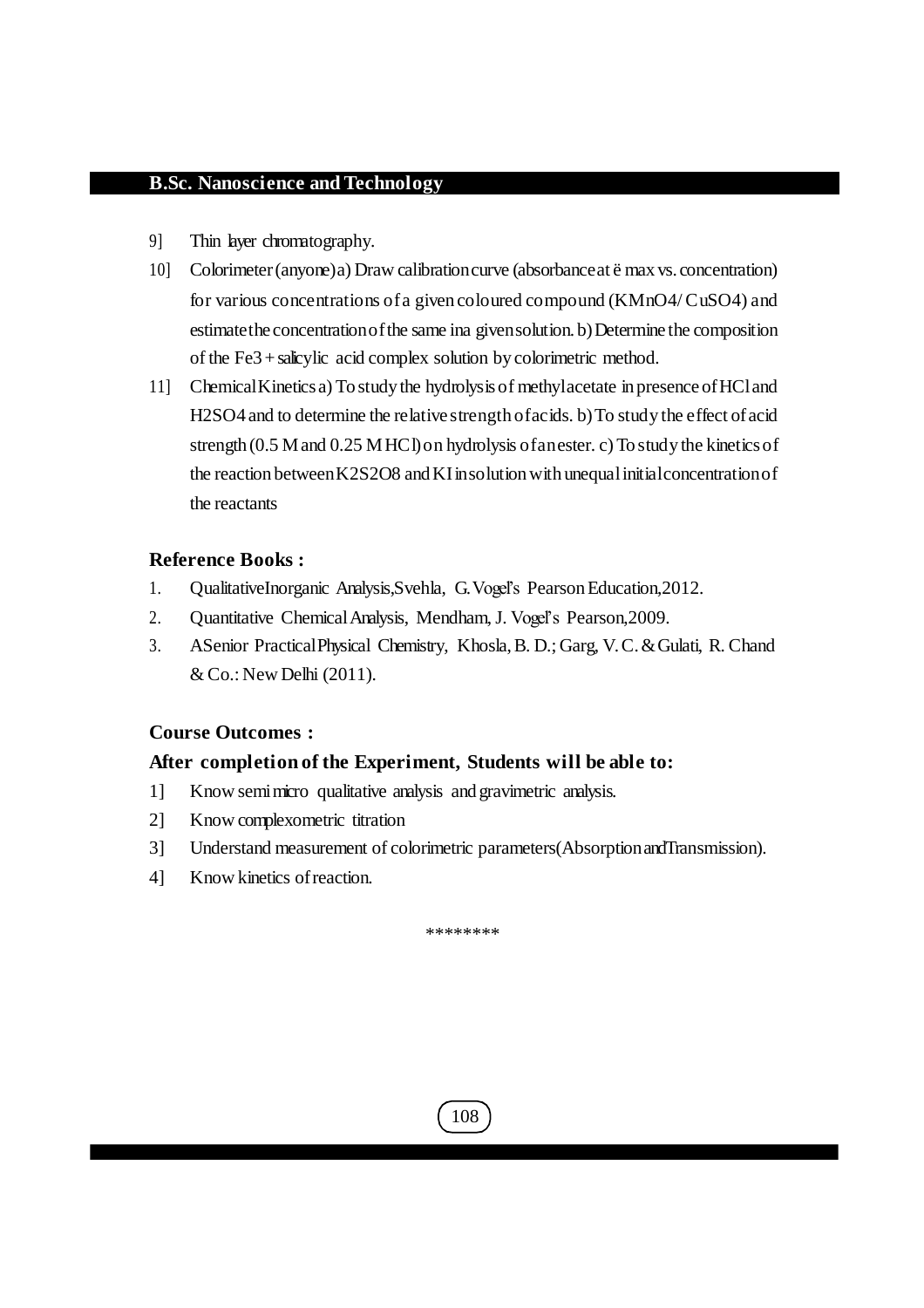- 9] Thin layer chromatography.
- 10] Colorimeter(anyone)a) Draw calibrationcurve (absorbanceat ë max vs. concentration) for various concentrations ofa given coloured compound (KMnO4/CuSO4) and estimate the concentration of the same ina given solution. b) Determine the composition of the Fe3+salicylic acid complex solution bycolorimetric method.
- 11] ChemicalKinetics a) To study the hydrolysisof methylacetate in presence ofHCland H2SO4 and to determine the relative strength of acids. b) To study the effect of acid strength (0.5 M and 0.25 MHCl) on hydrolysis of an ester. c) To study the kinetics of the reaction between K2S2O8 and KI insolution with unequal initial concentration of the reactants

### **Reference Books :**

- 1. QualitativeInorganic Analysis,Svehla, G.Vogel's PearsonEducation,2012.
- 2. Quantitative ChemicalAnalysis, Mendham,J. Vogel's Pearson,2009.
- 3. ASenior PracticalPhysical Chemistry, Khosla,B. D.; Garg, V. C.&Gulati, R. Chand & Co.: New Delhi (2011).

### **Course Outcomes :**

### **After completion of the Experiment, Students will be able to:**

- 1] Know semimicro qualitative analysis and gravimetric analysis.
- 2] Know complexometric titration
- 3] Understand measurement of colorimetric parameters(AbsorptionandTransmission).
- 4] Know kinetics ofreaction.

\*\*\*\*\*\*\*\*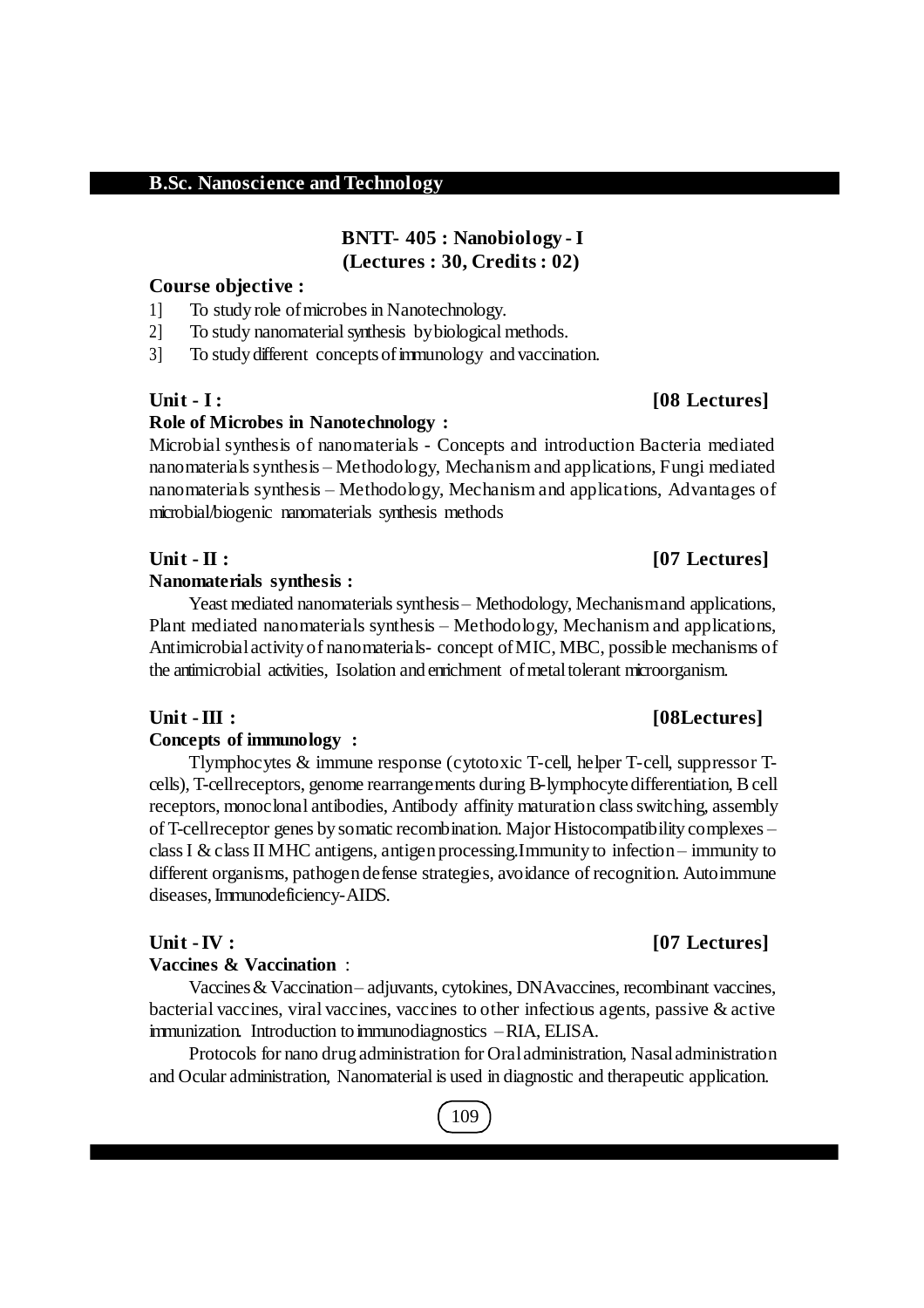## **BNTT- 405 : Nanobiology - I (Lectures : 30, Credits : 02)**

### **Course objective :**

- 1] To study role ofmicrobesin Nanotechnology.
- 2] To study nanomaterial synthesis bybiological methods.
- 3] To study different conceptsofimmunology and vaccination.

### **Role of Microbes in Nanotechnology :**

Microbial synthesis of nanomaterials - Concepts and introduction Bacteria mediated nanomaterials synthesis – Methodology, Mechanism and applications, Fungi mediated nanomaterials synthesis – Methodology, Mechanism and applications, Advantages of microbial/biogenic nanomaterials synthesis methods

#### **Nanomaterials synthesis :**

Yeast mediated nanomaterials synthesis – Methodology, Mechanismand applications, Plant mediated nanomaterials synthesis – Methodology, Mechanism and applications, Antimicrobialactivity of nanomaterials- concept ofMIC, MBC, possible mechanisms of the antimicrobial activities, Isolation and enrichment of metal tolerant microorganism.

#### **Concepts of immunology :**

Tlymphocytes & immune response (cytotoxic T-cell, helper T-cell, suppressor Tcells), T-cellreceptors, genome rearrangements during B-lymphocyte differentiation, Bcell receptors, monoclonal antibodies, Antibody affinity maturation class switching, assembly of T-cellreceptor genes by somatic recombination. Major Histocompatibility complexes – classI & classII MHC antigens, antigen processing.Immunity to infection – immunity to different organisms, pathogen defense strategies, avoidance of recognition. Autoimmune diseases,Immunodeficiency-AIDS.

#### **Vaccines & Vaccination** :

Vaccines& Vaccination– adjuvants, cytokines, DNAvaccines, recombinant vaccines, bacterial vaccines, viral vaccines, vaccines to other infectious agents, passive & active immunization. Introduction to immunodiagnostics –RIA, ELISA.

Protocols for nano drug administration for Oraladministration, Nasaladministration and Ocular administration, Nanomaterial is used in diagnostic and therapeutic application.

## 109

### **Unit - III :** [08Lectures]

### **Unit -IV : [07 Lectures]**

## **Unit - I : [08 Lectures]**

## **Unit - II : [07 Lectures]**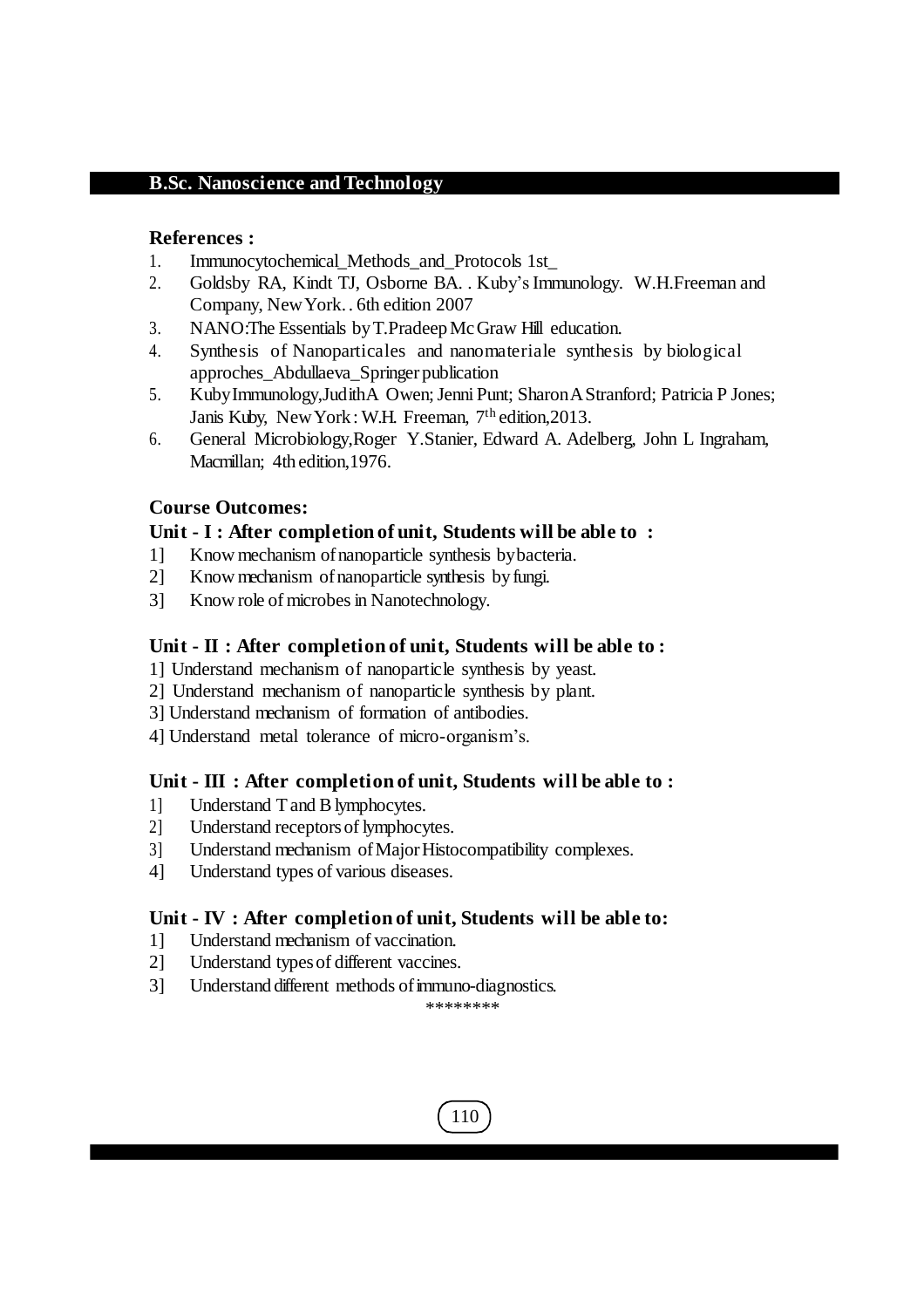#### **References :**

- 1. Immunocytochemical\_Methods\_and\_Protocols 1st\_
- 2. Goldsby RA, Kindt TJ, Osborne BA. . Kuby's Immunology. W.H.Freeman and Company, NewYork. . 6th edition 2007
- 3. NANO:The Essentials byT.PradeepMcGraw Hill education.
- 4. Synthesis of Nanoparticales and nanomateriale synthesis by biological approches\_Abdullaeva\_Springer publication
- 5. KubyImmunology,JudithA Owen; Jenni Punt; SharonAStranford; Patricia P Jones; Janis Kuby, New York: W.H. Freeman, 7<sup>th</sup> edition, 2013.
- 6. General Microbiology,Roger Y.Stanier, Edward A. Adelberg, John L Ingraham, Macmillan; 4th edition,1976.

### **Course Outcomes:**

#### **Unit - I : After completion of unit, Students will be able to :**

- 1] Know mechanism ofnanoparticle synthesis bybacteria.
- 2] Know mechanism ofnanoparticle synthesis byfungi.
- 3] Know role of microbesin Nanotechnology.

#### **Unit - II : After completion of unit, Students will be able to :**

- 1] Understand mechanism of nanoparticle synthesis by yeast.
- 2] Understand mechanism of nanoparticle synthesis by plant.
- 3] Understand mechanism of formation of antibodies.
- 4] Understand metal tolerance of micro-organism's.

### **Unit - III : After completion of unit, Students will be able to :**

- 1] Understand Tand Blymphocytes.
- 2] Understand receptorsof lymphocytes.
- 3] Understand mechanism ofMajorHistocompatibility complexes.
- 4] Understand types of various diseases.

### **Unit - IV : After completion of unit, Students will be able to:**

- 1] Understand mechanism of vaccination.
- 2] Understand typesof different vaccines.
- 3] Understand different methods of immuno-diagnostics.

\*\*\*\*\*\*\*\*

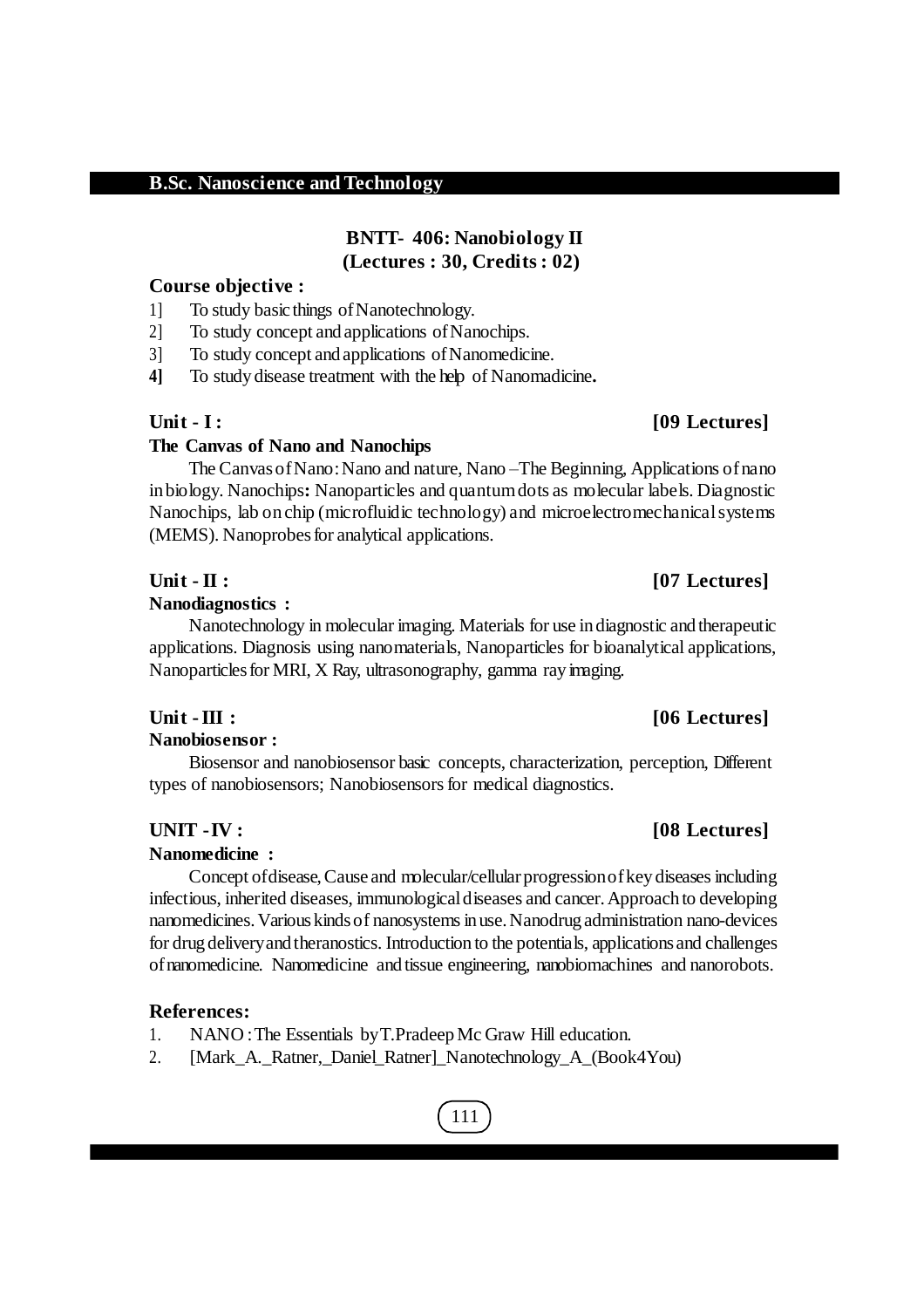## **BNTT- 406: Nanobiology II (Lectures : 30, Credits : 02)**

## **Course objective :**

1] To study basic things ofNanotechnology.

2] To study concept and applications ofNanochips.

3] To study concept and applications ofNanomedicine.

**4]** To study disease treatment with the help of Nanomadicine**.**

## **The Canvas of Nano and Nanochips**

The CanvasofNano:Nano and nature, Nano –The Beginning, Applications ofnano inbiology. Nanochips**:** Nanoparticles and quantumdots as molecular labels. Diagnostic Nanochips, lab on chip (microfluidic technology) and microelectromechanicalsystems (MEMS). Nanoprobes for analytical applications.

#### **Unit - II : [07 Lectures]**

#### **Nanodiagnostics :**

Nanotechnology in molecular imaging. Materials for use indiagnostic and therapeutic applications. Diagnosis using nanomaterials, Nanoparticles for bioanalytical applications, Nanoparticles for MRI, X Ray, ultrasonography, gamma ray imaging.

#### **Nanobiosensor :**

Biosensor and nanobiosensor basic concepts, characterization, perception, Different types of nanobiosensors; Nanobiosensors for medical diagnostics.

### **Nanomedicine :**

Concept of disease, Cause and molecular/cellular progression of key diseases including infectious, inherited diseases, immunological diseases and cancer. Approach to developing nanomedicines.Variouskindsof nanosystemsin use.Nanodrug administration nano-devices for drug deliveryand theranostics. Introduction to the potentials, applications and challenges ofnanomedicine. Nanomedicine and tissue engineering, nanobiomachines and nanorobots.

### **References:**

- 1. NANO :The Essentials byT.PradeepMc Graw Hill education.
- 2. [Mark\_A.\_Ratner,\_Daniel\_Ratner]\_Nanotechnology\_A\_(Book4You)

# **Unit - I : [09 Lectures]**

### **Unit -III : [06 Lectures]**

## **UNIT -IV : [08 Lectures]**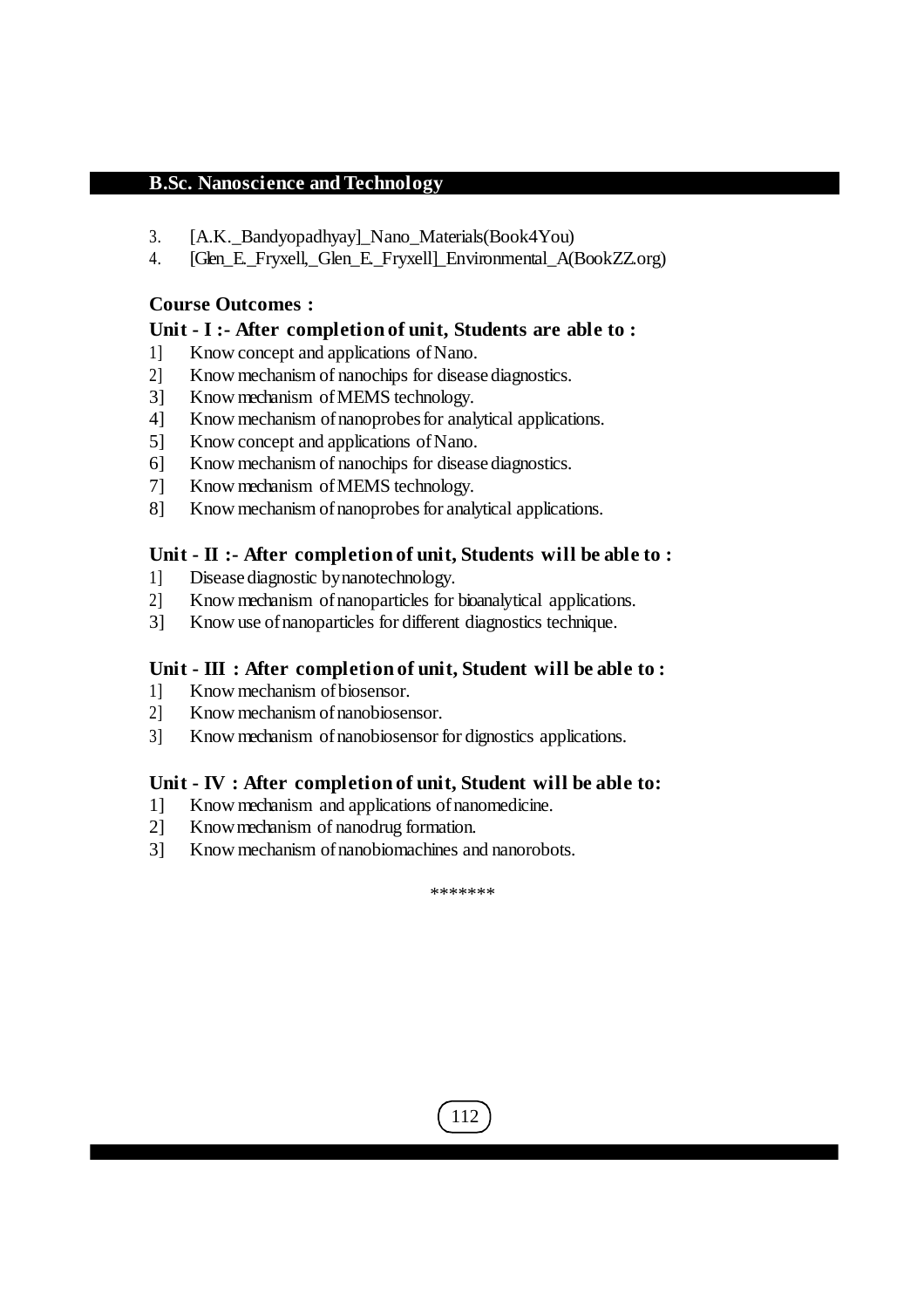- 3. [A.K.\_Bandyopadhyay]\_Nano\_Materials(Book4You)
- 4. [Glen\_E.\_Fryxell,\_Glen\_E.\_Fryxell]\_Environmental\_A(BookZZ.org)

#### **Course Outcomes :**

#### **Unit - I :- After completion of unit, Students are able to :**

- 1] Know concept and applications ofNano.
- 2] Know mechanism of nanochips for diseasediagnostics.
- 3] Know mechanism ofMEMS technology.
- 4] Know mechanism ofnanoprobesfor analytical applications.
- 5] Know concept and applications of Nano.
- 6] Know mechanism of nanochips for diseasediagnostics.
- 7] Know mechanism ofMEMS technology.
- 8] Know mechanism of nanoprobes for analytical applications.

#### **Unit - II :- After completion of unit, Students will be able to :**

- 1] Diseasediagnostic bynanotechnology.
- 2] Know mechanism ofnanoparticles for bioanalytical applications.
- 3] Know use ofnanoparticles for different diagnostics technique.

### **Unit - III : After completion of unit, Student will be able to :**

- 1] Know mechanism ofbiosensor.
- 2] Know mechanism ofnanobiosensor.
- 3] Know mechanism ofnanobiosensor for dignostics applications.

### **Unit - IV : After completion of unit, Student will be able to:**

- 1] Know mechanism and applications ofnanomedicine.
- 2] Knowmechanism of nanodrug formation.
- 3] Know mechanism of nanobiomachines and nanorobots.

\*\*\*\*\*\*\*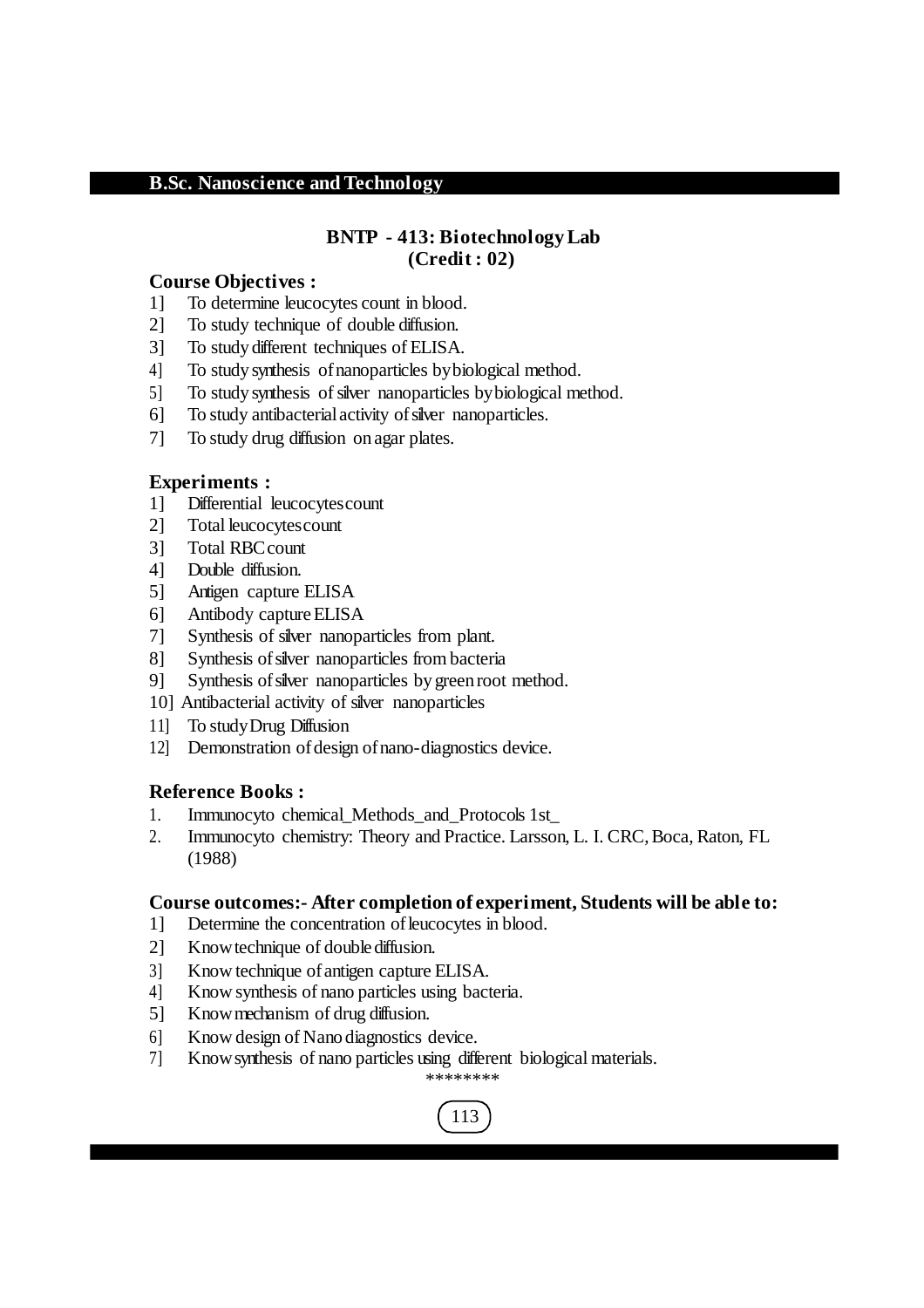#### **BNTP - 413: Biotechnology Lab (Credit : 02)**

#### **Course Objectives :**

- 1] To determine leucocytes count in blood.
- 2] To study technique of double diffusion.
- 3] To study different techniques of ELISA.
- 4] To study synthesis ofnanoparticles bybiological method.
- 5] To study synthesis of silver nanoparticles by biological method.
- 6] To study antibacterialactivity ofsilver nanoparticles.
- 7] To study drug diffusion on agar plates.

#### **Experiments :**

- 1] Differential leucocytescount
- 2] Total leucocytescount
- 3] Total RBCcount
- 4] Double diffusion.
- 5] Antigen capture ELISA
- 6] Antibody captureELISA
- 7] Synthesis of silver nanoparticles from plant.
- 8] Synthesis of silver nanoparticles from bacteria
- 9] Synthesis of silver nanoparticles by green root method.
- 10] Antibacterial activity of silver nanoparticles
- 11] To studyDrug Diffusion
- 12] Demonstration of design of nano-diagnostics device.

#### **Reference Books :**

- 1. Immunocyto chemical\_Methods\_and\_Protocols 1st\_
- 2. Immunocyto chemistry: Theory and Practice. Larsson, L. I. CRC,Boca, Raton, FL (1988)

#### **Course outcomes:- After completion of experiment, Students will be able to:**

- 1] Determine the concentration ofleucocytes in blood.
- 2] Knowtechnique of doublediffusion.
- 3] Know technique ofantigen capture ELISA.
- 4] Know synthesis of nano particles using bacteria.
- 5] Knowmechanism of drug diffusion.
- 6] Know design of Nano diagnostics device.
- 7] Knowsynthesis of nano particles using different biological materials.

\*\*\*\*\*\*\*\*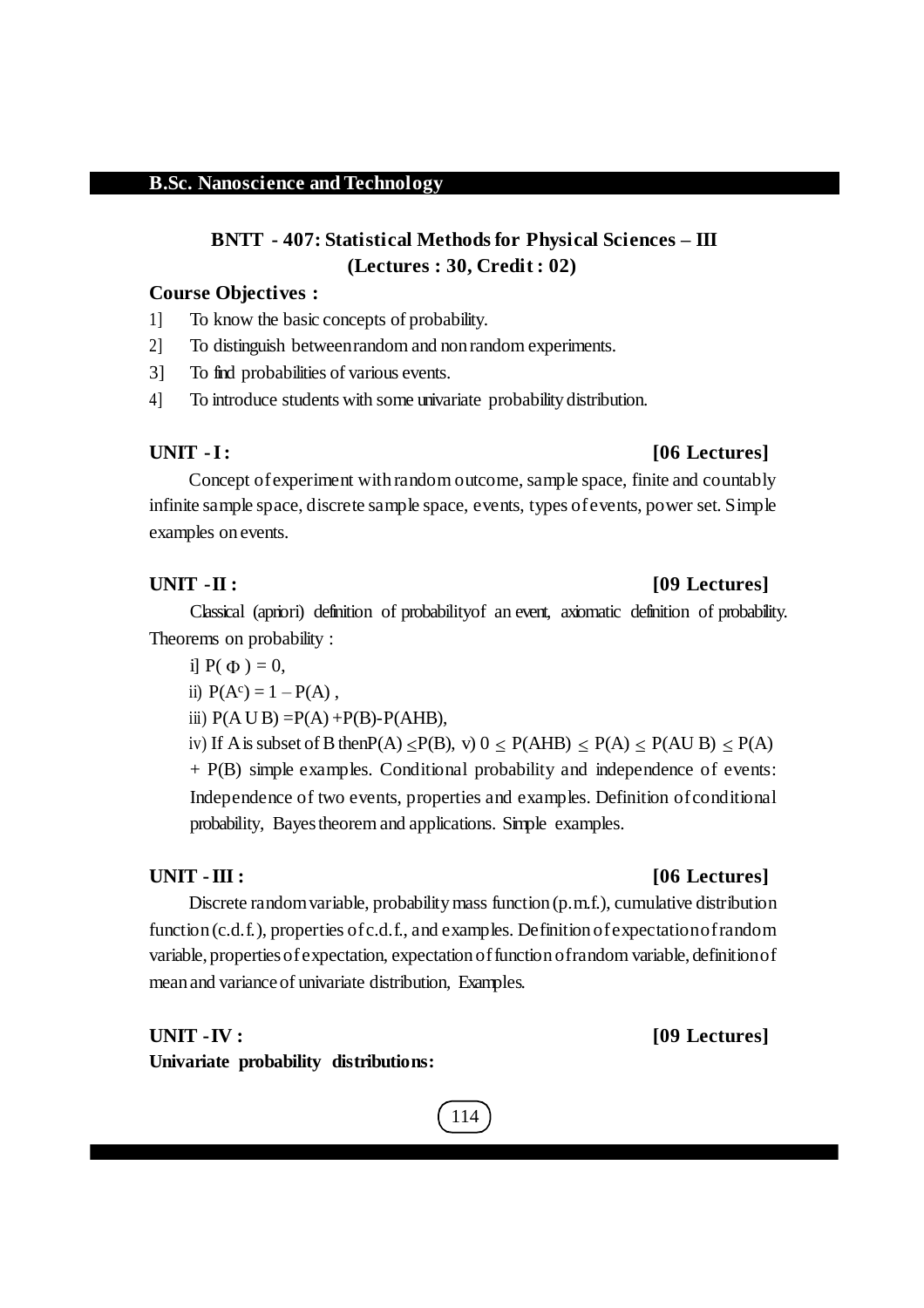## **BNTT - 407: Statistical Methods for Physical Sciences – III (Lectures : 30, Credit : 02)**

#### **Course Objectives :**

- 1] To know the basic concepts of probability.
- 2] To distinguish betweenrandom and non random experiments.
- 3] To find probabilities of various events.
- 4] To introduce students with some univariate probability distribution.

#### **UNIT -I: [06 Lectures]**

Concept of experiment with random outcome, sample space, finite and countably infinite sample space, discrete sample space, events, types ofevents, power set. Simple examples on events.

#### **UNIT -II : [09 Lectures]**

Classical (apriori) definition of probabilityof an event, axiomatic definition of probability. Theorems on probability :

- i]  $P(\Phi) = 0$ ,
- ii)  $P(A^c) = 1 P(A)$ ,
- iii)  $P(A \cup B) = P(A) + P(B) P(AHB)$ ,

iv) If A is subset of B then  $P(A) \leq P(B)$ , v)  $0 \leq P(AHB) \leq P(A) \leq P(AUB) \leq P(A)$ + P(B) simple examples. Conditional probability and independence of events: Independence of two events, properties and examples. Definition ofconditional

probability, Bayestheorem and applications. Simple examples.

Discrete random variable, probability mass function (p.m.f.), cumulative distribution function (c.d.f.), properties of c.d.f., and examples. Definition of expectation of random variable, propertiesofexpectation, expectation offunction ofrandom variable, definitionof mean and variance of univariate distribution, Examples.

#### **UNIT -IV : [09 Lectures]**

**Univariate probability distributions:**

#### **UNIT -III : [06 Lectures]**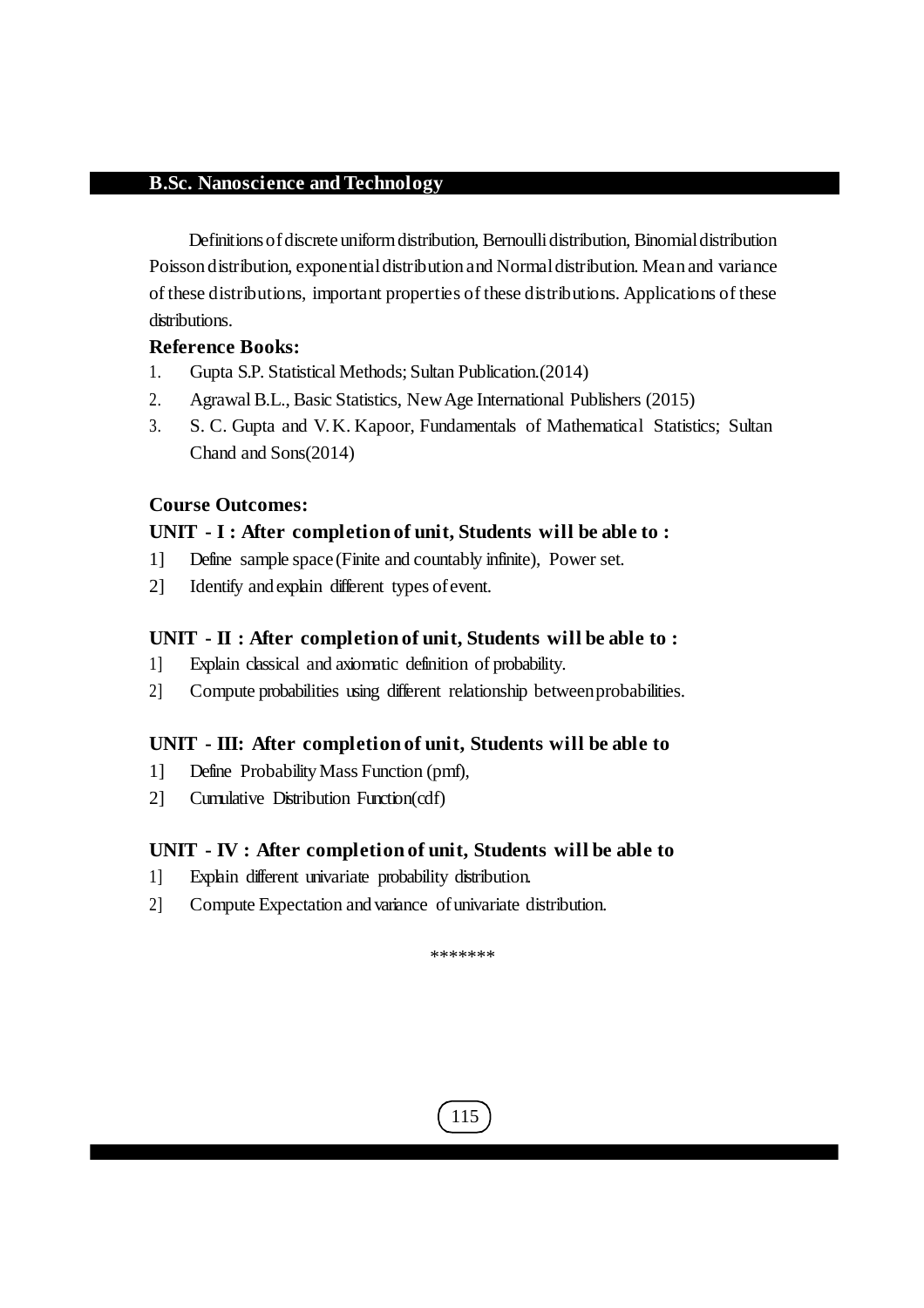Definitions of discrete uniform distribution, Bernoulli distribution, Binomial distribution Poisson distribution, exponentialdistribution and Normaldistribution. Mean and variance of these distributions, important properties of these distributions. Applications of these distributions.

#### **Reference Books:**

- 1. Gupta S.P. Statistical Methods; Sultan Publication.(2014)
- 2. AgrawalB.L., Basic Statistics, NewAge International Publishers (2015)
- 3. S. C. Gupta and V. K. Kapoor, Fundamentals of Mathematical Statistics; Sultan Chand and Sons(2014)

#### **Course Outcomes:**

#### **UNIT - I : After completion of unit, Students will be able to :**

- 1] Define sample space (Finite and countably infinite), Power set.
- 2] Identify and explain different types ofevent.

#### **UNIT - II : After completion of unit, Students will be able to :**

- 1] Explain classical and axiomatic definition of probability.
- 2] Compute probabilities using different relationship betweenprobabilities.

#### **UNIT - III: After completion of unit, Students will be able to**

- 1] Define ProbabilityMass Function (pmf),
- 2] Cumulative Distribution Function(cdf)

#### **UNIT - IV : After completion of unit, Students will be able to**

- 1] Explain different univariate probability distribution.
- 2] Compute Expectation and variance ofunivariate distribution.

\*\*\*\*\*\*\*

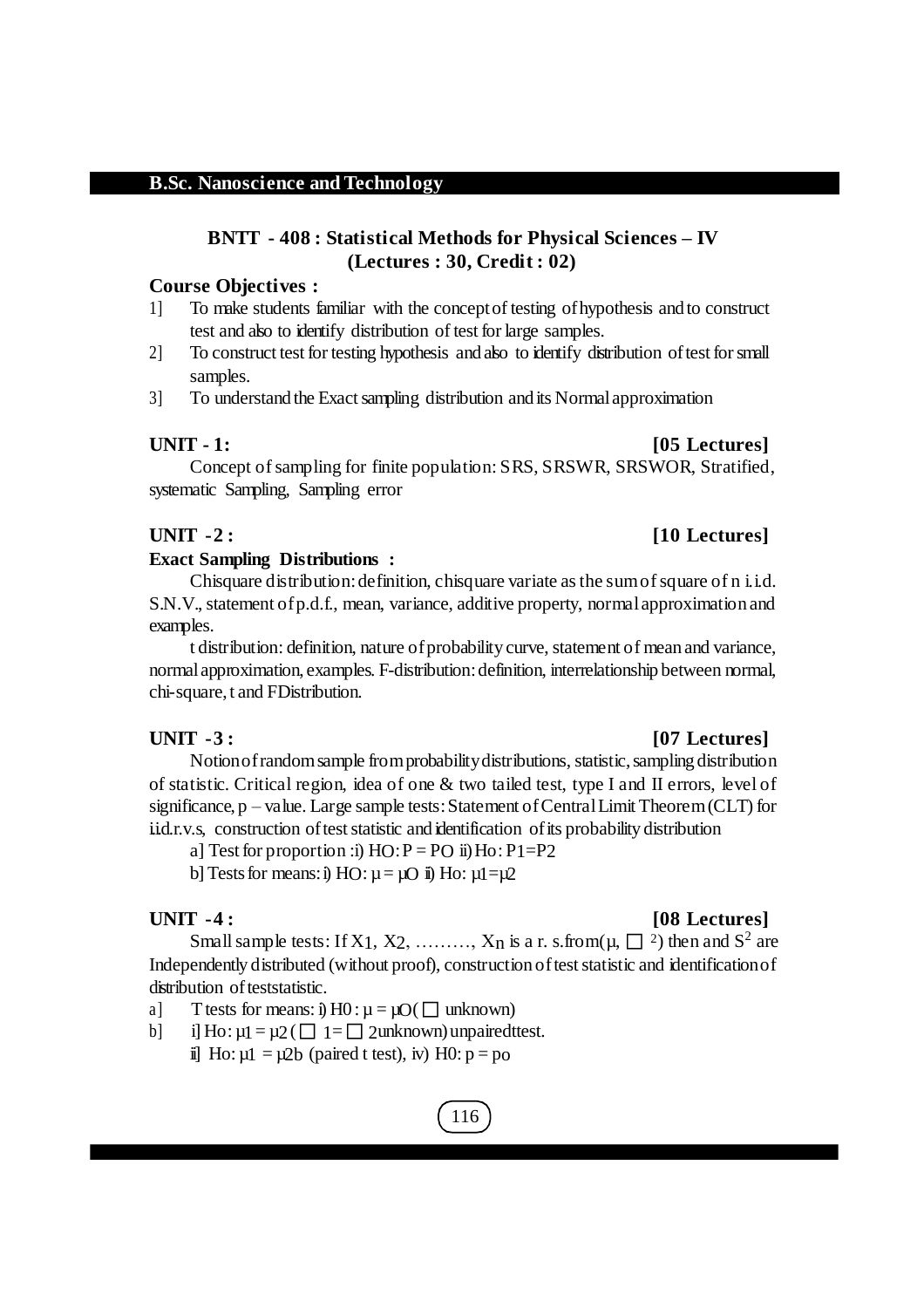## **BNTT - 408 : Statistical Methods for Physical Sciences – IV (Lectures : 30, Credit : 02)**

#### **Course Objectives :**

- 1] To make students familiar with the conceptof testing ofhypothesis and to construct test and also to identify distribution of test for large samples.
- 2] To construct test for testing hypothesis and also to identify distribution of test for small samples.
- 3] To understand the Exact sampling distribution and its Normal approximation

#### **UNIT - 1: [05 Lectures]**

Concept of sampling for finite population: SRS, SRSWR, SRSWOR, Stratified, systematic Sampling, Sampling error

### **UNIT -2 : [10 Lectures]**

### **Exact Sampling Distributions :**

Chisquare distribution: definition, chisquare variate as the sum of square of n i.i.d. S.N.V., statement of p.d.f., mean, variance, additive property, normal approximation and examples.

t distribution: definition, nature of probability curve, statement of mean and variance, normalapproximation, examples. F-distribution:definition, interrelationship between normal, chi-square,t and FDistribution.

### **UNIT -3 : [07 Lectures]**

Notionofrandomsample fromprobabilitydistributions, statistic,sampling distribution of statistic. Critical region, idea of one  $\&$  two tailed test, type I and II errors, level of significance, p – value. Large sample tests: Statement of Central Limit Theorem (CLT) for i.i.d.r.v.s, construction of test statistic and identification of its probability distribution

a] Test for proportion :i)  $HO: P = PO$  ii)  $Ho: P1 = P2$ 

b] Tests for means: i) HO:  $\mu = \mu O$  ii) Ho:  $\mu1 = \mu2$ 

## **UNIT -4 : [08 Lectures]**

Small sample tests: If X1, X2, ........, X<sub>n</sub> is a r. s.from( $\mu$ ,  $\Box$  <sup>2</sup>) then and S<sup>2</sup> are Independently distributed (without proof), construction of test statistic and identification of distribution of teststatistic.

a] T tests for means: i)  $H0: \mu = \mu O(\Box$  unknown)

b] i] Ho:  $\mu$ 1 =  $\mu$ 2( $\Box$  1 =  $\Box$  2unknown) unpaired ttest. ii] Ho:  $\mu$ 1 =  $\mu$ 2b (paired t test), iv) H0:  $p = p_0$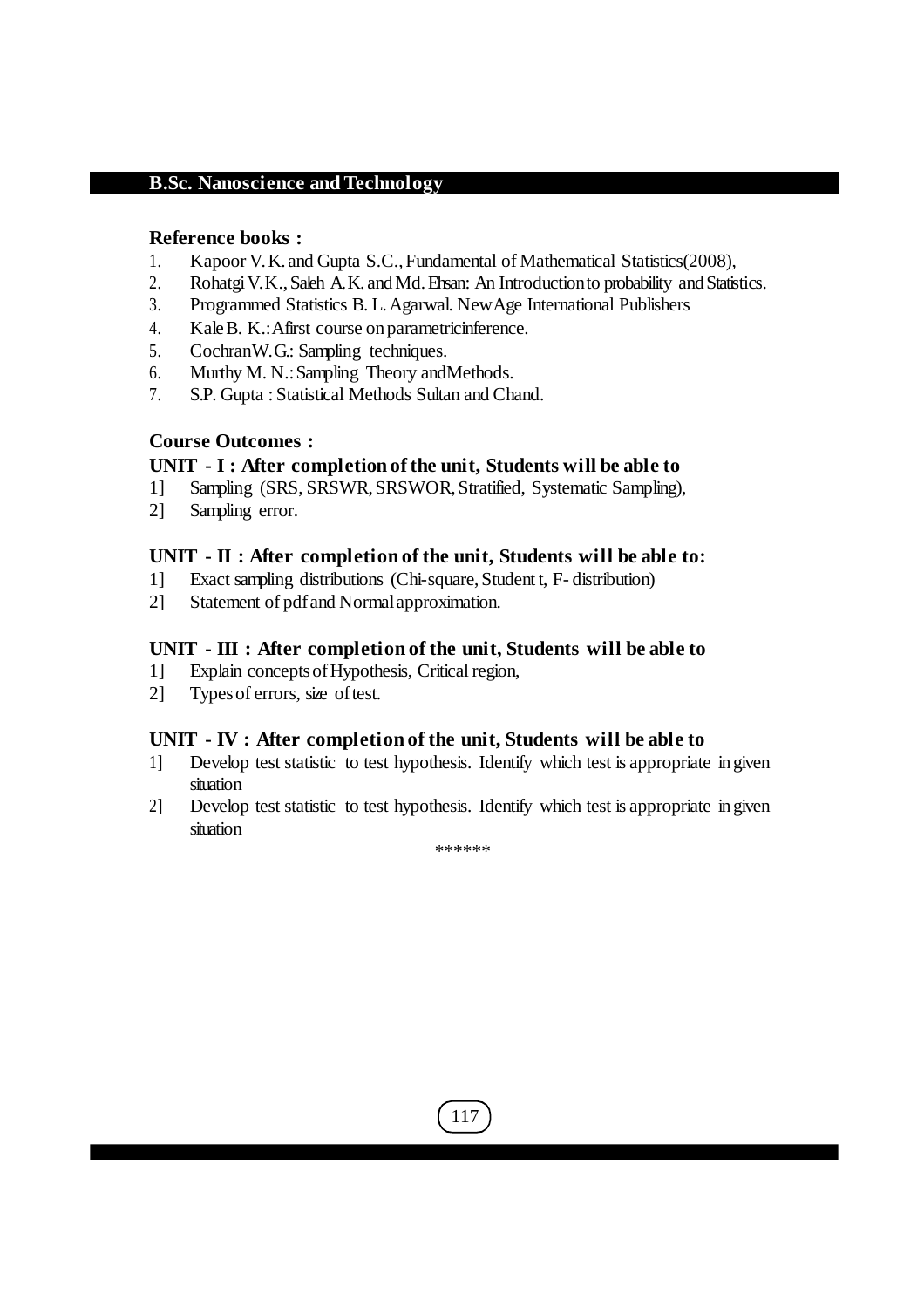#### **Reference books :**

- 1. Kapoor V.K. and Gupta S.C.,Fundamental of Mathematical Statistics(2008),
- 2. Rohatgi V.K., Saleh A.K. and Md. Ehsan: An Introduction to probability and Statistics.
- 3. Programmed Statistics B. L.Agarwal. NewAge International Publishers
- 4. KaleB. K.:Afirst course onparametricinference.
- 5. CochranW. G.: Sampling techniques.
- 6. Murthy M. N.:Sampling Theory andMethods.
- 7. S.P. Gupta : Statistical Methods Sultan and Chand.

### **Course Outcomes :**

#### **UNIT - I : After completion of the unit, Students will be able to**

- 1] Sampling (SRS, SRSWR,SRSWOR,Stratified, Systematic Sampling),
- 2] Sampling error.

#### **UNIT - II : After completion of the unit, Students will be able to:**

- 1] Exact sampling distributions (Chi-square,Student t, F- distribution)
- 2] Statement of pdfand Normalapproximation.

#### **UNIT - III : After completion of the unit, Students will be able to**

- 1] Explain conceptsofHypothesis, Critical region,
- 2] Types of errors, size of test.

### **UNIT - IV : After completion of the unit, Students will be able to**

- 1] Develop test statistic to test hypothesis. Identify which test is appropriate in given situation
- 2] Develop test statistic to test hypothesis. Identify which test is appropriate in given situation

\*\*\*\*\*\*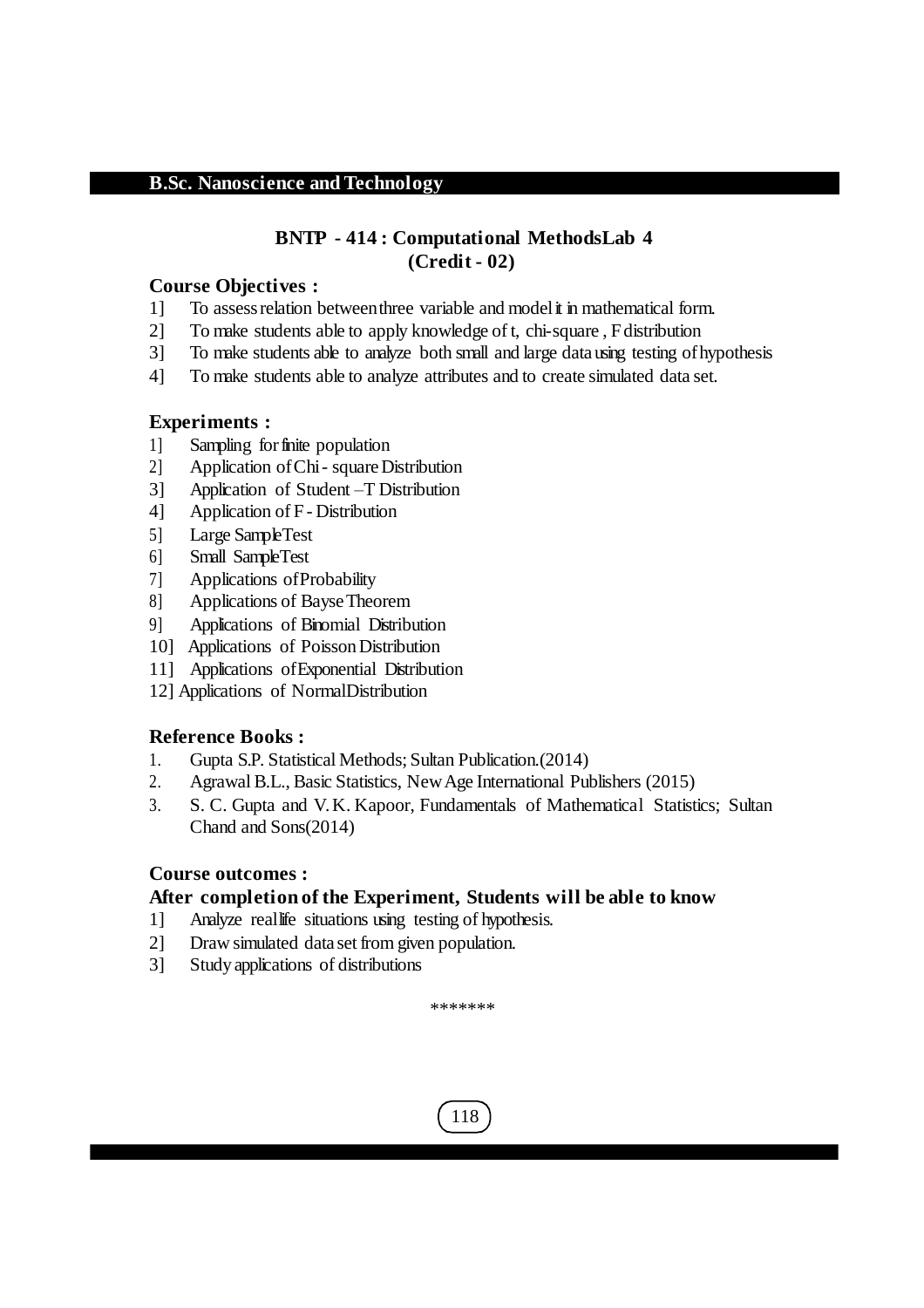### **BNTP - 414 : Computational MethodsLab 4 (Credit - 02)**

#### **Course Objectives :**

- 1] To assessrelation betweenthree variable and modelit in mathematical form.
- 2] To make students able to apply knowledge of t, chi-square , Fdistribution
- 3] To make students able to analyze both small and large datausing testing ofhypothesis
- 4] To make students able to analyze attributes and to create simulated data set.

#### **Experiments :**

- 1] Sampling forfinite population
- 2] Application ofChi- squareDistribution
- 3] Application of Student –T Distribution
- 4] Application of F- Distribution
- 5] Large SampleTest
- 6] Small SampleTest
- 7] Applications ofProbability
- 8] Applications of Bayse Theorem
- 9] Applications of Binomial Distribution
- 10] Applications of Poisson Distribution
- 11] Applications ofExponential Distribution
- 12] Applications of NormalDistribution

#### **Reference Books :**

- 1. Gupta S.P. Statistical Methods; Sultan Publication.(2014)
- 2. AgrawalB.L., Basic Statistics, NewAge International Publishers (2015)
- 3. S. C. Gupta and V. K. Kapoor, Fundamentals of Mathematical Statistics; Sultan Chand and Sons(2014)

### **Course outcomes :**

### **After completion of the Experiment, Students will be able to know**

- 1] Analyze reallife situations using testing of hypothesis.
- 2] Draw simulated data set from given population.
- 3] Study applications of distributions

\*\*\*\*\*\*\*

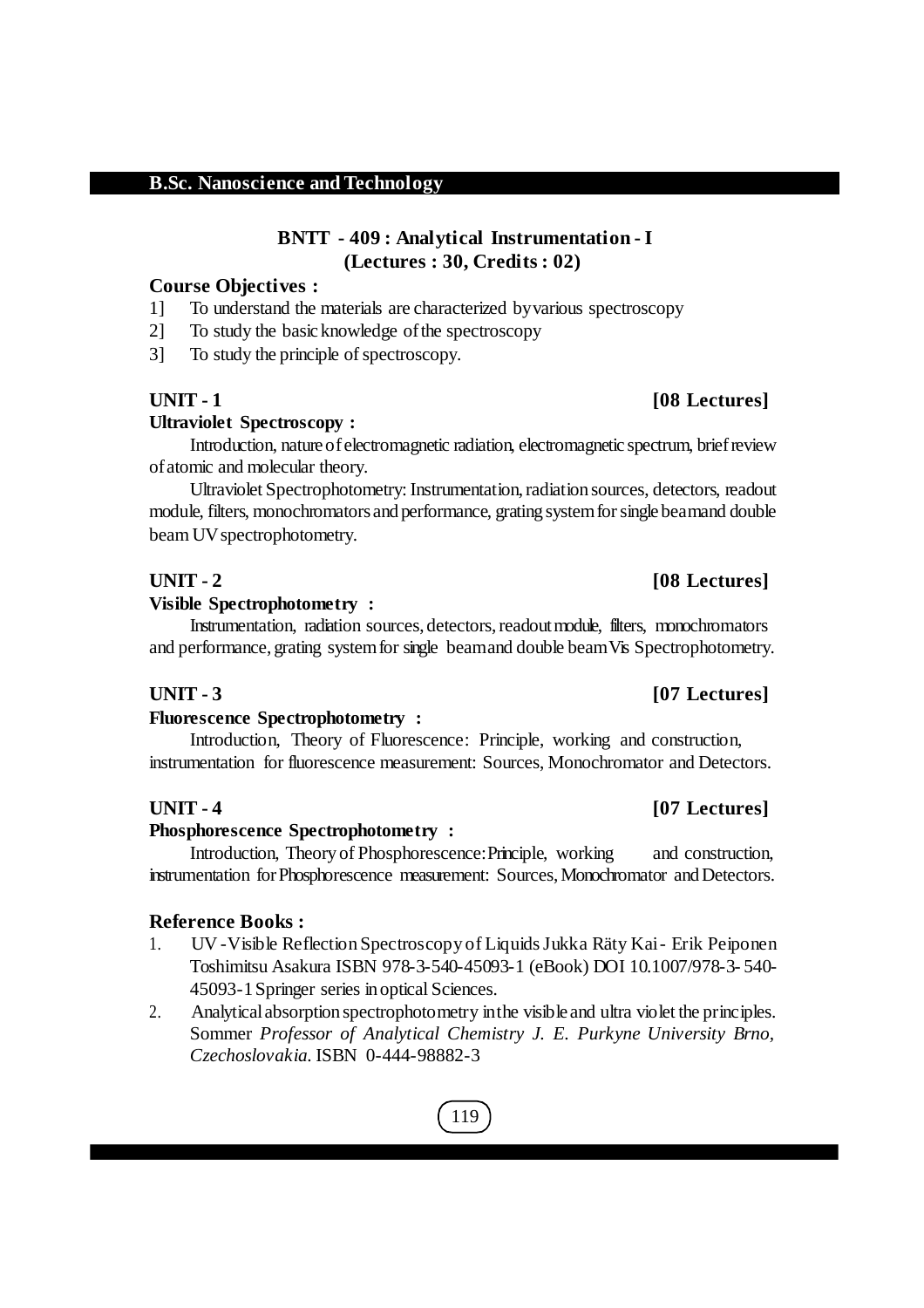## **BNTT - 409 : Analytical Instrumentation - I (Lectures : 30, Credits : 02)**

## **Course Objectives :**

1] To understand the materials are characterized byvarious spectroscopy

2] To study the basicknowledge ofthe spectroscopy

3] To study the principle of spectroscopy.

## **UNIT - 1 [08 Lectures]**

## **Ultraviolet Spectroscopy :**

Introduction, nature of electromagnetic radiation, electromagnetic spectrum, brief review ofatomic and molecular theory.

Ultraviolet Spectrophotometry: Instrumentation,radiation sources, detectors, readout module, filters, monochromators and performance, grating system for single beamand double beam UV spectrophotometry.

### **UNIT - 2 [08 Lectures]**

#### **Visible Spectrophotometry :**

Instrumentation, radiation sources, detectors,readoutmodule, filters, monochromators and performance, grating systemfor single beamand double beamVis Spectrophotometry.

### **Fluorescence Spectrophotometry :**

Introduction, Theory of Fluorescence: Principle, working and construction, instrumentation for fluorescence measurement: Sources, Monochromator and Detectors.

### **UNIT - 4 [07 Lectures]**

### **Phosphorescence Spectrophotometry :**

Introduction, Theory of Phosphorescence:Principle, working and construction, instrumentation forPhosphorescence measurement: Sources,Monochromator andDetectors.

### **Reference Books :**

- 1. UV -Visible ReflectionSpectroscopy of LiquidsJukka Räty Kai- Erik Peiponen Toshimitsu Asakura ISBN 978-3-540-45093-1 (eBook) DOI 10.1007/978-3- 540- 45093-1Springer series in optical Sciences.
- 2. Analyticalabsorption spectrophotometry inthe visible and ultra violet the principles. Sommer *Professor of Analytical Chemistry J. E. Purkyne University Brno, Czechoslovakia.* ISBN 0-444-98882-3

# 119

## **UNIT - 3 [07 Lectures]**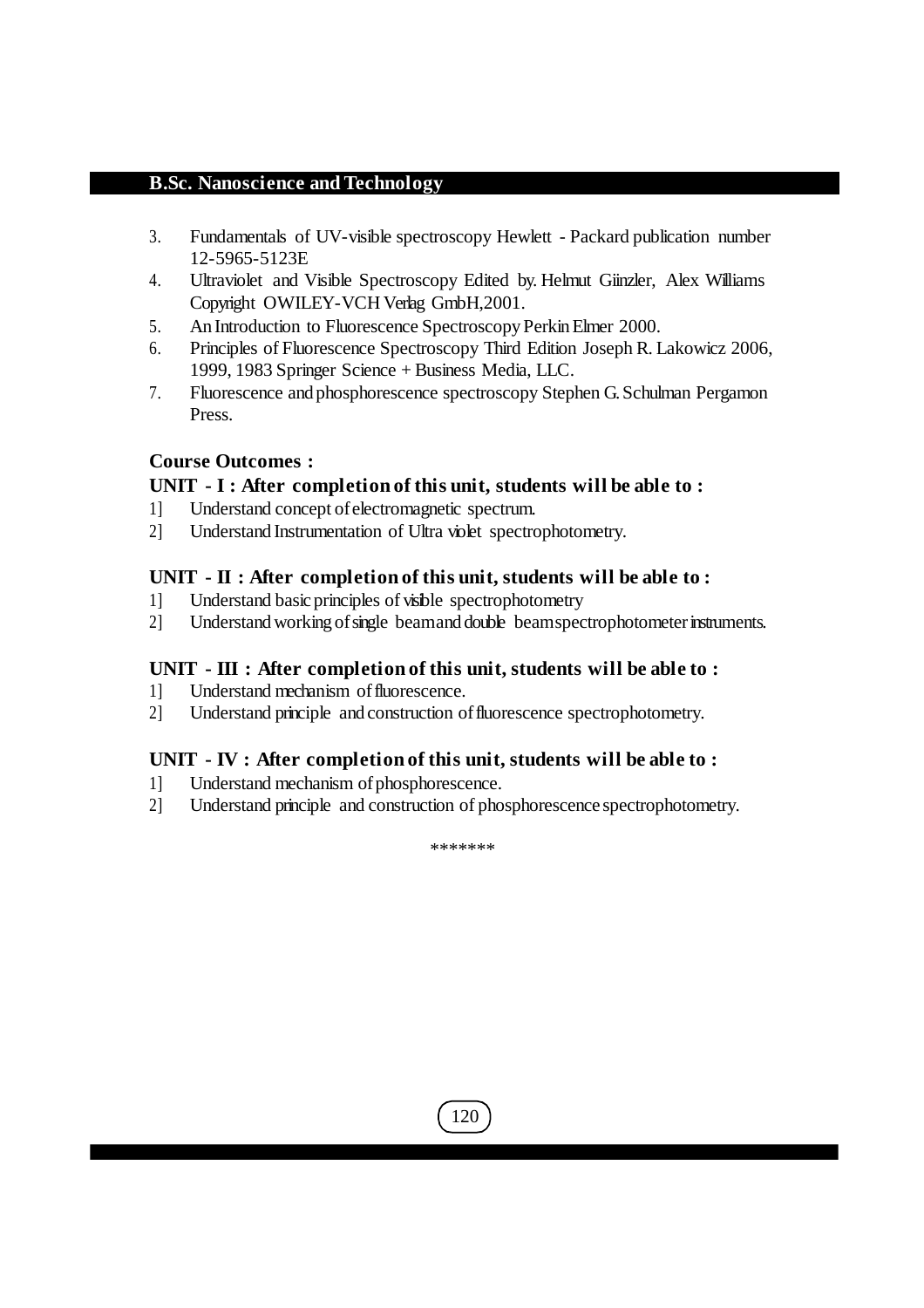- 3. Fundamentals of UV-visible spectroscopy Hewlett Packard publication number 12-5965-5123E
- 4. Ultraviolet and Visible Spectroscopy Edited by. Helmut Giinzler, Alex Williams Copyright OWILEY-VCH Verlag GmbH,2001.
- 5. An Introduction to Fluorescence Spectroscopy Perkin Elmer 2000.
- 6. Principles of Fluorescence Spectroscopy Third Edition Joseph R. Lakowicz 2006, 1999, 1983 Springer Science + Business Media, LLC.
- 7. Fluorescence and phosphorescence spectroscopy Stephen G.Schulman Pergamon Press.

### **Course Outcomes :**

### **UNIT - I : After completion of this unit, students will be able to :**

- 1] Understand concept ofelectromagnetic spectrum.
- 2] Understand Instrumentation of Ultra violet spectrophotometry.

#### **UNIT - II : After completion of this unit, students will be able to :**

- 1] Understand basicprinciples of visible spectrophotometry
- 2] Understand working of single beamand double beamspectrophotometer instruments.

### **UNIT - III : After completion of this unit, students will be able to :**

- 1] Understand mechanism offluorescence.
- 2] Understand principle and construction of fluorescence spectrophotometry.

#### **UNIT - IV : After completion of this unit, students will be able to :**

- 1] Understand mechanism of phosphorescence.
- 2] Understand principle and construction of phosphorescence spectrophotometry.

\*\*\*\*\*\*\*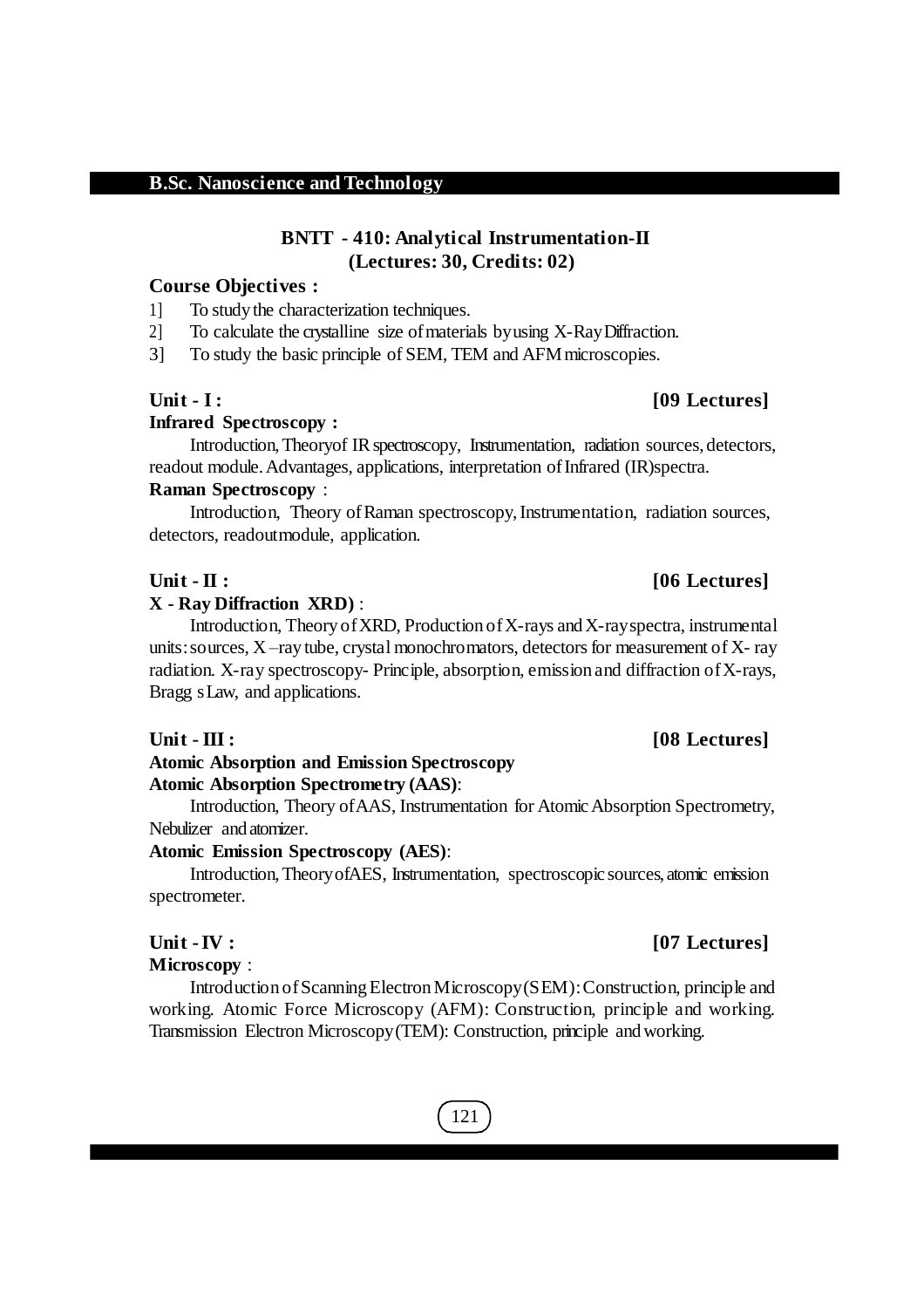### **BNTT - 410: Analytical Instrumentation-II (Lectures: 30, Credits: 02)**

#### **Course Objectives :**

1] To study the characterization techniques.

2] To calculate the crystalline size of materials by using X-Ray Diffraction.

3] To study the basic principle of SEM, TEM and AFMmicroscopies.

#### **Infrared Spectroscopy :**

Introduction, Theoryof IR spectroscopy, Instrumentation, radiation sources, detectors, readout module. Advantages, applications, interpretation of Infrared (IR)spectra. **Raman Spectroscopy** :

Introduction, Theory ofRaman spectroscopy,Instrumentation, radiation sources, detectors, readoutmodule, application.

#### **X - Ray Diffraction XRD)** :

Introduction, Theory of XRD, Production of X-rays and X-ray spectra, instrumental units: sources,  $X$  –ray tube, crystal monochromators, detectors for measurement of  $X$ - ray radiation. X-ray spectroscopy- Principle, absorption, emission and diffraction ofX-rays, Bragg sLaw, and applications.

#### **Unit - III : [08 Lectures]**

## **Atomic Absorption and Emission Spectroscopy Atomic Absorption Spectrometry (AAS)**:

Introduction, Theory ofAAS, Instrumentation for AtomicAbsorption Spectrometry, Nebulizer and atomizer.

#### **Atomic Emission Spectroscopy (AES)**:

Introduction,TheoryofAES, Instrumentation, spectroscopic sources, atomic emission spectrometer.

#### **Microscopy** :

Introduction ofScanningElectronMicroscopy(SEM):Construction, principle and working. Atomic Force Microscopy (AFM): Construction, principle and working. Transmission Electron Microscopy(TEM): Construction, principle andworking.

## 121

### **Unit -IV : [07 Lectures]**

## **Unit - II : [06 Lectures]**

# **Unit - I : [09 Lectures]**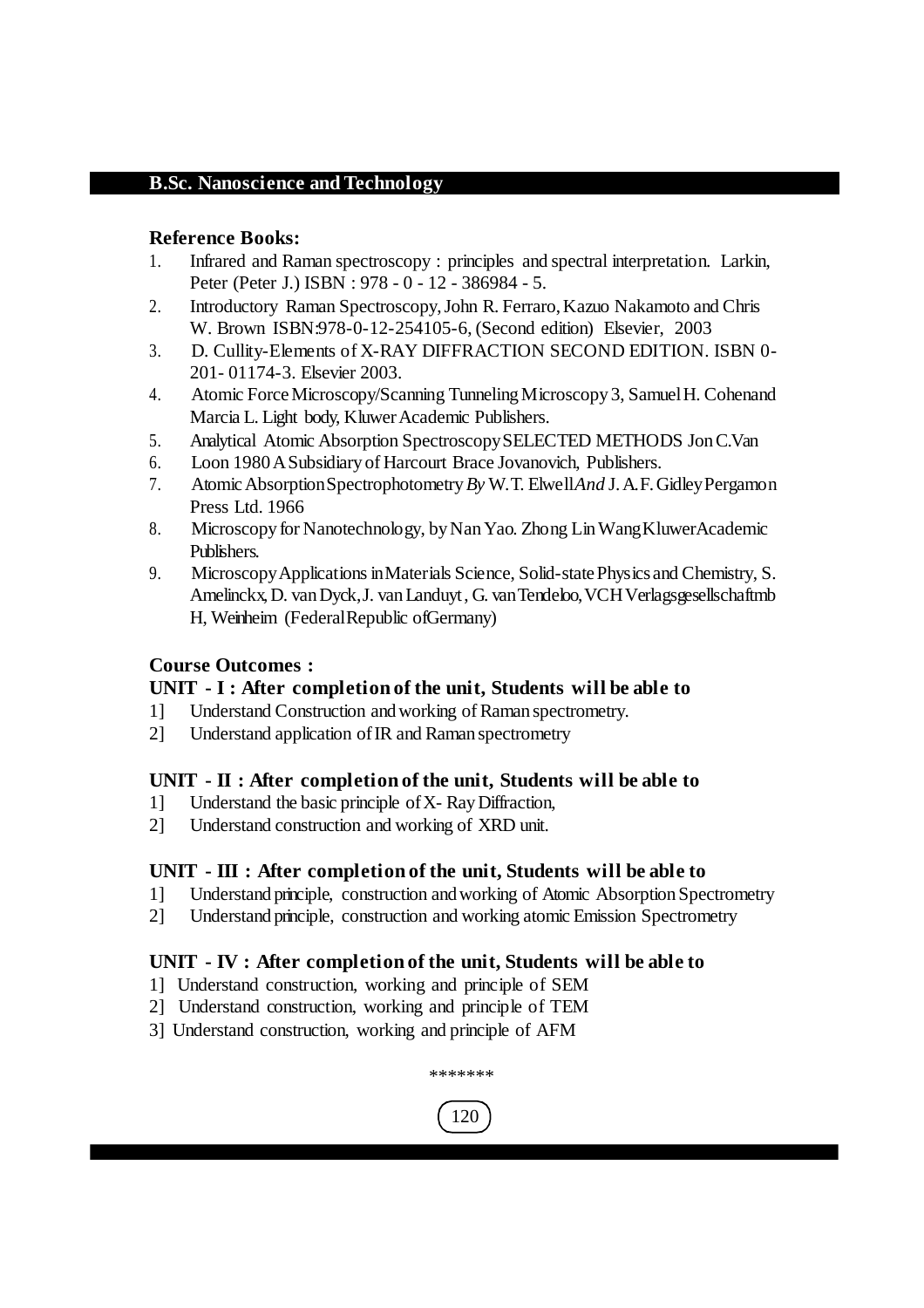### **Reference Books:**

- 1. Infrared and Raman spectroscopy : principles and spectral interpretation. Larkin, Peter (Peter J.) ISBN : 978 - 0 - 12 - 386984 - 5.
- 2. Introductory Raman Spectroscopy,John R. Ferraro,Kazuo Nakamoto and Chris W. Brown ISBN:978-0-12-254105-6, (Second edition) Elsevier, 2003
- 3. D. Cullity-Elements of X-RAY DIFFRACTION SECOND EDITION. ISBN 0- 201- 01174-3. Elsevier 2003.
- 4. Atomic ForceMicroscopy/Scanning TunnelingMicroscopy 3, SamuelH. Cohenand Marcia L. Light body, Kluwer Academic Publishers.
- 5. Analytical Atomic Absorption SpectroscopySELECTED METHODS JonC.Van
- 6. Loon 1980ASubsidiary of Harcourt Brace Jovanovich, Publishers.
- 7. AtomicAbsorptionSpectrophotometry*By* W.T. Elwell*And* J.A.F.GidleyPergamon Press Ltd. 1966
- 8. Microscopy for Nanotechnology, by Nan Yao. Zhong Lin Wang KluwerAcademic Publishers.
- 9. Microscopy Applications in Materials Science, Solid-state Physics and Chemistry, S. Amelinckx,D. vanDyck,J. vanLanduyt, G. vanTendeloo,VCHVerlagsgesellschaftmb H, Weinheim (FederalRepublic ofGermany)

### **Course Outcomes :**

#### **UNIT - I : After completion of the unit, Students will be able to**

- 1] Understand Construction andworking of Raman spectrometry.
- 2] Understand application ofIR and Raman spectrometry

### **UNIT - II : After completion of the unit, Students will be able to**

- 1] Understand the basic principle ofX- RayDiffraction,
- 2] Understand construction and working of XRD unit.

### **UNIT - III : After completion of the unit, Students will be able to**

- 1] Understand principle, construction and working of Atomic Absorption Spectrometry
- 2] Understand principle, construction and working atomic Emission Spectrometry

### **UNIT - IV : After completion of the unit, Students will be able to**

- 1] Understand construction, working and principle of SEM
- 2] Understand construction, working and principle of TEM
- 3] Understand construction, working and principle of AFM



\*\*\*\*\*\*\*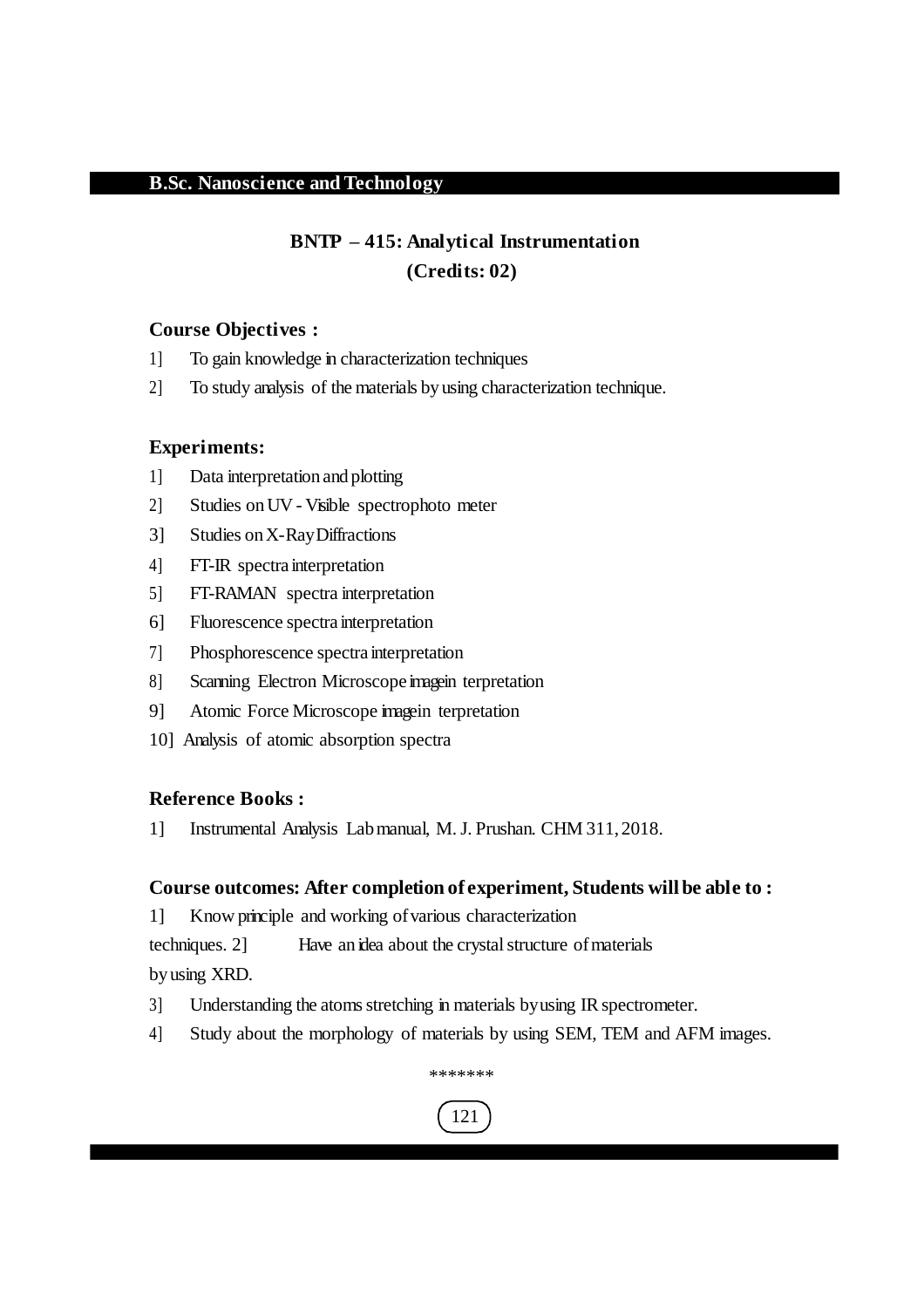## **BNTP – 415: Analytical Instrumentation (Credits: 02)**

#### **Course Objectives :**

- 1] To gain knowledge in characterization techniques
- 2] To study analysis of the materials byusing characterization technique.

#### **Experiments:**

- 1] Data interpretation and plotting
- 2] Studies onUV Visible spectrophoto meter
- 3] Studies onX-RayDiffractions
- 4] FT-IR spectra interpretation
- 5] FT-RAMAN spectra interpretation
- 6] Fluorescence spectra interpretation
- 7] Phosphorescence spectra interpretation
- 8] Scanning Electron Microscope imagein terpretation
- 9] Atomic Force Microscope imagein terpretation
- 10] Analysis of atomic absorption spectra

#### **Reference Books :**

1] Instrumental Analysis Labmanual, M.J. Prushan. CHM 311, 2018.

#### **Course outcomes: After completion of experiment, Students will be able to :**

1] Know principle and working ofvarious characterization

techniques. 2] Have an idea about the crystal structure of materials byusing XRD.

- 3] Understanding the atoms stretching in materials by using IR spectrometer.
- 4] Study about the morphology of materials by using SEM, TEM and AFM images.

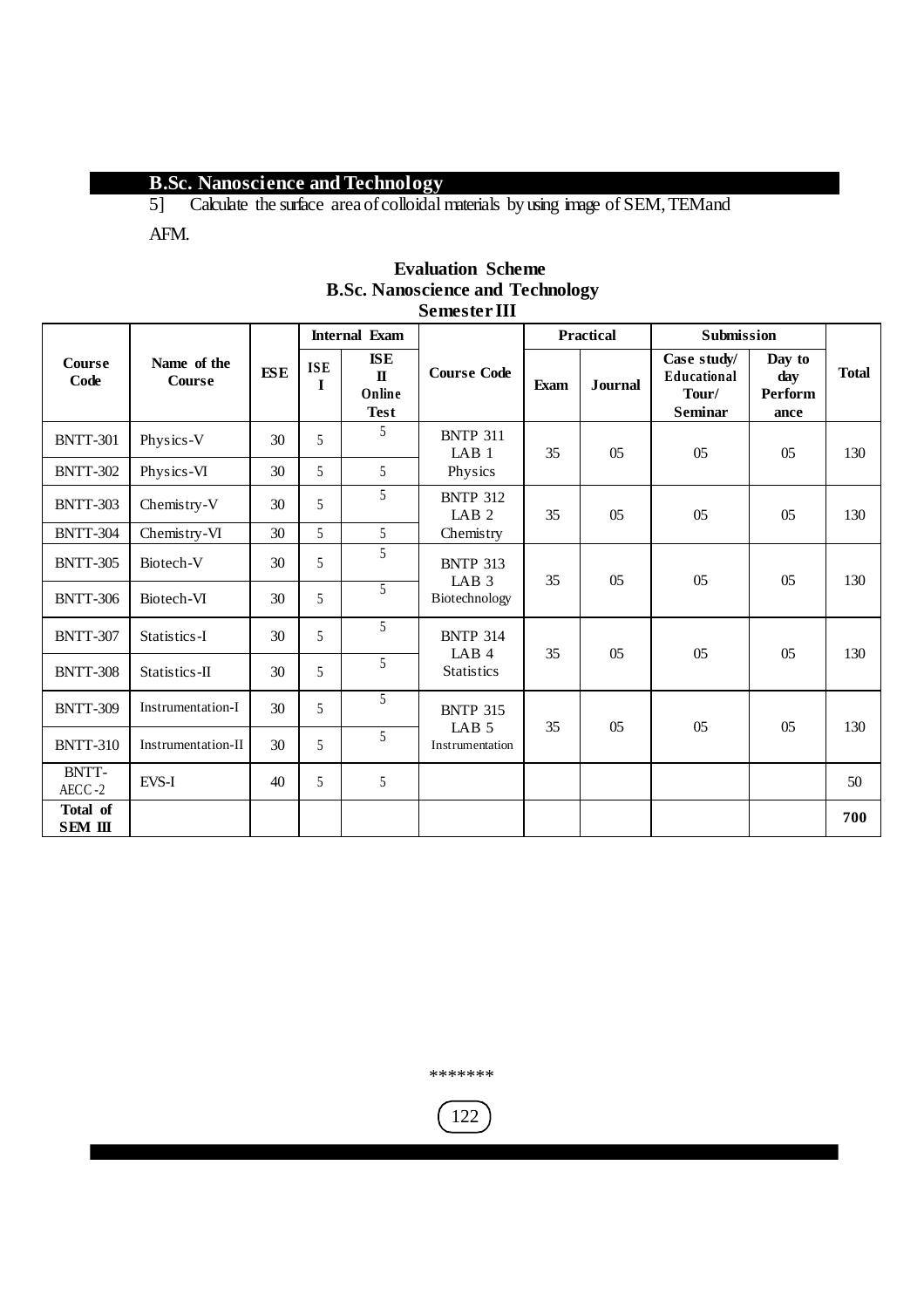5] Calculate the surface areaofcolloidal materials by using image of SEM,TEMand

AFM.

|                       |                              |            | <b>Internal Exam</b>      |                                                |                                       | <b>Practical</b> |                | Submission                                                   |                                         |              |
|-----------------------|------------------------------|------------|---------------------------|------------------------------------------------|---------------------------------------|------------------|----------------|--------------------------------------------------------------|-----------------------------------------|--------------|
| <b>Course</b><br>Code | Name of the<br><b>Course</b> | <b>ESE</b> | <b>ISE</b><br>$\mathbf I$ | $ISE$<br>$\mathbf{I}$<br>Online<br><b>Test</b> | <b>Course Code</b>                    | <b>Exam</b>      | <b>Journal</b> | Case study/<br><b>Educational</b><br>Tour/<br><b>Seminar</b> | Day to<br>day<br><b>Perform</b><br>ance | <b>Total</b> |
| <b>BNTT-301</b>       | Physics-V                    | 30         | 5                         | 5                                              | <b>BNTP 311</b><br>LAB <sub>1</sub>   | 35               | 05             | 05                                                           | 05                                      | 130          |
| <b>BNTT-302</b>       | Physics-VI                   | 30         | 5                         | 5                                              | Physics                               |                  |                |                                                              |                                         |              |
| <b>BNTT-303</b>       | Chemistry-V                  | 30         | 5                         | 5                                              | <b>BNTP 312</b><br>LAB <sub>2</sub>   | 35               | 05             | 05                                                           | 0 <sub>5</sub>                          | 130          |
| <b>BNTT-304</b>       | Chemistry-VI                 | 30         | 5                         | 5                                              | Chemistry                             |                  |                |                                                              |                                         |              |
| <b>BNTT-305</b>       | Biotech-V                    | 30         | 5                         | 5                                              | <b>BNTP 313</b><br>LAB <sub>3</sub>   | 35               | 0 <sub>5</sub> | 05                                                           | 0 <sub>5</sub>                          | 130          |
| <b>BNTT-306</b>       | Biotech-VI                   | 30         | 5                         | $\overline{5}$                                 | Biotechnology                         |                  |                |                                                              |                                         |              |
| <b>BNTT-307</b>       | Statistics-I                 | 30         | 5                         | 5                                              | <b>BNTP 314</b>                       |                  | 05             |                                                              |                                         | 130          |
| <b>BNTT-308</b>       | Statistics-II                | 30         | 5                         | 5                                              | LAB <sub>4</sub><br><b>Statistics</b> | 35               |                | 05                                                           | 05                                      |              |
| <b>BNTT-309</b>       | Instrumentation-I            | 30         | 5                         | 5                                              | <b>BNTP 315</b>                       |                  |                |                                                              |                                         |              |
| <b>BNTT-310</b>       | Instrumentation-II           | 30         | 5                         | 5                                              | LAB <sub>5</sub><br>Instrumentation   | 35               | 0 <sub>5</sub> | 0 <sub>5</sub>                                               | 0 <sub>5</sub>                          | 130          |
| BNTT-<br>$AECC-2$     | EVS-I                        | 40         | 5                         | 5                                              |                                       |                  |                |                                                              |                                         | 50           |
| Total of<br>SEM III   |                              |            |                           |                                                |                                       |                  |                |                                                              |                                         | 700          |

#### **Evaluation Scheme B.Sc. Nanoscience and Technology Semester III**

\*\*\*\*\*\*\*